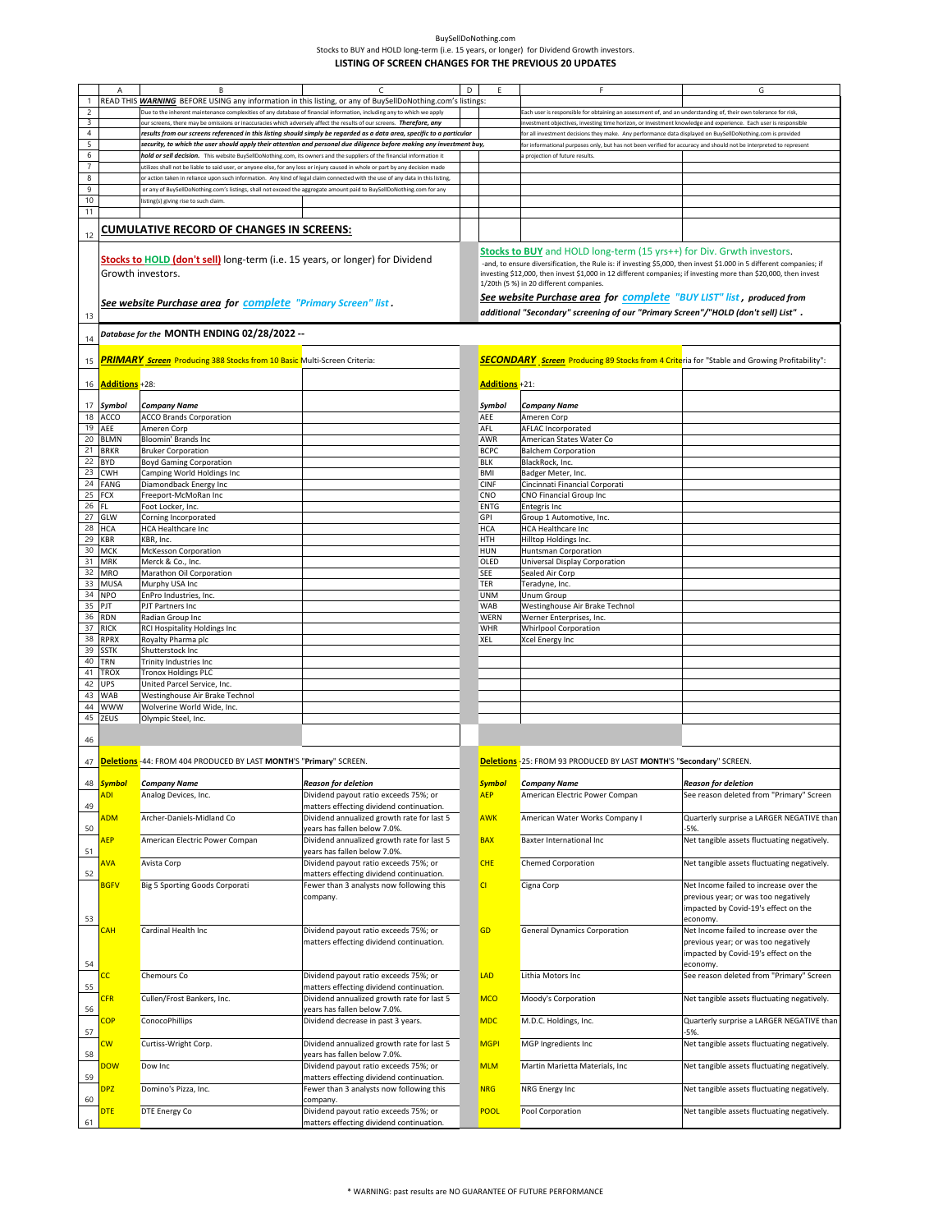|                | Α                     | B                                                                                                                              | C                                          | D | E                     | F                                                                                                                                                          | G                                           |
|----------------|-----------------------|--------------------------------------------------------------------------------------------------------------------------------|--------------------------------------------|---|-----------------------|------------------------------------------------------------------------------------------------------------------------------------------------------------|---------------------------------------------|
|                |                       | READ THIS <b>WARNING</b> BEFORE USING any information in this listing, or any of BuySellDoNothing.com's listings:              |                                            |   |                       |                                                                                                                                                            |                                             |
| $\overline{c}$ |                       | Due to the inherent maintenance complexities of any database of financial information, including any to which we apply         |                                            |   |                       | ach user is responsible for obtaining an assessment of, and an understanding of, their own tolerance for risk,                                             |                                             |
| 3              |                       | our screens, there may be omissions or inaccuracies which adversely affect the results of our screens. Therefore, any          |                                            |   |                       | nvestment objectives, investing time horizon, or investment knowledge and experience. Each user is responsible                                             |                                             |
| $\overline{4}$ |                       | results from our screens referenced in this listing should simply be regarded as a data area, specific to a particular         |                                            |   |                       | or all investment decisions they make. Any performance data displayed on BuySellDoNothing.com is provided                                                  |                                             |
| 5              |                       | security, to which the user should apply their attention and personal due diligence before making any investment buy,          |                                            |   |                       |                                                                                                                                                            |                                             |
| 6              |                       | hold or sell decision. This website BuySellDoNothing.com, its owners and the suppliers of the financial information it         |                                            |   |                       | or informational purposes only, but has not been verified for accuracy and should not be interpreted to represent                                          |                                             |
|                |                       |                                                                                                                                |                                            |   |                       | projection of future results                                                                                                                               |                                             |
| $\overline{7}$ |                       | utilizes shall not be liable to said user, or anyone else, for any loss or injury caused in whole or part by any decision made |                                            |   |                       |                                                                                                                                                            |                                             |
| 8              |                       | or action taken in reliance upon such information. Any kind of legal claim connected with the use of any data in this listing, |                                            |   |                       |                                                                                                                                                            |                                             |
| $\overline{9}$ |                       | or any of BuySellDoNothing.com's listings, shall not exceed the aggregate amount paid to BuySellDoNothing.com for any          |                                            |   |                       |                                                                                                                                                            |                                             |
| 10             |                       | listing(s) giving rise to such claim                                                                                           |                                            |   |                       |                                                                                                                                                            |                                             |
| 11             |                       |                                                                                                                                |                                            |   |                       |                                                                                                                                                            |                                             |
|                |                       | CUMULATIVE RECORD OF CHANGES IN SCREENS:                                                                                       |                                            |   |                       |                                                                                                                                                            |                                             |
| 12             |                       |                                                                                                                                |                                            |   |                       |                                                                                                                                                            |                                             |
|                |                       |                                                                                                                                |                                            |   |                       |                                                                                                                                                            |                                             |
|                |                       | Stocks to HOLD (don't sell) long-term (i.e. 15 years, or longer) for Dividend                                                  |                                            |   |                       | <b>Stocks to BUY</b> and HOLD long-term (15 yrs++) for Div. Grwth investors.                                                                               |                                             |
|                |                       |                                                                                                                                |                                            |   |                       | -and, to ensure diversification, the Rule is: if investing \$5,000, then invest \$1.000 in 5 different companies; if                                       |                                             |
|                | Growth investors.     |                                                                                                                                |                                            |   |                       | investing \$12,000, then invest \$1,000 in 12 different companies; if investing more than \$20,000, then invest<br>1/20th (5 %) in 20 different companies. |                                             |
|                |                       |                                                                                                                                |                                            |   |                       |                                                                                                                                                            |                                             |
|                |                       | See website Purchase area for complete "Primary Screen" list.                                                                  |                                            |   |                       | See website Purchase area for complete "BUY LIST" list, produced from                                                                                      |                                             |
| 13             |                       |                                                                                                                                |                                            |   |                       | additional "Secondary" screening of our "Primary Screen"/"HOLD (don't sell) List" .                                                                        |                                             |
|                |                       |                                                                                                                                |                                            |   |                       |                                                                                                                                                            |                                             |
| 14             |                       | -- Database for the MONTH ENDING 02/28/2022                                                                                    |                                            |   |                       |                                                                                                                                                            |                                             |
|                |                       |                                                                                                                                |                                            |   |                       |                                                                                                                                                            |                                             |
| 15             |                       | <b>PRIMARY Screen</b> Producing 388 Stocks from 10 Basic Multi-Screen Criteria:                                                |                                            |   |                       | <b>SECONDARY</b> Screen Producing 89 Stocks from 4 Criteria for "Stable and Growing Profitability":                                                        |                                             |
|                |                       |                                                                                                                                |                                            |   |                       |                                                                                                                                                            |                                             |
|                | <b>Additions</b> +28: |                                                                                                                                |                                            |   | <b>Additions</b> +21: |                                                                                                                                                            |                                             |
| 16             |                       |                                                                                                                                |                                            |   |                       |                                                                                                                                                            |                                             |
|                |                       |                                                                                                                                |                                            |   |                       |                                                                                                                                                            |                                             |
| 17             | Symbol                | <b>Company Name</b>                                                                                                            |                                            |   | Symbol                | <b>Company Name</b>                                                                                                                                        |                                             |
| 18             | ACCO                  | <b>ACCO Brands Corporation</b>                                                                                                 |                                            |   | AEE                   | Ameren Corp                                                                                                                                                |                                             |
| 19             | AEE                   | Ameren Corp                                                                                                                    |                                            |   | AFL                   | AFLAC Incorporated                                                                                                                                         |                                             |
| 20             | <b>BLMN</b>           | Bloomin' Brands Inc                                                                                                            |                                            |   | AWR                   | American States Water Co                                                                                                                                   |                                             |
| 21             | <b>BRKR</b>           | <b>Bruker Corporation</b>                                                                                                      |                                            |   | <b>BCPC</b>           | <b>Balchem Corporation</b>                                                                                                                                 |                                             |
| 22             | <b>BYD</b>            | <b>Boyd Gaming Corporation</b>                                                                                                 |                                            |   | <b>BLK</b>            | BlackRock, Inc.                                                                                                                                            |                                             |
| 23             | <b>CWH</b>            | Camping World Holdings Inc                                                                                                     |                                            |   | BMI                   | Badger Meter, Inc.                                                                                                                                         |                                             |
| 24             | <b>FANG</b>           | Diamondback Energy Inc                                                                                                         |                                            |   | <b>CINF</b>           | Cincinnati Financial Corporati                                                                                                                             |                                             |
| 25             | <b>FCX</b>            | Freeport-McMoRan Inc                                                                                                           |                                            |   | CNO                   | CNO Financial Group Inc                                                                                                                                    |                                             |
| 26             | FI.                   | Foot Locker, Inc.                                                                                                              |                                            |   | <b>ENTG</b>           | Entegris Inc                                                                                                                                               |                                             |
| 27             | GLW                   | Corning Incorporated                                                                                                           |                                            |   | <b>GPI</b>            | Group 1 Automotive, Inc.                                                                                                                                   |                                             |
| 28             | <b>HCA</b>            | <b>HCA Healthcare Inc</b>                                                                                                      |                                            |   | <b>HCA</b>            | <b>HCA Healthcare Inc</b>                                                                                                                                  |                                             |
| 29             | KBR                   | KBR, Inc.                                                                                                                      |                                            |   | <b>HTH</b>            | Hilltop Holdings Inc.                                                                                                                                      |                                             |
| 30             | <b>MCK</b>            | <b>McKesson Corporation</b>                                                                                                    |                                            |   | <b>HUN</b>            | Huntsman Corporation                                                                                                                                       |                                             |
| 31             | <b>MRK</b>            | Merck & Co., Inc.                                                                                                              |                                            |   | OLED                  | Universal Display Corporation                                                                                                                              |                                             |
| 32             | <b>MRO</b>            | Marathon Oil Corporation                                                                                                       |                                            |   | <b>SEE</b>            | Sealed Air Corp                                                                                                                                            |                                             |
| 33             | <b>MUSA</b>           | Murphy USA Inc                                                                                                                 |                                            |   | <b>TER</b>            | Teradyne, Inc.                                                                                                                                             |                                             |
| 34             | <b>NPO</b>            | EnPro Industries, Inc.                                                                                                         |                                            |   | <b>UNM</b>            | Unum Group                                                                                                                                                 |                                             |
| 35             | PJT                   | PJT Partners Inc                                                                                                               |                                            |   | <b>WAB</b>            | Westinghouse Air Brake Technol                                                                                                                             |                                             |
| 36             | <b>RDN</b>            | Radian Group Inc                                                                                                               |                                            |   | <b>WERN</b>           | Werner Enterprises, Inc.                                                                                                                                   |                                             |
| 37             | <b>RICK</b>           | RCI Hospitality Holdings Inc                                                                                                   |                                            |   | WHR                   | <b>Whirlpool Corporation</b>                                                                                                                               |                                             |
| 38             | <b>RPRX</b>           | Royalty Pharma plc                                                                                                             |                                            |   | XEL                   | Xcel Energy Inc                                                                                                                                            |                                             |
| 39             | <b>SSTK</b>           | Shutterstock Inc                                                                                                               |                                            |   |                       |                                                                                                                                                            |                                             |
| 40             | TRN                   | Trinity Industries Inc                                                                                                         |                                            |   |                       |                                                                                                                                                            |                                             |
| 41             | <b>TROX</b>           | <b>Tronox Holdings PLC</b>                                                                                                     |                                            |   |                       |                                                                                                                                                            |                                             |
| 42             | <b>UPS</b>            | United Parcel Service, Inc.                                                                                                    |                                            |   |                       |                                                                                                                                                            |                                             |
| 43             | WAB                   | Westinghouse Air Brake Technol                                                                                                 |                                            |   |                       |                                                                                                                                                            |                                             |
| 44             | www                   | Wolverine World Wide, Inc.                                                                                                     |                                            |   |                       |                                                                                                                                                            |                                             |
| 45             | ZEUS                  | Olympic Steel, Inc.                                                                                                            |                                            |   |                       |                                                                                                                                                            |                                             |
|                |                       |                                                                                                                                |                                            |   |                       |                                                                                                                                                            |                                             |
| 46             |                       |                                                                                                                                |                                            |   |                       |                                                                                                                                                            |                                             |
|                |                       |                                                                                                                                |                                            |   |                       |                                                                                                                                                            |                                             |
| 47             |                       | Deletions - 44: FROM 404 PRODUCED BY LAST MONTH'S "Primary" SCREEN.                                                            |                                            |   |                       | Deletions -25: FROM 93 PRODUCED BY LAST MONTH'S "Secondary" SCREEN.                                                                                        |                                             |
|                |                       |                                                                                                                                |                                            |   |                       |                                                                                                                                                            |                                             |
| 48             | <mark>Symbol</mark>   | <b>Company Name</b>                                                                                                            | <b>Reason for deletion</b>                 |   | <b>Symbol</b>         | Company Name                                                                                                                                               | <b>Reason for deletion</b>                  |
|                | ADI                   | Analog Devices, Inc.                                                                                                           | Dividend payout ratio exceeds 75%; or      |   | <b>AEP</b>            | American Electric Power Compan                                                                                                                             | See reason deleted from "Primary" Screen    |
| 49             |                       |                                                                                                                                | matters effecting dividend continuation.   |   |                       |                                                                                                                                                            |                                             |
|                | <b>ADM</b>            | Archer-Daniels-Midland Co                                                                                                      | Dividend annualized growth rate for last 5 |   | <b>AWK</b>            | American Water Works Company I                                                                                                                             | Quarterly surprise a LARGER NEGATIVE than   |
| 50             |                       |                                                                                                                                | years has fallen below 7.0%.               |   |                       |                                                                                                                                                            |                                             |
|                | <b>AEP</b>            | American Electric Power Compan                                                                                                 | Dividend annualized growth rate for last 5 |   | <b>BAX</b>            | Baxter International Inc                                                                                                                                   | Net tangible assets fluctuating negatively. |
| 51             |                       |                                                                                                                                | years has fallen below 7.0%.               |   |                       |                                                                                                                                                            |                                             |
|                | <b>AVA</b>            | Avista Corp                                                                                                                    | Dividend payout ratio exceeds 75%; or      |   | <b>CHE</b>            | <b>Chemed Corporation</b>                                                                                                                                  | Net tangible assets fluctuating negatively. |
| 52             |                       |                                                                                                                                | matters effecting dividend continuation.   |   |                       |                                                                                                                                                            |                                             |
|                | <b>BGFV</b>           | Big 5 Sporting Goods Corporati                                                                                                 | Fewer than 3 analysts now following this   |   | C                     | Cigna Corp                                                                                                                                                 | Net Income failed to increase over the      |
|                |                       |                                                                                                                                | company.                                   |   |                       |                                                                                                                                                            | previous year; or was too negatively        |
|                |                       |                                                                                                                                |                                            |   |                       |                                                                                                                                                            | impacted by Covid-19's effect on the        |
| 53             |                       |                                                                                                                                |                                            |   |                       |                                                                                                                                                            | economy.                                    |
|                | CAH                   | Cardinal Health Inc                                                                                                            | Dividend payout ratio exceeds 75%; or      |   | GD                    | <b>General Dynamics Corporation</b>                                                                                                                        | Net Income failed to increase over the      |
|                |                       |                                                                                                                                | matters effecting dividend continuation.   |   |                       |                                                                                                                                                            | previous year; or was too negatively        |
|                |                       |                                                                                                                                |                                            |   |                       |                                                                                                                                                            | impacted by Covid-19's effect on the        |
|                |                       |                                                                                                                                |                                            |   |                       |                                                                                                                                                            |                                             |
| 54             |                       |                                                                                                                                |                                            |   |                       |                                                                                                                                                            | economy.                                    |
|                | Ċ,                    | Chemours Co                                                                                                                    | Dividend payout ratio exceeds 75%; or      |   | LAD                   | Lithia Motors Inc                                                                                                                                          | See reason deleted from "Primary" Screen    |
| 55             |                       |                                                                                                                                | matters effecting dividend continuation.   |   |                       |                                                                                                                                                            |                                             |
|                | 2FR                   | Cullen/Frost Bankers, Inc.                                                                                                     | Dividend annualized growth rate for last 5 |   | <b>MCO</b>            | Moody's Corporation                                                                                                                                        | Net tangible assets fluctuating negatively. |
| 56             |                       |                                                                                                                                | years has fallen below 7.0%.               |   |                       |                                                                                                                                                            |                                             |
|                | <b>COP</b>            | ConocoPhillips                                                                                                                 | Dividend decrease in past 3 years.         |   | <b>MDC</b>            | M.D.C. Holdings, Inc.                                                                                                                                      | Quarterly surprise a LARGER NEGATIVE than   |
| 57             |                       |                                                                                                                                |                                            |   |                       |                                                                                                                                                            | $-5%$                                       |
|                | $\mathsf{cw}$         | Curtiss-Wright Corp.                                                                                                           | Dividend annualized growth rate for last 5 |   | <b>MGPI</b>           | MGP Ingredients Inc                                                                                                                                        | Net tangible assets fluctuating negatively. |
| 58             |                       |                                                                                                                                | years has fallen below 7.0%.               |   |                       |                                                                                                                                                            |                                             |
|                | <mark>DOW</mark>      | Dow Inc                                                                                                                        | Dividend payout ratio exceeds 75%; or      |   | <b>MLM</b>            | Martin Marietta Materials, Inc                                                                                                                             | Net tangible assets fluctuating negatively. |
| 59             |                       |                                                                                                                                | matters effecting dividend continuation.   |   |                       |                                                                                                                                                            |                                             |
|                | <b>DPZ</b>            | Domino's Pizza, Inc.                                                                                                           | Fewer than 3 analysts now following this   |   | <b>NRG</b>            | NRG Energy Inc                                                                                                                                             | Net tangible assets fluctuating negatively. |
| 60             |                       |                                                                                                                                | company.                                   |   |                       |                                                                                                                                                            |                                             |
|                | <b>DTE</b>            | DTE Energy Co                                                                                                                  | Dividend payout ratio exceeds 75%; or      |   | POOL                  | Pool Corporation                                                                                                                                           | Net tangible assets fluctuating negatively. |
|                |                       |                                                                                                                                | matters effecting dividend continuation.   |   |                       |                                                                                                                                                            |                                             |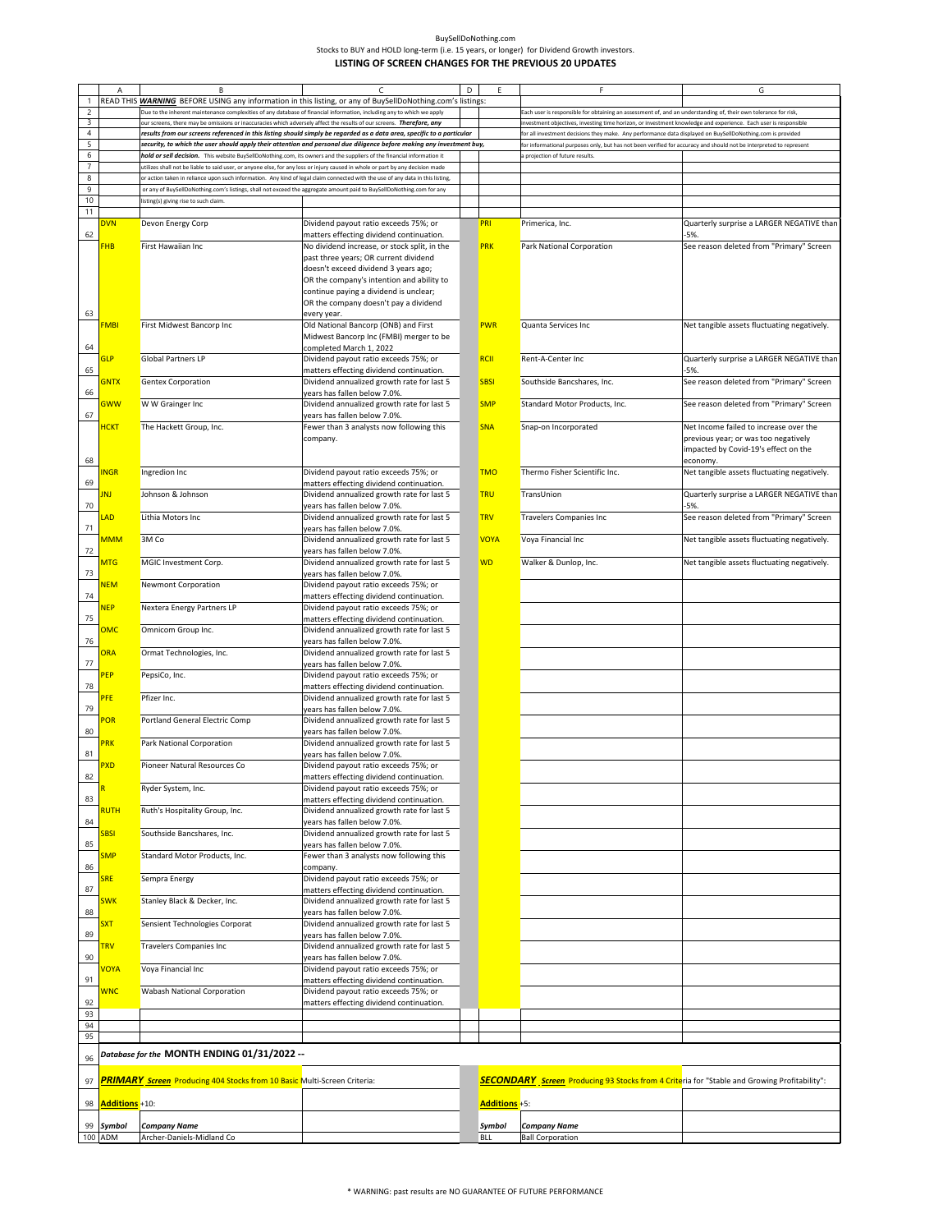| BuvSellDoNothing.com                                                                       |
|--------------------------------------------------------------------------------------------|
| Stocks to BUY and HOLD long-term (i.e. 15 years, or longer) for Dividend Growth investors. |
| LISTING OF SCREEN CHANGES FOR THE PREVIOUS 20 UPDATES                                      |

|                | Α                       | B                                                                                                                              | $\epsilon$                                                                                                             | D | F             |                                                                                                                    | G                                                  |
|----------------|-------------------------|--------------------------------------------------------------------------------------------------------------------------------|------------------------------------------------------------------------------------------------------------------------|---|---------------|--------------------------------------------------------------------------------------------------------------------|----------------------------------------------------|
| $\mathbf{1}$   |                         | READ THIS <b>WARNING</b> BEFORE USING any information in this listing, or any of BuySellDoNothing.com's listings:              |                                                                                                                        |   |               |                                                                                                                    |                                                    |
| $\overline{2}$ |                         | Due to the inherent maintenance complexities of any database of financial information, including any to which we apply         |                                                                                                                        |   |               | Each user is responsible for obtaining an assessment of, and an understanding of, their own tolerance for risk,    |                                                    |
| 3              |                         | our screens, there may be omissions or inaccuracies which adversely affect the results of our screens. Therefore, any          |                                                                                                                        |   |               | investment objectives, investing time horizon, or investment knowledge and experience. Each user is responsible    |                                                    |
| $\overline{4}$ |                         |                                                                                                                                | results from our screens referenced in this listing should simply be regarded as a data area, specific to a particular |   |               | for all investment decisions they make. Any performance data displayed on BuySellDoNothing.com is provided         |                                                    |
| 5              |                         |                                                                                                                                | security, to which the user should apply their attention and personal due diligence before making any investment buy,  |   |               | for informational purposes only, but has not been verified for accuracy and should not be interpreted to represent |                                                    |
| 6              |                         | hold or sell decision. This website BuySellDoNothing.com, its owners and the suppliers of the financial information it         |                                                                                                                        |   |               | a projection of future results.                                                                                    |                                                    |
| 7              |                         | utilizes shall not be liable to said user, or anyone else, for any loss or injury caused in whole or part by any decision made |                                                                                                                        |   |               |                                                                                                                    |                                                    |
| 8              |                         | or action taken in reliance upon such information. Any kind of legal claim connected with the use of any data in this listing, |                                                                                                                        |   |               |                                                                                                                    |                                                    |
| 9              |                         | or any of BuySellDoNothing.com's listings, shall not exceed the aggregate amount paid to BuySellDoNothing.com for any          |                                                                                                                        |   |               |                                                                                                                    |                                                    |
| 10<br>11       |                         | listing(s) giving rise to such claim                                                                                           |                                                                                                                        |   |               |                                                                                                                    |                                                    |
|                | <b>DVN</b>              | Devon Energy Corp                                                                                                              | Dividend payout ratio exceeds 75%; or                                                                                  |   | <b>PRI</b>    | Primerica, Inc.                                                                                                    | Quarterly surprise a LARGER NEGATIVE than          |
| 62             |                         |                                                                                                                                | matters effecting dividend continuation.                                                                               |   |               |                                                                                                                    | $-5%$                                              |
|                | FHB                     | First Hawaiian Inc                                                                                                             | No dividend increase, or stock split, in the                                                                           |   | <b>PRK</b>    | Park National Corporation                                                                                          | See reason deleted from "Primary" Screen           |
|                |                         |                                                                                                                                | past three years; OR current dividend                                                                                  |   |               |                                                                                                                    |                                                    |
|                |                         |                                                                                                                                | doesn't exceed dividend 3 years ago;                                                                                   |   |               |                                                                                                                    |                                                    |
|                |                         |                                                                                                                                | OR the company's intention and ability to                                                                              |   |               |                                                                                                                    |                                                    |
|                |                         |                                                                                                                                | continue paying a dividend is unclear;                                                                                 |   |               |                                                                                                                    |                                                    |
|                |                         |                                                                                                                                | OR the company doesn't pay a dividend                                                                                  |   |               |                                                                                                                    |                                                    |
| 63             |                         |                                                                                                                                | every year.                                                                                                            |   |               |                                                                                                                    |                                                    |
|                | FMBI                    | First Midwest Bancorp Inc                                                                                                      | Old National Bancorp (ONB) and First                                                                                   |   | <b>PWR</b>    | Quanta Services Inc                                                                                                | Net tangible assets fluctuating negatively.        |
|                |                         |                                                                                                                                | Midwest Bancorp Inc (FMBI) merger to be                                                                                |   |               |                                                                                                                    |                                                    |
| 64             |                         |                                                                                                                                | completed March 1, 2022                                                                                                |   |               |                                                                                                                    |                                                    |
| 65             | <b>GLP</b>              | <b>Global Partners LP</b>                                                                                                      | Dividend payout ratio exceeds 75%; or                                                                                  |   | <b>RCII</b>   | Rent-A-Center Inc                                                                                                  | Quarterly surprise a LARGER NEGATIVE than<br>$-5%$ |
|                | <b>GNTX</b>             | <b>Gentex Corporation</b>                                                                                                      | matters effecting dividend continuation.<br>Dividend annualized growth rate for last 5                                 |   | <b>SBSI</b>   | Southside Bancshares, Inc.                                                                                         | See reason deleted from "Primary" Screen           |
| 66             |                         |                                                                                                                                | years has fallen below 7.0%.                                                                                           |   |               |                                                                                                                    |                                                    |
|                | <mark>GWW</mark>        | W W Grainger Inc                                                                                                               | Dividend annualized growth rate for last 5                                                                             |   | <b>SMP</b>    | Standard Motor Products, Inc.                                                                                      | See reason deleted from "Primary" Screen           |
| 67             |                         |                                                                                                                                | years has fallen below 7.0%.                                                                                           |   |               |                                                                                                                    |                                                    |
|                | <b>HCKT</b>             | The Hackett Group, Inc.                                                                                                        | Fewer than 3 analysts now following this                                                                               |   | <b>SNA</b>    | Snap-on Incorporated                                                                                               | Net Income failed to increase over the             |
|                |                         |                                                                                                                                | company.                                                                                                               |   |               |                                                                                                                    | previous year; or was too negatively               |
|                |                         |                                                                                                                                |                                                                                                                        |   |               |                                                                                                                    | impacted by Covid-19's effect on the               |
| 68             |                         |                                                                                                                                |                                                                                                                        |   |               |                                                                                                                    | economy.                                           |
|                | <b>NGR</b>              | Ingredion Inc                                                                                                                  | Dividend payout ratio exceeds 75%; or                                                                                  |   | <b>TMO</b>    | Thermo Fisher Scientific Inc.                                                                                      | Net tangible assets fluctuating negatively.        |
| 69             |                         |                                                                                                                                | matters effecting dividend continuation.                                                                               |   |               |                                                                                                                    |                                                    |
|                | <b>INJ</b>              | Johnson & Johnson                                                                                                              | Dividend annualized growth rate for last 5                                                                             |   | <b>TRU</b>    | TransUnion                                                                                                         | Quarterly surprise a LARGER NEGATIVE than          |
| 70             |                         |                                                                                                                                | years has fallen below 7.0%.                                                                                           |   |               |                                                                                                                    | $-5%$                                              |
|                | LAD                     | Lithia Motors Inc                                                                                                              | Dividend annualized growth rate for last 5                                                                             |   | <b>TRV</b>    | <b>Travelers Companies Inc</b>                                                                                     | See reason deleted from "Primary" Screen           |
| 71             |                         |                                                                                                                                | years has fallen below 7.0%.                                                                                           |   |               |                                                                                                                    |                                                    |
|                | <mark>MMM</mark>        | 3M Co                                                                                                                          | Dividend annualized growth rate for last 5                                                                             |   | <b>VOYA</b>   | Voya Financial Inc                                                                                                 | Net tangible assets fluctuating negatively.        |
| 72             |                         |                                                                                                                                | years has fallen below 7.0%.                                                                                           |   |               |                                                                                                                    |                                                    |
|                | <b>MTG</b>              | MGIC Investment Corp.                                                                                                          | Dividend annualized growth rate for last 5                                                                             |   | <b>WD</b>     | Walker & Dunlop, Inc.                                                                                              | Net tangible assets fluctuating negatively.        |
| 73             | <b>NEM</b>              |                                                                                                                                | years has fallen below 7.0%.                                                                                           |   |               |                                                                                                                    |                                                    |
| 74             |                         | Newmont Corporation                                                                                                            | Dividend payout ratio exceeds 75%; or<br>matters effecting dividend continuation.                                      |   |               |                                                                                                                    |                                                    |
|                | <b>NEP</b>              | Nextera Energy Partners LP                                                                                                     | Dividend payout ratio exceeds 75%; or                                                                                  |   |               |                                                                                                                    |                                                    |
| 75             |                         |                                                                                                                                | matters effecting dividend continuation.                                                                               |   |               |                                                                                                                    |                                                    |
|                | <b>OMC</b>              | Omnicom Group Inc.                                                                                                             | Dividend annualized growth rate for last 5                                                                             |   |               |                                                                                                                    |                                                    |
| 76             |                         |                                                                                                                                | years has fallen below 7.0%.                                                                                           |   |               |                                                                                                                    |                                                    |
|                | <b>ORA</b>              | Ormat Technologies, Inc.                                                                                                       | Dividend annualized growth rate for last 5                                                                             |   |               |                                                                                                                    |                                                    |
| $77 \,$        |                         |                                                                                                                                | years has fallen below 7.0%.                                                                                           |   |               |                                                                                                                    |                                                    |
|                | PEP                     | PepsiCo, Inc.                                                                                                                  | Dividend payout ratio exceeds 75%; or                                                                                  |   |               |                                                                                                                    |                                                    |
| 78             |                         |                                                                                                                                | matters effecting dividend continuation.                                                                               |   |               |                                                                                                                    |                                                    |
|                | PFE                     | Pfizer Inc.                                                                                                                    | Dividend annualized growth rate for last 5                                                                             |   |               |                                                                                                                    |                                                    |
| 79             |                         |                                                                                                                                | years has fallen below 7.0%.                                                                                           |   |               |                                                                                                                    |                                                    |
|                | POR                     | Portland General Electric Comp                                                                                                 | Dividend annualized growth rate for last 5                                                                             |   |               |                                                                                                                    |                                                    |
| 80             |                         |                                                                                                                                | years has fallen below 7.0%.                                                                                           |   |               |                                                                                                                    |                                                    |
| 81             | PRK                     | Park National Corporation                                                                                                      | Dividend annualized growth rate for last 5                                                                             |   |               |                                                                                                                    |                                                    |
|                | PXD                     | Pioneer Natural Resources Co                                                                                                   | years has fallen below 7.0%.                                                                                           |   |               |                                                                                                                    |                                                    |
| 82             |                         |                                                                                                                                | Dividend payout ratio exceeds 75%; or<br>matters effecting dividend continuation.                                      |   |               |                                                                                                                    |                                                    |
|                |                         | Ryder System, Inc.                                                                                                             | Dividend payout ratio exceeds 75%; or                                                                                  |   |               |                                                                                                                    |                                                    |
| 83             |                         |                                                                                                                                | matters effecting dividend continuation.                                                                               |   |               |                                                                                                                    |                                                    |
|                | RUTH                    | Ruth's Hospitality Group, Inc.                                                                                                 | Dividend annualized growth rate for last 5                                                                             |   |               |                                                                                                                    |                                                    |
| 84             |                         |                                                                                                                                | years has fallen below 7.0%.                                                                                           |   |               |                                                                                                                    |                                                    |
|                | 5BSI                    | Southside Bancshares, Inc.                                                                                                     | Dividend annualized growth rate for last 5                                                                             |   |               |                                                                                                                    |                                                    |
| 85             |                         |                                                                                                                                | years has fallen below 7.0%.                                                                                           |   |               |                                                                                                                    |                                                    |
|                | <b>SMP</b>              | Standard Motor Products, Inc.                                                                                                  | Fewer than 3 analysts now following this                                                                               |   |               |                                                                                                                    |                                                    |
| 86             |                         |                                                                                                                                | company.                                                                                                               |   |               |                                                                                                                    |                                                    |
|                | <b>SRE</b>              | Sempra Energy                                                                                                                  | Dividend payout ratio exceeds 75%; or                                                                                  |   |               |                                                                                                                    |                                                    |
| 87             |                         |                                                                                                                                | matters effecting dividend continuation.                                                                               |   |               |                                                                                                                    |                                                    |
| 88             | <mark>SWK</mark>        | Stanley Black & Decker, Inc.                                                                                                   | Dividend annualized growth rate for last 5<br>years has fallen below 7.0%.                                             |   |               |                                                                                                                    |                                                    |
|                | $\overline{\text{SXT}}$ | Sensient Technologies Corporat                                                                                                 | Dividend annualized growth rate for last 5                                                                             |   |               |                                                                                                                    |                                                    |
| 89             |                         |                                                                                                                                | vears has fallen below 7.0%.                                                                                           |   |               |                                                                                                                    |                                                    |
|                | <b>TRV</b>              | <b>Travelers Companies Inc</b>                                                                                                 | Dividend annualized growth rate for last 5                                                                             |   |               |                                                                                                                    |                                                    |
| 90             |                         |                                                                                                                                | years has fallen below 7.0%.                                                                                           |   |               |                                                                                                                    |                                                    |
|                | <mark>VOYA</mark>       | Voya Financial Inc                                                                                                             | Dividend payout ratio exceeds 75%; or                                                                                  |   |               |                                                                                                                    |                                                    |
| 91             |                         |                                                                                                                                | matters effecting dividend continuation.                                                                               |   |               |                                                                                                                    |                                                    |
|                | WNC                     | <b>Wabash National Corporation</b>                                                                                             | Dividend payout ratio exceeds 75%; or                                                                                  |   |               |                                                                                                                    |                                                    |
| 92             |                         |                                                                                                                                | matters effecting dividend continuation.                                                                               |   |               |                                                                                                                    |                                                    |
| 93             |                         |                                                                                                                                |                                                                                                                        |   |               |                                                                                                                    |                                                    |
| 94             |                         |                                                                                                                                |                                                                                                                        |   |               |                                                                                                                    |                                                    |
| 95             |                         |                                                                                                                                |                                                                                                                        |   |               |                                                                                                                    |                                                    |
|                |                         | -- Database for the MONTH ENDING 01/31/2022                                                                                    |                                                                                                                        |   |               |                                                                                                                    |                                                    |
| 96             |                         |                                                                                                                                |                                                                                                                        |   |               |                                                                                                                    |                                                    |
| 97             |                         | <b>PRIMARY</b> Screen Producing 404 Stocks from 10 Basic Multi-Screen Criteria:                                                |                                                                                                                        |   |               | <b>SECONDARY</b> Screen Producing 93 Stocks from 4 Criteria for "Stable and Growing Profitability":                |                                                    |
|                |                         |                                                                                                                                |                                                                                                                        |   |               |                                                                                                                    |                                                    |
| 98             | Additions +10:          |                                                                                                                                |                                                                                                                        |   | Additions +5: |                                                                                                                    |                                                    |
|                |                         |                                                                                                                                |                                                                                                                        |   |               |                                                                                                                    |                                                    |
| 99             | Symbol                  | <b>Company Name</b>                                                                                                            |                                                                                                                        |   | Symbol        | <b>Company Name</b>                                                                                                |                                                    |
| 100            | ADM                     | Archer-Daniels-Midland Co                                                                                                      |                                                                                                                        |   | <b>BLL</b>    | <b>Ball Corporation</b>                                                                                            |                                                    |
|                |                         |                                                                                                                                |                                                                                                                        |   |               |                                                                                                                    |                                                    |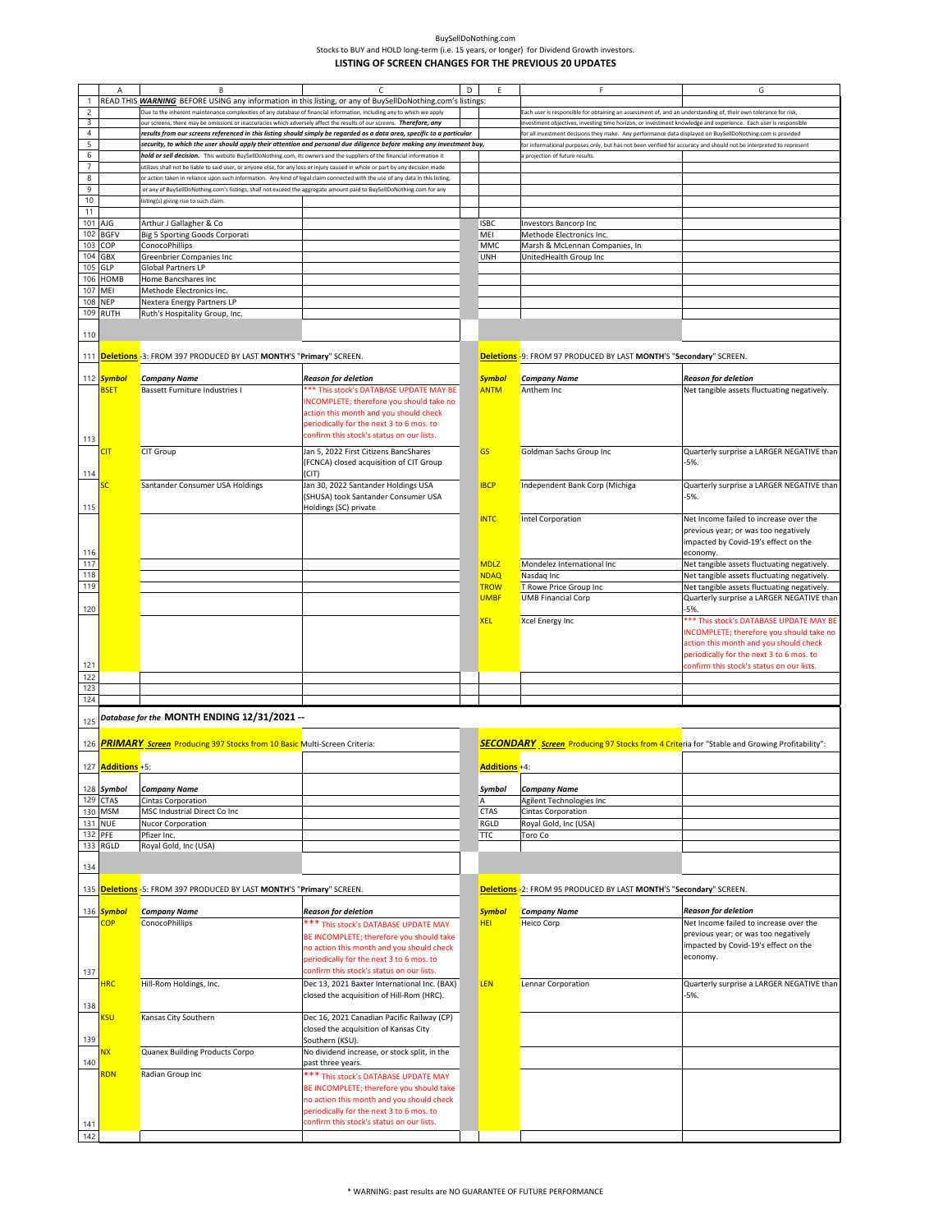|                          |                         |                                                                                                                                |                                                                                                                        |   |               | F                                                                                                                  |                                             |
|--------------------------|-------------------------|--------------------------------------------------------------------------------------------------------------------------------|------------------------------------------------------------------------------------------------------------------------|---|---------------|--------------------------------------------------------------------------------------------------------------------|---------------------------------------------|
|                          | A                       | B                                                                                                                              |                                                                                                                        | D |               |                                                                                                                    | G                                           |
| 1                        |                         | READ THIS WARNING BEFORE USING any information in this listing, or any of BuySellDoNothing.com's listings:                     |                                                                                                                        |   |               |                                                                                                                    |                                             |
| $\mathsf{2}$             |                         | Due to the inherent maintenance complexities of any database of financial information, including any to which we apply         |                                                                                                                        |   |               | Each user is responsible for obtaining an assessment of, and an understanding of, their own tolerance for risk,    |                                             |
| 3                        |                         | our screens, there may be omissions or inaccuracies which adversely affect the results of our screens. Therefore, any          |                                                                                                                        |   |               | vestment objectives, investing time horizon, or investment knowledge and experience. Each user is responsible      |                                             |
| $\overline{4}$           |                         |                                                                                                                                | results from our screens referenced in this listing should simply be regarded as a data area, specific to a particular |   |               | or all investment decisions they make. Any performance data displayed on BuySellDoNothing.com is provided          |                                             |
| 5                        |                         |                                                                                                                                | security, to which the user should apply their attention and personal due diligence before making any investment buy,  |   |               | for informational purposes only, but has not been verified for accuracy and should not be interpreted to represent |                                             |
| 6                        |                         | hold or sell decision. This website BuySellDoNothing.com, its owners and the suppliers of the financial information it         |                                                                                                                        |   |               | projection of future results.                                                                                      |                                             |
| $\overline{\phantom{a}}$ |                         | tilizes shall not be liable to said user, or anyone else, for any loss or injury caused in whole or part by any decision made  |                                                                                                                        |   |               |                                                                                                                    |                                             |
| $\,$ 8                   |                         | or action taken in reliance upon such information. Any kind of legal claim connected with the use of any data in this listing, |                                                                                                                        |   |               |                                                                                                                    |                                             |
| 9                        |                         | or any of BuySellDoNothing.com's listings, shall not exceed the aggregate amount paid to BuySellDoNothing.com for any          |                                                                                                                        |   |               |                                                                                                                    |                                             |
| 10                       |                         | listing(s) giving rise to such claim.                                                                                          |                                                                                                                        |   |               |                                                                                                                    |                                             |
| 11                       |                         |                                                                                                                                |                                                                                                                        |   |               |                                                                                                                    |                                             |
| 101                      | AJG                     | Arthur J Gallagher & Co                                                                                                        |                                                                                                                        |   | <b>ISBC</b>   | Investors Bancorp Inc                                                                                              |                                             |
| 102                      | <b>BGFV</b>             | <b>Big 5 Sporting Goods Corporati</b>                                                                                          |                                                                                                                        |   | MEI           | Methode Electronics Inc.                                                                                           |                                             |
| 103                      | COP                     | ConocoPhillips                                                                                                                 |                                                                                                                        |   | MMC           | Marsh & McLennan Companies, In                                                                                     |                                             |
| 104                      | GBX                     | Greenbrier Companies Inc                                                                                                       |                                                                                                                        |   | <b>UNH</b>    | UnitedHealth Group Inc                                                                                             |                                             |
| 105                      | GLP                     | Global Partners LP                                                                                                             |                                                                                                                        |   |               |                                                                                                                    |                                             |
| 106                      | HOMB                    | Home Bancshares Inc                                                                                                            |                                                                                                                        |   |               |                                                                                                                    |                                             |
| 107                      | MEI                     | Methode Electronics Inc.                                                                                                       |                                                                                                                        |   |               |                                                                                                                    |                                             |
| 108                      | <b>NEP</b>              | <b>Nextera Energy Partners LP</b>                                                                                              |                                                                                                                        |   |               |                                                                                                                    |                                             |
|                          | 109 RUTH                | Ruth's Hospitality Group, Inc.                                                                                                 |                                                                                                                        |   |               |                                                                                                                    |                                             |
|                          |                         |                                                                                                                                |                                                                                                                        |   |               |                                                                                                                    |                                             |
| 110                      |                         |                                                                                                                                |                                                                                                                        |   |               |                                                                                                                    |                                             |
|                          |                         |                                                                                                                                |                                                                                                                        |   |               |                                                                                                                    |                                             |
|                          |                         | 111 <b>Deletions</b> -3: FROM 397 PRODUCED BY LAST MONTH'S "Primary" SCREEN.                                                   |                                                                                                                        |   |               | Deletions -9: FROM 97 PRODUCED BY LAST MONTH'S "Secondary" SCREEN.                                                 |                                             |
|                          |                         |                                                                                                                                |                                                                                                                        |   |               |                                                                                                                    |                                             |
|                          | 112 <mark>Symbol</mark> | <b>Company Name</b>                                                                                                            | <b>Reason for deletion</b>                                                                                             |   | <b>Symbol</b> | <b>Company Name</b>                                                                                                | <b>Reason for deletion</b>                  |
|                          | <b>BSET</b>             | <b>Bassett Furniture Industries I</b>                                                                                          | *** This stock's DATABASE UPDATE MAY BE                                                                                |   | <b>ANTM</b>   | Anthem Inc                                                                                                         | Net tangible assets fluctuating negatively. |
|                          |                         |                                                                                                                                | INCOMPLETE; therefore you should take no                                                                               |   |               |                                                                                                                    |                                             |
|                          |                         |                                                                                                                                | action this month and you should check                                                                                 |   |               |                                                                                                                    |                                             |
|                          |                         |                                                                                                                                | periodically for the next 3 to 6 mos. to                                                                               |   |               |                                                                                                                    |                                             |
| 113                      |                         |                                                                                                                                | confirm this stock's status on our lists.                                                                              |   |               |                                                                                                                    |                                             |
|                          | <b>CIT</b>              | <b>CIT Group</b>                                                                                                               | Jan 5, 2022 First Citizens BancShares                                                                                  |   | <b>GS</b>     | Goldman Sachs Group Inc                                                                                            | Quarterly surprise a LARGER NEGATIVE than   |
|                          |                         |                                                                                                                                | (FCNCA) closed acquisition of CIT Group                                                                                |   |               |                                                                                                                    | -5%.                                        |
| 114                      |                         |                                                                                                                                | (CIT)                                                                                                                  |   |               |                                                                                                                    |                                             |
|                          |                         | Santander Consumer USA Holdings                                                                                                | Jan 30, 2022 Santander Holdings USA                                                                                    |   | <b>IBCP</b>   | Independent Bank Corp (Michiga                                                                                     | Quarterly surprise a LARGER NEGATIVE than   |
|                          |                         |                                                                                                                                | (SHUSA) took Santander Consumer USA                                                                                    |   |               |                                                                                                                    | $-5%$                                       |
| 115                      |                         |                                                                                                                                | Holdings (SC) private                                                                                                  |   |               |                                                                                                                    |                                             |
|                          |                         |                                                                                                                                |                                                                                                                        |   | <b>INTC</b>   | Intel Corporation                                                                                                  | Net Income failed to increase over the      |
|                          |                         |                                                                                                                                |                                                                                                                        |   |               |                                                                                                                    | previous year; or was too negatively        |
|                          |                         |                                                                                                                                |                                                                                                                        |   |               |                                                                                                                    | impacted by Covid-19's effect on the        |
| 116                      |                         |                                                                                                                                |                                                                                                                        |   |               |                                                                                                                    | economy.                                    |
| 117                      |                         |                                                                                                                                |                                                                                                                        |   | <b>MDLZ</b>   | Mondelez International Inc                                                                                         | Net tangible assets fluctuating negatively. |
| 118                      |                         |                                                                                                                                |                                                                                                                        |   | <b>NDAQ</b>   | Nasdaq Inc                                                                                                         | Net tangible assets fluctuating negatively. |
| 119                      |                         |                                                                                                                                |                                                                                                                        |   | <b>TROW</b>   | T Rowe Price Group Inc                                                                                             | Net tangible assets fluctuating negatively. |
|                          |                         |                                                                                                                                |                                                                                                                        |   | <b>UMBF</b>   | <b>UMB Financial Corp</b>                                                                                          | Quarterly surprise a LARGER NEGATIVE than   |
| 120                      |                         |                                                                                                                                |                                                                                                                        |   |               |                                                                                                                    |                                             |
|                          |                         |                                                                                                                                |                                                                                                                        |   |               |                                                                                                                    |                                             |
|                          |                         |                                                                                                                                |                                                                                                                        |   | <b>XEL</b>    | Xcel Energy Inc                                                                                                    | *** This stock's DATABASE UPDATE MAY BE     |
|                          |                         |                                                                                                                                |                                                                                                                        |   |               |                                                                                                                    | INCOMPLETE; therefore you should take no    |
|                          |                         |                                                                                                                                |                                                                                                                        |   |               |                                                                                                                    | action this month and you should check      |
|                          |                         |                                                                                                                                |                                                                                                                        |   |               |                                                                                                                    | periodically for the next 3 to 6 mos. to    |
| 121                      |                         |                                                                                                                                |                                                                                                                        |   |               |                                                                                                                    | confirm this stock's status on our lists.   |
| 122                      |                         |                                                                                                                                |                                                                                                                        |   |               |                                                                                                                    |                                             |
| 123                      |                         |                                                                                                                                |                                                                                                                        |   |               |                                                                                                                    |                                             |
| 124                      |                         |                                                                                                                                |                                                                                                                        |   |               |                                                                                                                    |                                             |
|                          |                         | Database for the MONTH ENDING 12/31/2021 --                                                                                    |                                                                                                                        |   |               |                                                                                                                    |                                             |
| 125                      |                         |                                                                                                                                |                                                                                                                        |   |               |                                                                                                                    |                                             |
| 126                      |                         | <b>PRIMARY</b> Screen Producing 397 Stocks from 10 Basic Multi-Screen Criteria:                                                |                                                                                                                        |   |               | <b>SECONDARY</b> Screen Producing 97 Stocks from 4 Criteria for "Stable and Growing Profitability":                |                                             |
|                          |                         |                                                                                                                                |                                                                                                                        |   |               |                                                                                                                    |                                             |
|                          | 127 Additions +5:       |                                                                                                                                |                                                                                                                        |   | Additions +4: |                                                                                                                    |                                             |
|                          |                         |                                                                                                                                |                                                                                                                        |   |               |                                                                                                                    |                                             |
|                          | 128 Symbol              | <b>Company Name</b>                                                                                                            |                                                                                                                        |   | Symbol        | <b>Company Name</b>                                                                                                |                                             |
| 129                      | <b>CTAS</b>             | Cintas Corporation                                                                                                             |                                                                                                                        |   | А             | Agilent Technologies Inc                                                                                           |                                             |
|                          | 130 MSM                 | MSC Industrial Direct Co Inc                                                                                                   |                                                                                                                        |   | <b>CTAS</b>   | Cintas Corporation                                                                                                 |                                             |
| 131 NUE                  |                         | Nucor Corporation                                                                                                              |                                                                                                                        |   | RGLD          | Royal Gold, Inc (USA)                                                                                              |                                             |
| 132 PFE                  |                         |                                                                                                                                |                                                                                                                        |   |               |                                                                                                                    |                                             |
|                          | 133 RGLD                | Pfizer Inc.<br>Royal Gold, Inc (USA)                                                                                           |                                                                                                                        |   | TTC           | Toro Co                                                                                                            |                                             |
|                          |                         |                                                                                                                                |                                                                                                                        |   |               |                                                                                                                    |                                             |
| 134                      |                         |                                                                                                                                |                                                                                                                        |   |               |                                                                                                                    |                                             |
|                          |                         |                                                                                                                                |                                                                                                                        |   |               |                                                                                                                    |                                             |
|                          |                         | 135 Deletions - 5: FROM 397 PRODUCED BY LAST MONTH'S "Primary" SCREEN.                                                         |                                                                                                                        |   |               | Deletions - 2: FROM 95 PRODUCED BY LAST MONTH'S "Secondary" SCREEN.                                                |                                             |
|                          |                         |                                                                                                                                |                                                                                                                        |   |               |                                                                                                                    |                                             |
|                          | 136 Symbol              | Company Name                                                                                                                   | <b>Reason for deletion</b>                                                                                             |   | <b>Symbol</b> | <b>Company Name</b>                                                                                                | <b>Reason for deletion</b>                  |
|                          | <b>COP</b>              | <b>ConocoPhillips</b>                                                                                                          | *** This stock's DATABASE UPDATE MAY                                                                                   |   | <b>HEI</b>    | Heico Corp                                                                                                         | Net Income failed to increase over the      |
|                          |                         |                                                                                                                                | BE INCOMPLETE; therefore you should take                                                                               |   |               |                                                                                                                    | previous year; or was too negatively        |
|                          |                         |                                                                                                                                |                                                                                                                        |   |               |                                                                                                                    | impacted by Covid-19's effect on the        |
|                          |                         |                                                                                                                                | no action this month and you should check                                                                              |   |               |                                                                                                                    | economy.                                    |
|                          |                         |                                                                                                                                | periodically for the next 3 to 6 mos. to                                                                               |   |               |                                                                                                                    |                                             |
| 137                      |                         |                                                                                                                                | confirm this stock's status on our lists.                                                                              |   |               |                                                                                                                    |                                             |
|                          | <b>HRC</b>              | Hill-Rom Holdings, Inc.                                                                                                        | Dec 13, 2021 Baxter International Inc. (BAX)                                                                           |   | LEN           | Lennar Corporation                                                                                                 | Quarterly surprise a LARGER NEGATIVE than   |
|                          |                         |                                                                                                                                | closed the acquisition of Hill-Rom (HRC).                                                                              |   |               |                                                                                                                    | $-5%$                                       |
| 138                      |                         |                                                                                                                                |                                                                                                                        |   |               |                                                                                                                    |                                             |
|                          | <b>KSU</b>              | Kansas City Southern                                                                                                           | Dec 16, 2021 Canadian Pacific Railway (CP)                                                                             |   |               |                                                                                                                    |                                             |
|                          |                         |                                                                                                                                | closed the acquisition of Kansas City                                                                                  |   |               |                                                                                                                    |                                             |
| 139                      |                         |                                                                                                                                | Southern (KSU).                                                                                                        |   |               |                                                                                                                    |                                             |
|                          | NΧ                      | Quanex Building Products Corpo                                                                                                 | No dividend increase, or stock split, in the                                                                           |   |               |                                                                                                                    |                                             |
| 140                      |                         |                                                                                                                                | past three years.                                                                                                      |   |               |                                                                                                                    |                                             |
|                          | <b>RDN</b>              | Radian Group Inc                                                                                                               | *** This stock's DATABASE UPDATE MAY                                                                                   |   |               |                                                                                                                    |                                             |
|                          |                         |                                                                                                                                | BE INCOMPLETE; therefore you should take                                                                               |   |               |                                                                                                                    |                                             |
|                          |                         |                                                                                                                                | no action this month and you should check                                                                              |   |               |                                                                                                                    |                                             |
|                          |                         |                                                                                                                                | periodically for the next 3 to 6 mos. to                                                                               |   |               |                                                                                                                    |                                             |
| 141                      |                         |                                                                                                                                | confirm this stock's status on our lists.                                                                              |   |               |                                                                                                                    |                                             |
| 142                      |                         |                                                                                                                                |                                                                                                                        |   |               |                                                                                                                    |                                             |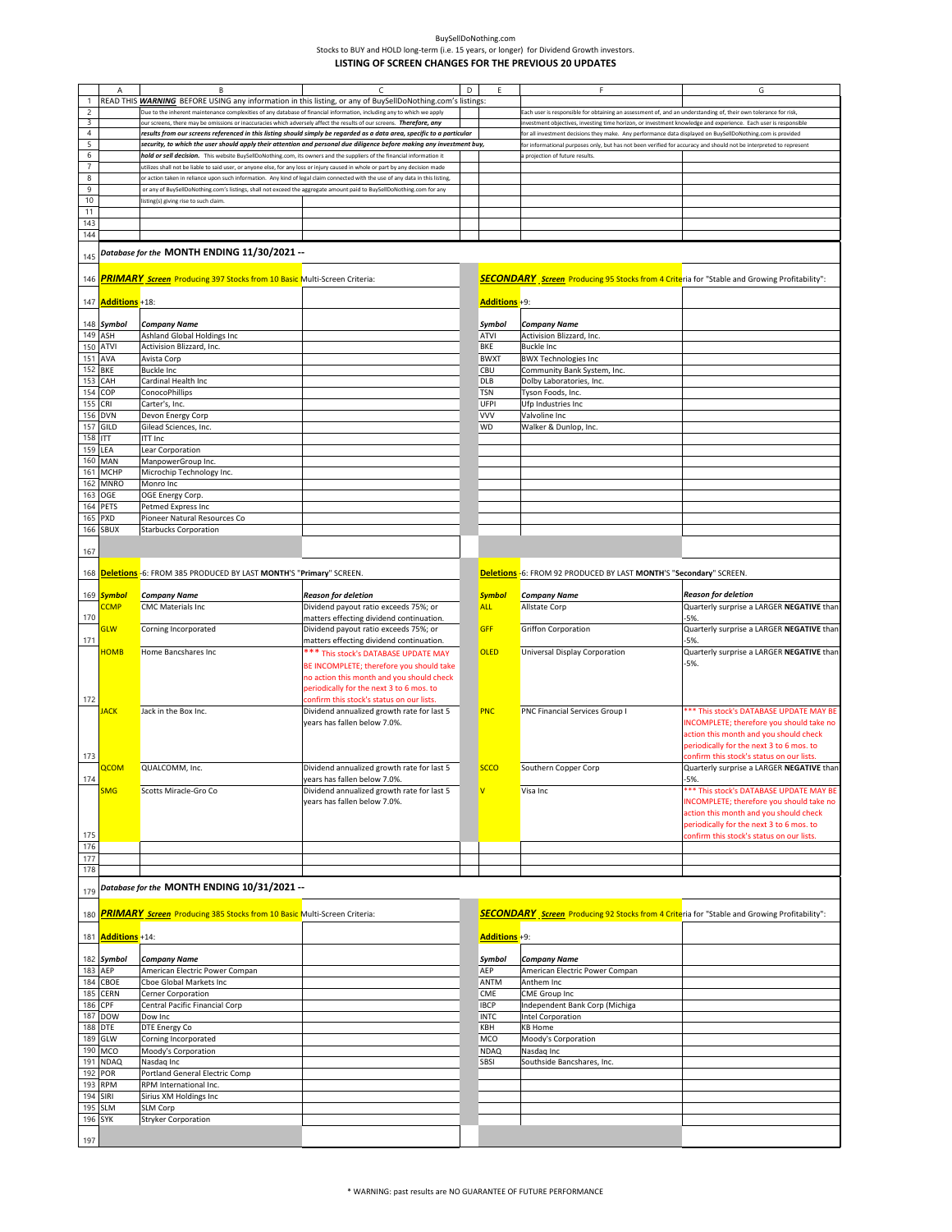|                |                           | B                                                                                                                              |                                                                                                                        | D |                      | F                                                                                                                  | G                                                |
|----------------|---------------------------|--------------------------------------------------------------------------------------------------------------------------------|------------------------------------------------------------------------------------------------------------------------|---|----------------------|--------------------------------------------------------------------------------------------------------------------|--------------------------------------------------|
| $\mathbf{1}$   |                           | READ THIS WARNING BEFORE USING any information in this listing, or any of BuySellDoNothing.com's listings:                     |                                                                                                                        |   |                      |                                                                                                                    |                                                  |
| $\overline{c}$ |                           | Due to the inherent maintenance complexities of any database of financial information, including any to which we apply         |                                                                                                                        |   |                      | Each user is responsible for obtaining an assessment of, and an understanding of, their own tolerance for risk,    |                                                  |
| 3              |                           | our screens, there may be omissions or inaccuracies which adversely affect the results of our screens. Therefore, any          |                                                                                                                        |   |                      | nvestment objectives, investing time horizon, or investment knowledge and experience. Each user is responsible     |                                                  |
| $\overline{4}$ |                           |                                                                                                                                | results from our screens referenced in this listing should simply be regarded as a data area, specific to a particular |   |                      | or all investment decisions they make. Any performance data displayed on BuySellDoNothing.com is provided          |                                                  |
| 5              |                           |                                                                                                                                | security, to which the user should apply their attention and personal due diligence before making any investment buy,  |   |                      | for informational purposes only, but has not been verified for accuracy and should not be interpreted to represent |                                                  |
| 6              |                           |                                                                                                                                |                                                                                                                        |   |                      |                                                                                                                    |                                                  |
|                |                           | hold or sell decision. This website BuySellDoNothing.com, its owners and the suppliers of the financial information it         |                                                                                                                        |   |                      | projection of future results.                                                                                      |                                                  |
| $\overline{7}$ |                           | tilizes shall not be liable to said user, or anyone else, for any loss or injury caused in whole or part by any decision made  |                                                                                                                        |   |                      |                                                                                                                    |                                                  |
| 8              |                           | or action taken in reliance upon such information. Any kind of legal claim connected with the use of any data in this listing, |                                                                                                                        |   |                      |                                                                                                                    |                                                  |
| 9              |                           | or any of BuySellDoNothing.com's listings, shall not exceed the aggregate amount paid to BuySellDoNothing.com for any          |                                                                                                                        |   |                      |                                                                                                                    |                                                  |
| $10$           |                           | isting(s) giving rise to such claim.                                                                                           |                                                                                                                        |   |                      |                                                                                                                    |                                                  |
| 11             |                           |                                                                                                                                |                                                                                                                        |   |                      |                                                                                                                    |                                                  |
| 143            |                           |                                                                                                                                |                                                                                                                        |   |                      |                                                                                                                    |                                                  |
|                |                           |                                                                                                                                |                                                                                                                        |   |                      |                                                                                                                    |                                                  |
| 144            |                           |                                                                                                                                |                                                                                                                        |   |                      |                                                                                                                    |                                                  |
|                |                           | Database for the MONTH ENDING 11/30/2021 --                                                                                    |                                                                                                                        |   |                      |                                                                                                                    |                                                  |
| 145            |                           |                                                                                                                                |                                                                                                                        |   |                      |                                                                                                                    |                                                  |
|                |                           |                                                                                                                                |                                                                                                                        |   |                      |                                                                                                                    |                                                  |
| 146            |                           | <b>PRIMARY</b> Screen Producing 397 Stocks from 10 Basic Multi-Screen Criteria:                                                |                                                                                                                        |   |                      | <b>SECONDARY</b> Screen Producing 95 Stocks from 4 Criteria for "Stable and Growing Profitability":                |                                                  |
|                |                           |                                                                                                                                |                                                                                                                        |   |                      |                                                                                                                    |                                                  |
|                |                           |                                                                                                                                |                                                                                                                        |   |                      |                                                                                                                    |                                                  |
|                | 147 <b>Additions</b> +18: |                                                                                                                                |                                                                                                                        |   | <b>Additions +9:</b> |                                                                                                                    |                                                  |
|                |                           |                                                                                                                                |                                                                                                                        |   |                      |                                                                                                                    |                                                  |
|                | 148 Symbol                | Company Name                                                                                                                   |                                                                                                                        |   | Symbol               | Company Name                                                                                                       |                                                  |
| 149            | ASH                       | Ashland Global Holdings Inc                                                                                                    |                                                                                                                        |   | <b>ATVI</b>          | Activision Blizzard, Inc.                                                                                          |                                                  |
| 150            | <b>ATVI</b>               | Activision Blizzard, Inc.                                                                                                      |                                                                                                                        |   | BKE                  | <b>Buckle Inc</b>                                                                                                  |                                                  |
| 151            | AVA                       | Avista Corp                                                                                                                    |                                                                                                                        |   | <b>BWXT</b>          | <b>BWX Technologies Inc</b>                                                                                        |                                                  |
|                |                           |                                                                                                                                |                                                                                                                        |   |                      |                                                                                                                    |                                                  |
| 152            | <b>BKE</b>                | Buckle Inc                                                                                                                     |                                                                                                                        |   | CBU                  | Community Bank System, Inc.                                                                                        |                                                  |
| 153            | CAH                       | Cardinal Health Inc                                                                                                            |                                                                                                                        |   | DLB                  | Dolby Laboratories, Inc.                                                                                           |                                                  |
| 154            | COP                       | ConocoPhillips                                                                                                                 |                                                                                                                        |   | <b>TSN</b>           | Tyson Foods, Inc.                                                                                                  |                                                  |
| 155            | CRI                       | Carter's, Inc.                                                                                                                 |                                                                                                                        |   | UFPI                 | Ufo Industries Inc                                                                                                 |                                                  |
| 156            | <b>DVN</b>                | Devon Energy Corp                                                                                                              |                                                                                                                        |   | <b>VVV</b>           | Valvoline Inc                                                                                                      |                                                  |
| 157            | GILD                      | Gilead Sciences, Inc.                                                                                                          |                                                                                                                        |   | WD                   | Walker & Dunlop, Inc.                                                                                              |                                                  |
|                |                           |                                                                                                                                |                                                                                                                        |   |                      |                                                                                                                    |                                                  |
| 158            | <b>ITT</b>                | <b>ITT Inc</b>                                                                                                                 |                                                                                                                        |   |                      |                                                                                                                    |                                                  |
| 159            | LEA                       | Lear Corporation                                                                                                               |                                                                                                                        |   |                      |                                                                                                                    |                                                  |
| 160            | MAN                       | ManpowerGroup Inc.                                                                                                             |                                                                                                                        |   |                      |                                                                                                                    |                                                  |
| 161            | <b>MCHP</b>               | Microchip Technology Inc.                                                                                                      |                                                                                                                        |   |                      |                                                                                                                    |                                                  |
| 162            | <b>MNRO</b>               | Monro Inc                                                                                                                      |                                                                                                                        |   |                      |                                                                                                                    |                                                  |
| 163            | OGE                       | OGE Energy Corp.                                                                                                               |                                                                                                                        |   |                      |                                                                                                                    |                                                  |
|                |                           |                                                                                                                                |                                                                                                                        |   |                      |                                                                                                                    |                                                  |
| 164            | PETS                      | Petmed Express Inc                                                                                                             |                                                                                                                        |   |                      |                                                                                                                    |                                                  |
| 165            | PXD                       | Pioneer Natural Resources Co                                                                                                   |                                                                                                                        |   |                      |                                                                                                                    |                                                  |
| 166            | <b>SBUX</b>               | <b>Starbucks Corporation</b>                                                                                                   |                                                                                                                        |   |                      |                                                                                                                    |                                                  |
|                |                           |                                                                                                                                |                                                                                                                        |   |                      |                                                                                                                    |                                                  |
| 167            |                           |                                                                                                                                |                                                                                                                        |   |                      |                                                                                                                    |                                                  |
|                |                           |                                                                                                                                |                                                                                                                        |   |                      |                                                                                                                    |                                                  |
|                |                           |                                                                                                                                |                                                                                                                        |   |                      |                                                                                                                    |                                                  |
|                |                           | 168 <mark>Deletions</mark> -6: FROM 385 PRODUCED BY LAST <b>MONTH'S "Primary"</b> SCREEN.                                      |                                                                                                                        |   |                      | Deletions -6: FROM 92 PRODUCED BY LAST MONTH'S "Secondary" SCREEN.                                                 |                                                  |
|                |                           |                                                                                                                                |                                                                                                                        |   |                      |                                                                                                                    |                                                  |
|                | 169 Symbol                | <b>Company Name</b>                                                                                                            | <b>Reason for deletion</b>                                                                                             |   | <b>Symbol</b>        | <b>Company Name</b>                                                                                                | <b>Reason for deletion</b>                       |
|                | <b>CCMP</b>               | <b>CMC Materials Inc</b>                                                                                                       | Dividend payout ratio exceeds 75%; or                                                                                  |   | <b>ALL</b>           | Allstate Corp                                                                                                      | Quarterly surprise a LARGER NEGATIVE than        |
| 170            |                           |                                                                                                                                | matters effecting dividend continuation.                                                                               |   |                      |                                                                                                                    | $-5%$                                            |
|                | <b>GLW</b>                | Corning Incorporated                                                                                                           | Dividend payout ratio exceeds 75%; or                                                                                  |   | <b>GFF</b>           | Griffon Corporation                                                                                                | Quarterly surprise a LARGER NEGATIVE than        |
| 171            |                           |                                                                                                                                | matters effecting dividend continuation.                                                                               |   |                      |                                                                                                                    | $-5%$                                            |
|                |                           |                                                                                                                                |                                                                                                                        |   |                      |                                                                                                                    |                                                  |
|                | <b>HOMB</b>               | Home Bancshares Inc                                                                                                            | *** This stock's DATABASE UPDATE MAY                                                                                   |   | <b>OLED</b>          | <b>Universal Display Corporation</b>                                                                               | Quarterly surprise a LARGER NEGATIVE than        |
|                |                           |                                                                                                                                | BE INCOMPLETE; therefore you should take                                                                               |   |                      |                                                                                                                    | $-5%$                                            |
|                |                           |                                                                                                                                | no action this month and you should check                                                                              |   |                      |                                                                                                                    |                                                  |
|                |                           |                                                                                                                                | periodically for the next 3 to 6 mos. to                                                                               |   |                      |                                                                                                                    |                                                  |
|                |                           |                                                                                                                                |                                                                                                                        |   |                      |                                                                                                                    |                                                  |
| 172            |                           |                                                                                                                                | confirm this stock's status on our lists.                                                                              |   |                      |                                                                                                                    |                                                  |
|                | <b>IACK</b>               | Jack in the Box Inc.                                                                                                           | Dividend annualized growth rate for last 5                                                                             |   | <b>PNC</b>           | <b>PNC Financial Services Group I</b>                                                                              | *** This stock's DATABASE UPDATE MAY BE          |
|                |                           |                                                                                                                                | years has fallen below 7.0%.                                                                                           |   |                      |                                                                                                                    | INCOMPLETE; therefore you should take no         |
|                |                           |                                                                                                                                |                                                                                                                        |   |                      |                                                                                                                    | action this month and you should check           |
|                |                           |                                                                                                                                |                                                                                                                        |   |                      |                                                                                                                    | periodically for the next 3 to 6 mos. to         |
| 173            |                           |                                                                                                                                |                                                                                                                        |   |                      |                                                                                                                    | confirm this stock's status on our lists.        |
|                |                           |                                                                                                                                |                                                                                                                        |   |                      |                                                                                                                    |                                                  |
|                | <b>QCOM</b>               | QUALCOMM, Inc.                                                                                                                 | Dividend annualized growth rate for last 5                                                                             |   | <b>SCCO</b>          | Southern Copper Corp                                                                                               | Quarterly surprise a LARGER NEGATIVE than        |
| 174            |                           |                                                                                                                                | years has fallen below 7.0%.                                                                                           |   |                      |                                                                                                                    | -5%.                                             |
|                | <b>SMG</b>                | Scotts Miracle-Gro Co                                                                                                          | Dividend annualized growth rate for last 5                                                                             |   | V                    | Visa Inc                                                                                                           | *** This stock's DATABASE UPDATE MAY BE          |
|                |                           |                                                                                                                                | years has fallen below 7.0%.                                                                                           |   |                      |                                                                                                                    | <b>INCOMPLETE</b> ; therefore you should take no |
|                |                           |                                                                                                                                |                                                                                                                        |   |                      |                                                                                                                    | action this month and you should check           |
|                |                           |                                                                                                                                |                                                                                                                        |   |                      |                                                                                                                    | periodically for the next 3 to 6 mos. to         |
|                |                           |                                                                                                                                |                                                                                                                        |   |                      |                                                                                                                    |                                                  |
| 175            |                           |                                                                                                                                |                                                                                                                        |   |                      |                                                                                                                    | confirm this stock's status on our lists.        |
| 176            |                           |                                                                                                                                |                                                                                                                        |   |                      |                                                                                                                    |                                                  |
| 177            |                           |                                                                                                                                |                                                                                                                        |   |                      |                                                                                                                    |                                                  |
| 178            |                           |                                                                                                                                |                                                                                                                        |   |                      |                                                                                                                    |                                                  |
|                |                           |                                                                                                                                |                                                                                                                        |   |                      |                                                                                                                    |                                                  |
| 179            |                           | -- Database for the MONTH ENDING 10/31/2021                                                                                    |                                                                                                                        |   |                      |                                                                                                                    |                                                  |
|                |                           |                                                                                                                                |                                                                                                                        |   |                      |                                                                                                                    |                                                  |
|                |                           |                                                                                                                                |                                                                                                                        |   |                      |                                                                                                                    |                                                  |
| 180            |                           | <b>PRIMARY</b> Screen Producing 385 Stocks from 10 Basic Multi-Screen Criteria:                                                |                                                                                                                        |   |                      | <b>SECONDARY</b> Screen Producing 92 Stocks from 4 Criteria for "Stable and Growing Profitability":                |                                                  |
|                |                           |                                                                                                                                |                                                                                                                        |   |                      |                                                                                                                    |                                                  |
|                | 181 <b>Additions</b> +14: |                                                                                                                                |                                                                                                                        |   | Additions +9:        |                                                                                                                    |                                                  |
|                |                           |                                                                                                                                |                                                                                                                        |   |                      |                                                                                                                    |                                                  |
|                | 182 Symbol                | <b>Company Name</b>                                                                                                            |                                                                                                                        |   | Symbol               | Company Name                                                                                                       |                                                  |
|                |                           |                                                                                                                                |                                                                                                                        |   |                      |                                                                                                                    |                                                  |
| 183            | AEP                       | American Electric Power Compan                                                                                                 |                                                                                                                        |   | AEP                  | American Electric Power Compan                                                                                     |                                                  |
| 184            | CBOE                      | Cboe Global Markets Inc                                                                                                        |                                                                                                                        |   | ANTM                 | Anthem Inc                                                                                                         |                                                  |
| 185            | <b>CERN</b>               | Cerner Corporation                                                                                                             |                                                                                                                        |   | CME                  | CME Group Inc                                                                                                      |                                                  |
| 186            | CPF                       | Central Pacific Financial Corp                                                                                                 |                                                                                                                        |   | <b>IBCP</b>          | Independent Bank Corp (Michiga                                                                                     |                                                  |
|                | 187 DOW                   | Dow Inc                                                                                                                        |                                                                                                                        |   | <b>INTC</b>          | Intel Corporation                                                                                                  |                                                  |
|                |                           |                                                                                                                                |                                                                                                                        |   |                      |                                                                                                                    |                                                  |
| 188            | DTE                       | DTE Energy Co                                                                                                                  |                                                                                                                        |   | KBH                  | <b>KB Home</b>                                                                                                     |                                                  |
| 189            | GLW                       | Corning Incorporated                                                                                                           |                                                                                                                        |   | MCO                  | Moody's Corporation                                                                                                |                                                  |
| 190            | MCO                       | Moody's Corporation                                                                                                            |                                                                                                                        |   | <b>NDAQ</b>          | Nasdaq Inc                                                                                                         |                                                  |
|                | 191 NDAQ                  | Nasdaq Inc                                                                                                                     |                                                                                                                        |   | SBSI                 | Southside Bancshares, Inc.                                                                                         |                                                  |
| 192            | POR                       |                                                                                                                                |                                                                                                                        |   |                      |                                                                                                                    |                                                  |
|                |                           | Portland General Electric Comp                                                                                                 |                                                                                                                        |   |                      |                                                                                                                    |                                                  |
| 193            | <b>RPM</b>                | RPM International Inc.                                                                                                         |                                                                                                                        |   |                      |                                                                                                                    |                                                  |
| 194            | SIRI                      | Sirius XM Holdings Inc                                                                                                         |                                                                                                                        |   |                      |                                                                                                                    |                                                  |
| 195            | <b>SLM</b>                | SLM Corp                                                                                                                       |                                                                                                                        |   |                      |                                                                                                                    |                                                  |
| 196 SYK        |                           | <b>Stryker Corporation</b>                                                                                                     |                                                                                                                        |   |                      |                                                                                                                    |                                                  |
|                |                           |                                                                                                                                |                                                                                                                        |   |                      |                                                                                                                    |                                                  |
|                |                           |                                                                                                                                |                                                                                                                        |   |                      |                                                                                                                    |                                                  |
| 197            |                           |                                                                                                                                |                                                                                                                        |   |                      |                                                                                                                    |                                                  |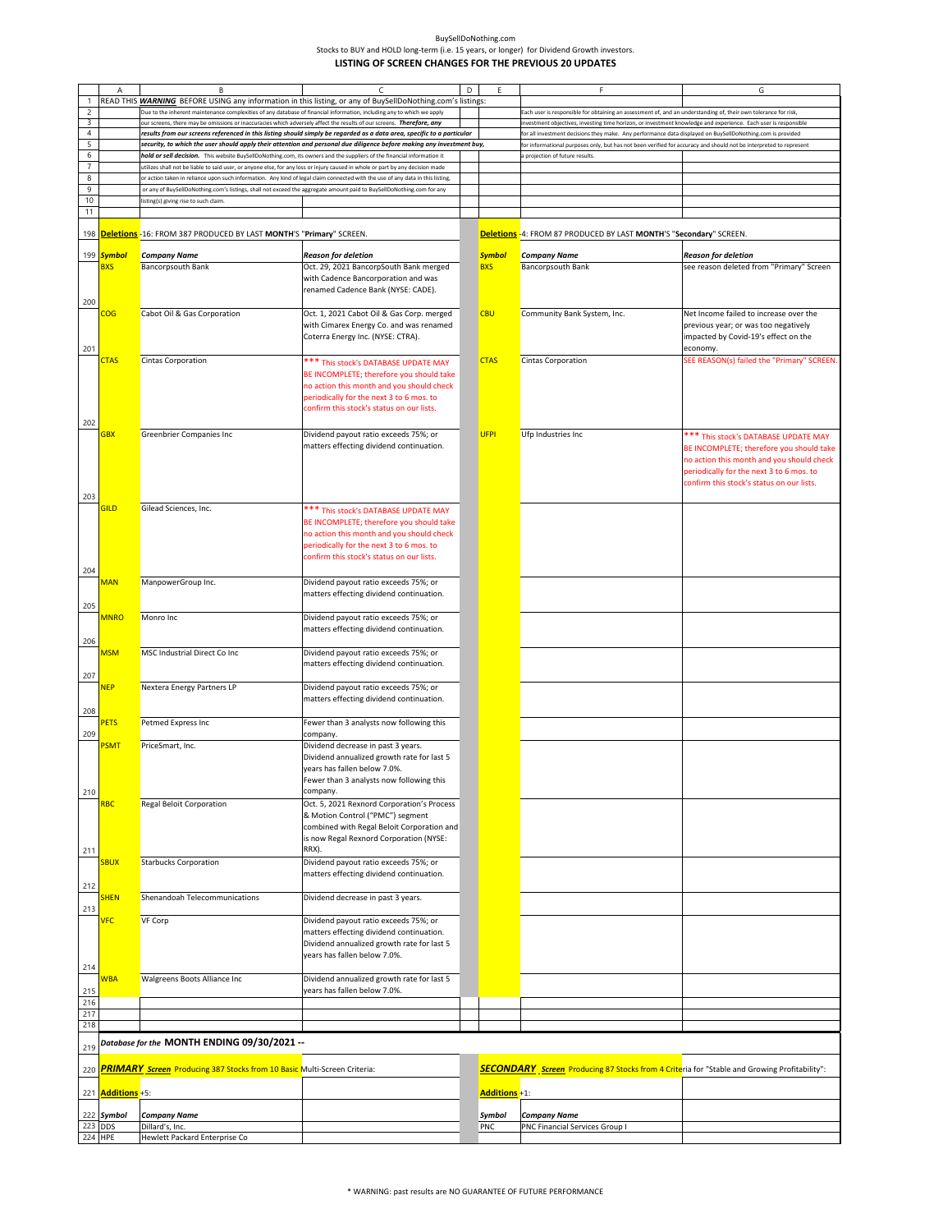|                | A                       | B                                                                                                                              | C                                                                                                                      | D | E             | F                                                                                                                  | G                                          |
|----------------|-------------------------|--------------------------------------------------------------------------------------------------------------------------------|------------------------------------------------------------------------------------------------------------------------|---|---------------|--------------------------------------------------------------------------------------------------------------------|--------------------------------------------|
|                |                         |                                                                                                                                | READ THIS <b>WARNING</b> BEFORE USING any information in this listing, or any of BuySellDoNothing.com's listings:      |   |               |                                                                                                                    |                                            |
|                |                         |                                                                                                                                |                                                                                                                        |   |               |                                                                                                                    |                                            |
| $\overline{c}$ |                         | Due to the inherent maintenance complexities of any database of financial information, including any to which we apply         |                                                                                                                        |   |               | Each user is responsible for obtaining an assessment of, and an understanding of, their own tolerance for risk,    |                                            |
| 3              |                         | our screens, there may be omissions or inaccuracies which adversely affect the results of our screens. Therefore, any          |                                                                                                                        |   |               | investment objectives, investing time horizon, or investment knowledge and experience. Each user is responsible    |                                            |
| $\overline{4}$ |                         |                                                                                                                                | results from our screens referenced in this listing should simply be regarded as a data area, specific to a particular |   |               | for all investment decisions they make. Any performance data displayed on BuySellDoNothing.com is provided         |                                            |
| 5              |                         |                                                                                                                                | security, to which the user should apply their attention and personal due diligence before making any investment buy,  |   |               | for informational purposes only, but has not been verified for accuracy and should not be interpreted to represent |                                            |
| 6              |                         | hold or sell decision. This website BuySellDoNothing.com, its owners and the suppliers of the financial information it         |                                                                                                                        |   |               | a projection of future results.                                                                                    |                                            |
| $\overline{7}$ |                         | utilizes shall not be liable to said user, or anyone else, for any loss or injury caused in whole or part by any decision made |                                                                                                                        |   |               |                                                                                                                    |                                            |
| 8              |                         | or action taken in reliance upon such information. Any kind of legal claim connected with the use of any data in this listing, |                                                                                                                        |   |               |                                                                                                                    |                                            |
| 9              |                         | or any of BuySellDoNothing.com's listings, shall not exceed the aggregate amount paid to BuySellDoNothing.com for any          |                                                                                                                        |   |               |                                                                                                                    |                                            |
| 10             |                         | listing(s) giving rise to such claim.                                                                                          |                                                                                                                        |   |               |                                                                                                                    |                                            |
| 11             |                         |                                                                                                                                |                                                                                                                        |   |               |                                                                                                                    |                                            |
|                |                         |                                                                                                                                |                                                                                                                        |   |               |                                                                                                                    |                                            |
| 198            |                         | <mark>Deletions</mark> -16: FROM 387 PRODUCED BY LAST <b>MONTH'S "Primary"</b> SCREEN.                                         |                                                                                                                        |   |               | Deletions - 4: FROM 87 PRODUCED BY LAST MONTH'S "Secondary" SCREEN.                                                |                                            |
|                |                         |                                                                                                                                |                                                                                                                        |   |               |                                                                                                                    |                                            |
| 199            | <b>Symbol</b>           | <b>Company Name</b>                                                                                                            | <b>Reason for deletion</b>                                                                                             |   | <b>Symbol</b> | <b>Company Name</b>                                                                                                | <b>Reason for deletion</b>                 |
|                | <b>BXS</b>              | <b>Bancorpsouth Bank</b>                                                                                                       | Oct. 29, 2021 BancorpSouth Bank merged                                                                                 |   | <b>BXS</b>    | <b>Bancorpsouth Bank</b>                                                                                           | see reason deleted from "Primary" Screen   |
|                |                         |                                                                                                                                | with Cadence Bancorporation and was                                                                                    |   |               |                                                                                                                    |                                            |
|                |                         |                                                                                                                                | renamed Cadence Bank (NYSE: CADE).                                                                                     |   |               |                                                                                                                    |                                            |
| 200            |                         |                                                                                                                                |                                                                                                                        |   |               |                                                                                                                    |                                            |
|                | $\overline{\text{COG}}$ | Cabot Oil & Gas Corporation                                                                                                    | Oct. 1, 2021 Cabot Oil & Gas Corp. merged                                                                              |   | <b>CBU</b>    | Community Bank System, Inc.                                                                                        | Net Income failed to increase over the     |
|                |                         |                                                                                                                                | with Cimarex Energy Co. and was renamed                                                                                |   |               |                                                                                                                    | previous year; or was too negatively       |
|                |                         |                                                                                                                                |                                                                                                                        |   |               |                                                                                                                    |                                            |
|                |                         |                                                                                                                                | Coterra Energy Inc. (NYSE: CTRA).                                                                                      |   |               |                                                                                                                    | impacted by Covid-19's effect on the       |
| 201            |                         |                                                                                                                                |                                                                                                                        |   |               |                                                                                                                    | economy.                                   |
|                | <b>CTAS</b>             | <b>Cintas Corporation</b>                                                                                                      | *** This stock's DATABASE UPDATE MAY                                                                                   |   | <b>CTAS</b>   | Cintas Corporation                                                                                                 | SEE REASON(s) failed the "Primary" SCREEN. |
|                |                         |                                                                                                                                | BE INCOMPLETE; therefore you should take                                                                               |   |               |                                                                                                                    |                                            |
|                |                         |                                                                                                                                | no action this month and you should check                                                                              |   |               |                                                                                                                    |                                            |
|                |                         |                                                                                                                                | periodically for the next 3 to 6 mos. to                                                                               |   |               |                                                                                                                    |                                            |
|                |                         |                                                                                                                                | confirm this stock's status on our lists.                                                                              |   |               |                                                                                                                    |                                            |
|                |                         |                                                                                                                                |                                                                                                                        |   |               |                                                                                                                    |                                            |
| 202            |                         |                                                                                                                                |                                                                                                                        |   |               |                                                                                                                    |                                            |
|                | <b>GBX</b>              | Greenbrier Companies Inc                                                                                                       | Dividend payout ratio exceeds 75%; or                                                                                  |   | <b>UFPI</b>   | Ufp Industries Inc                                                                                                 | *** This stock's DATABASE UPDATE MAY       |
|                |                         |                                                                                                                                | matters effecting dividend continuation.                                                                               |   |               |                                                                                                                    | BE INCOMPLETE; therefore you should take   |
|                |                         |                                                                                                                                |                                                                                                                        |   |               |                                                                                                                    | no action this month and you should check  |
|                |                         |                                                                                                                                |                                                                                                                        |   |               |                                                                                                                    | periodically for the next 3 to 6 mos. to   |
|                |                         |                                                                                                                                |                                                                                                                        |   |               |                                                                                                                    | confirm this stock's status on our lists.  |
|                |                         |                                                                                                                                |                                                                                                                        |   |               |                                                                                                                    |                                            |
| 203            |                         |                                                                                                                                |                                                                                                                        |   |               |                                                                                                                    |                                            |
|                | <b>GILD</b>             | Gilead Sciences, Inc.                                                                                                          | *** This stock's DATABASE UPDATE MAY                                                                                   |   |               |                                                                                                                    |                                            |
|                |                         |                                                                                                                                | BE INCOMPLETE; therefore you should take                                                                               |   |               |                                                                                                                    |                                            |
|                |                         |                                                                                                                                | no action this month and you should check                                                                              |   |               |                                                                                                                    |                                            |
|                |                         |                                                                                                                                | periodically for the next 3 to 6 mos. to                                                                               |   |               |                                                                                                                    |                                            |
|                |                         |                                                                                                                                | confirm this stock's status on our lists.                                                                              |   |               |                                                                                                                    |                                            |
| 204            |                         |                                                                                                                                |                                                                                                                        |   |               |                                                                                                                    |                                            |
|                | <b>MAN</b>              | ManpowerGroup Inc.                                                                                                             | Dividend payout ratio exceeds 75%; or                                                                                  |   |               |                                                                                                                    |                                            |
|                |                         |                                                                                                                                | matters effecting dividend continuation.                                                                               |   |               |                                                                                                                    |                                            |
|                |                         |                                                                                                                                |                                                                                                                        |   |               |                                                                                                                    |                                            |
| 205            |                         |                                                                                                                                |                                                                                                                        |   |               |                                                                                                                    |                                            |
|                | <b>MNRO</b>             | Monro Inc                                                                                                                      | Dividend payout ratio exceeds 75%; or                                                                                  |   |               |                                                                                                                    |                                            |
|                |                         |                                                                                                                                | matters effecting dividend continuation.                                                                               |   |               |                                                                                                                    |                                            |
| 206            |                         |                                                                                                                                |                                                                                                                        |   |               |                                                                                                                    |                                            |
|                | <b>MSM</b>              | MSC Industrial Direct Co Inc                                                                                                   | Dividend payout ratio exceeds 75%; or                                                                                  |   |               |                                                                                                                    |                                            |
|                |                         |                                                                                                                                | matters effecting dividend continuation.                                                                               |   |               |                                                                                                                    |                                            |
| 207            |                         |                                                                                                                                |                                                                                                                        |   |               |                                                                                                                    |                                            |
|                | <b>NEP</b>              | Nextera Energy Partners LP                                                                                                     | Dividend payout ratio exceeds 75%; or                                                                                  |   |               |                                                                                                                    |                                            |
|                |                         |                                                                                                                                | matters effecting dividend continuation.                                                                               |   |               |                                                                                                                    |                                            |
| 208            |                         |                                                                                                                                |                                                                                                                        |   |               |                                                                                                                    |                                            |
|                | PETS                    | Petmed Express Inc                                                                                                             | Fewer than 3 analysts now following this                                                                               |   |               |                                                                                                                    |                                            |
| 209            |                         |                                                                                                                                | company.                                                                                                               |   |               |                                                                                                                    |                                            |
|                | <b>PSMT</b>             | PriceSmart, Inc.                                                                                                               | Dividend decrease in past 3 years.                                                                                     |   |               |                                                                                                                    |                                            |
|                |                         |                                                                                                                                | Dividend annualized growth rate for last 5                                                                             |   |               |                                                                                                                    |                                            |
|                |                         |                                                                                                                                |                                                                                                                        |   |               |                                                                                                                    |                                            |
|                |                         |                                                                                                                                | years has fallen below 7.0%.                                                                                           |   |               |                                                                                                                    |                                            |
|                |                         |                                                                                                                                | Fewer than 3 analysts now following this                                                                               |   |               |                                                                                                                    |                                            |
| 210            |                         |                                                                                                                                | company.                                                                                                               |   |               |                                                                                                                    |                                            |
|                | <b>RBC</b>              | <b>Regal Beloit Corporation</b>                                                                                                | Oct. 5, 2021 Rexnord Corporation's Process                                                                             |   |               |                                                                                                                    |                                            |
|                |                         |                                                                                                                                | & Motion Control ("PMC") segment                                                                                       |   |               |                                                                                                                    |                                            |
|                |                         |                                                                                                                                | combined with Regal Beloit Corporation and                                                                             |   |               |                                                                                                                    |                                            |
|                |                         |                                                                                                                                | is now Regal Rexnord Corporation (NYSE:                                                                                |   |               |                                                                                                                    |                                            |
| 211            |                         |                                                                                                                                | RRX).                                                                                                                  |   |               |                                                                                                                    |                                            |
|                | <b>SBUX</b>             | <b>Starbucks Corporation</b>                                                                                                   | Dividend payout ratio exceeds 75%; or                                                                                  |   |               |                                                                                                                    |                                            |
|                |                         |                                                                                                                                | matters effecting dividend continuation.                                                                               |   |               |                                                                                                                    |                                            |
| 212            |                         |                                                                                                                                |                                                                                                                        |   |               |                                                                                                                    |                                            |
|                | <b>SHEN</b>             | Shenandoah Telecommunications                                                                                                  | Dividend decrease in past 3 years.                                                                                     |   |               |                                                                                                                    |                                            |
| 213            |                         |                                                                                                                                |                                                                                                                        |   |               |                                                                                                                    |                                            |
|                | <b>VFC</b>              | VF Corp                                                                                                                        | Dividend payout ratio exceeds 75%; or                                                                                  |   |               |                                                                                                                    |                                            |
|                |                         |                                                                                                                                | matters effecting dividend continuation.                                                                               |   |               |                                                                                                                    |                                            |
|                |                         |                                                                                                                                | Dividend annualized growth rate for last 5                                                                             |   |               |                                                                                                                    |                                            |
|                |                         |                                                                                                                                | years has fallen below 7.0%.                                                                                           |   |               |                                                                                                                    |                                            |
| 214            |                         |                                                                                                                                |                                                                                                                        |   |               |                                                                                                                    |                                            |
|                |                         |                                                                                                                                |                                                                                                                        |   |               |                                                                                                                    |                                            |
|                | <mark>NBA</mark>        | Walgreens Boots Alliance Inc                                                                                                   | Dividend annualized growth rate for last 5                                                                             |   |               |                                                                                                                    |                                            |
| 215            |                         |                                                                                                                                | years has fallen below 7.0%.                                                                                           |   |               |                                                                                                                    |                                            |
| 216            |                         |                                                                                                                                |                                                                                                                        |   |               |                                                                                                                    |                                            |
| 217            |                         |                                                                                                                                |                                                                                                                        |   |               |                                                                                                                    |                                            |
| 218            |                         |                                                                                                                                |                                                                                                                        |   |               |                                                                                                                    |                                            |
|                |                         | Database for the MONTH ENDING 09/30/2021 --                                                                                    |                                                                                                                        |   |               |                                                                                                                    |                                            |
| 219            |                         |                                                                                                                                |                                                                                                                        |   |               |                                                                                                                    |                                            |
|                |                         |                                                                                                                                |                                                                                                                        |   |               |                                                                                                                    |                                            |
| 220            |                         | <b>PRIMARY</b> Screen Producing 387 Stocks from 10 Basic Multi-Screen Criteria:                                                |                                                                                                                        |   |               | <b>SECONDARY</b> Screen Producing 87 Stocks from 4 Criteria for "Stable and Growing Profitability":                |                                            |
|                |                         |                                                                                                                                |                                                                                                                        |   |               |                                                                                                                    |                                            |
| 221            | Additions +5:           |                                                                                                                                |                                                                                                                        |   | Additions +1: |                                                                                                                    |                                            |
|                |                         |                                                                                                                                |                                                                                                                        |   | Symbol        | <b>Company Name</b>                                                                                                |                                            |
|                | 222 Symbol              | <b>Company Name</b>                                                                                                            |                                                                                                                        |   |               |                                                                                                                    |                                            |
| 223 DDS        |                         | Dillard's, Inc.                                                                                                                |                                                                                                                        |   | PNC           | PNC Financial Services Group I                                                                                     |                                            |
| 224 HPE        |                         | Hewlett Packard Enterprise Co                                                                                                  |                                                                                                                        |   |               |                                                                                                                    |                                            |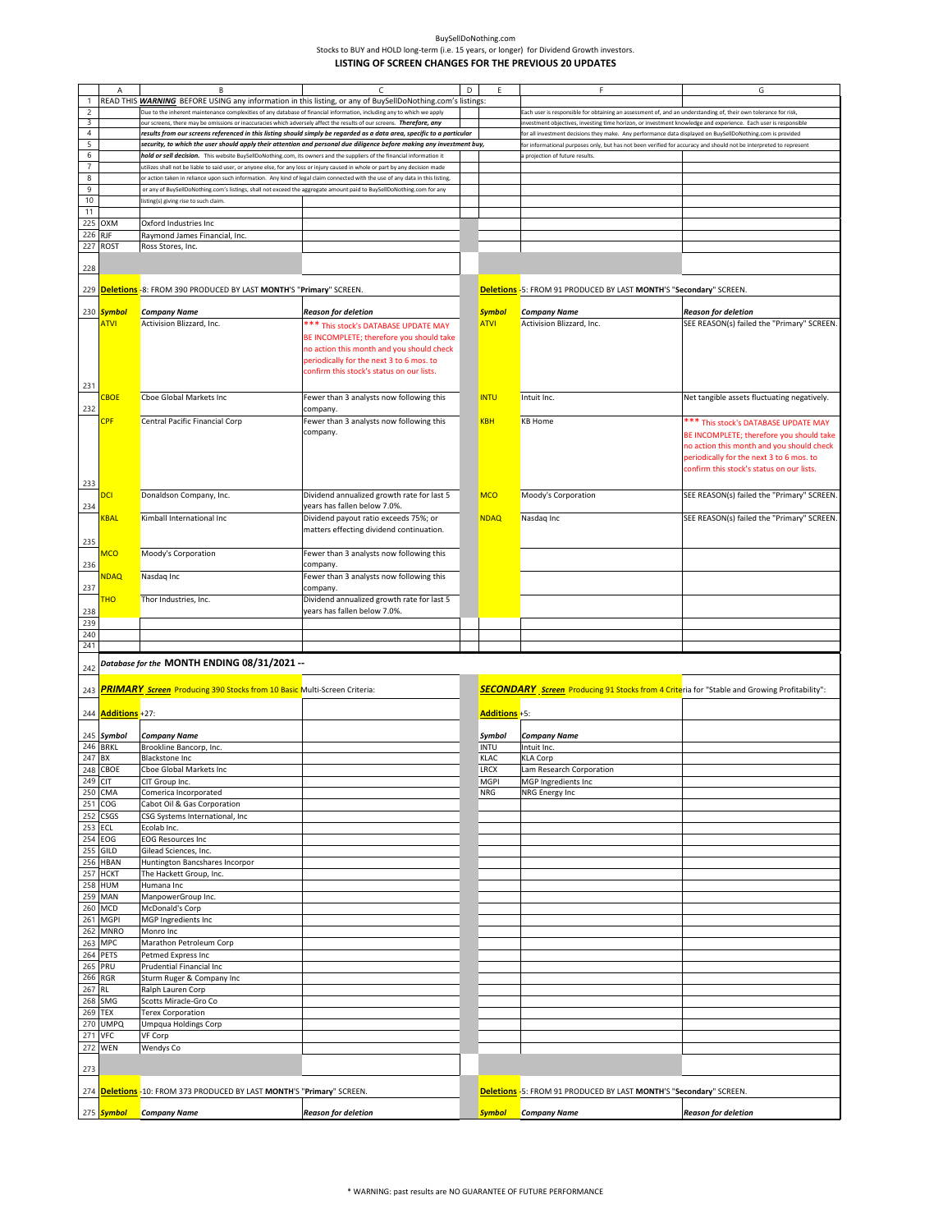|                | $\overline{A}$            | B                                                                                                                              | $\epsilon$                                 | D | E             | F                                                                                                                  | G                                           |
|----------------|---------------------------|--------------------------------------------------------------------------------------------------------------------------------|--------------------------------------------|---|---------------|--------------------------------------------------------------------------------------------------------------------|---------------------------------------------|
| $\mathbf{1}$   |                           | READ THIS WARNING BEFORE USING any information in this listing, or any of BuySellDoNothing.com's listings:                     |                                            |   |               |                                                                                                                    |                                             |
|                |                           |                                                                                                                                |                                            |   |               |                                                                                                                    |                                             |
| $\sqrt{2}$     |                           | Due to the inherent maintenance complexities of any database of financial information, including any to which we apply         |                                            |   |               | Each user is responsible for obtaining an assessment of, and an understanding of, their own tolerance for risk,    |                                             |
| 3              |                           | our screens, there may be omissions or inaccuracies which adversely affect the results of our screens. Therefore, any          |                                            |   |               | nvestment objectives, investing time horizon, or investment knowledge and experience. Each user is responsible     |                                             |
| $\overline{4}$ |                           | results from our screens referenced in this listing should simply be regarded as a data area, specific to a particular         |                                            |   |               | or all investment decisions they make. Any performance data displayed on BuySellDoNothing.com is provided          |                                             |
| 5              |                           | security, to which the user should apply their attention and personal due diligence before making any investment buy,          |                                            |   |               | for informational purposes only, but has not been verified for accuracy and should not be interpreted to represent |                                             |
| 6              |                           | hold or sell decision. This website BuySellDoNothing.com, its owners and the suppliers of the financial information i          |                                            |   |               | projection of future results                                                                                       |                                             |
| $\overline{7}$ |                           | utilizes shall not be liable to said user, or anyone else, for any loss or injury caused in whole or part by any decision made |                                            |   |               |                                                                                                                    |                                             |
| 8              |                           | or action taken in reliance upon such information. Any kind of legal claim connected with the use of any data in this listing, |                                            |   |               |                                                                                                                    |                                             |
| 9              |                           | or any of BuySellDoNothing.com's listings, shall not exceed the aggregate amount paid to BuySellDoNothing.com for any          |                                            |   |               |                                                                                                                    |                                             |
| 10             |                           | listing(s) giving rise to such claim.                                                                                          |                                            |   |               |                                                                                                                    |                                             |
| 11             |                           |                                                                                                                                |                                            |   |               |                                                                                                                    |                                             |
|                | 225 OXM                   | Oxford Industries Inc                                                                                                          |                                            |   |               |                                                                                                                    |                                             |
| 226            | <b>RJF</b>                | Raymond James Financial, Inc.                                                                                                  |                                            |   |               |                                                                                                                    |                                             |
|                | 227 ROST                  | Ross Stores, Inc.                                                                                                              |                                            |   |               |                                                                                                                    |                                             |
|                |                           |                                                                                                                                |                                            |   |               |                                                                                                                    |                                             |
| 228            |                           |                                                                                                                                |                                            |   |               |                                                                                                                    |                                             |
|                |                           |                                                                                                                                |                                            |   |               |                                                                                                                    |                                             |
|                |                           | 229 Deletions -8: FROM 390 PRODUCED BY LAST MONTH'S "Primary" SCREEN.                                                          |                                            |   |               | Deletions -5: FROM 91 PRODUCED BY LAST MONTH'S "Secondary" SCREEN.                                                 |                                             |
|                |                           |                                                                                                                                |                                            |   |               |                                                                                                                    |                                             |
|                | 230 Symbol                | <b>Company Name</b>                                                                                                            | <b>Reason for deletion</b>                 |   | <b>Symbol</b> | <b>Company Name</b>                                                                                                | Reason for deletion                         |
|                | <b>ATVI</b>               | Activision Blizzard, Inc.                                                                                                      | *** This stock's DATABASE UPDATE MAY       |   | <b>ATVI</b>   | Activision Blizzard, Inc.                                                                                          | SEE REASON(s) failed the "Primary" SCREEN   |
|                |                           |                                                                                                                                | BE INCOMPLETE; therefore you should take   |   |               |                                                                                                                    |                                             |
|                |                           |                                                                                                                                | no action this month and you should check  |   |               |                                                                                                                    |                                             |
|                |                           |                                                                                                                                | periodically for the next 3 to 6 mos. to   |   |               |                                                                                                                    |                                             |
|                |                           |                                                                                                                                |                                            |   |               |                                                                                                                    |                                             |
|                |                           |                                                                                                                                | confirm this stock's status on our lists.  |   |               |                                                                                                                    |                                             |
| 231            |                           |                                                                                                                                |                                            |   |               |                                                                                                                    |                                             |
|                | <b>CBOE</b>               | Cboe Global Markets Inc                                                                                                        | Fewer than 3 analysts now following this   |   | <b>INTU</b>   | Intuit Inc.                                                                                                        | Net tangible assets fluctuating negatively. |
| 232            |                           |                                                                                                                                | company.                                   |   |               |                                                                                                                    |                                             |
|                | <b>CPF</b>                | Central Pacific Financial Corp                                                                                                 | Fewer than 3 analysts now following this   |   | <b>KBH</b>    | <b>KB Home</b>                                                                                                     | *** This stock's DATABASE UPDATE MAY        |
|                |                           |                                                                                                                                | company.                                   |   |               |                                                                                                                    | BE INCOMPLETE; therefore you should take    |
|                |                           |                                                                                                                                |                                            |   |               |                                                                                                                    | no action this month and you should check   |
|                |                           |                                                                                                                                |                                            |   |               |                                                                                                                    |                                             |
|                |                           |                                                                                                                                |                                            |   |               |                                                                                                                    | periodically for the next 3 to 6 mos. to    |
|                |                           |                                                                                                                                |                                            |   |               |                                                                                                                    | confirm this stock's status on our lists.   |
| 233            |                           |                                                                                                                                |                                            |   |               |                                                                                                                    |                                             |
|                | <b>DCI</b>                | Donaldson Company, Inc.                                                                                                        | Dividend annualized growth rate for last 5 |   | <b>MCO</b>    | Moody's Corporation                                                                                                | SEE REASON(s) failed the "Primary" SCREEN.  |
| 234            |                           |                                                                                                                                | years has fallen below 7.0%.               |   |               |                                                                                                                    |                                             |
|                | <u>KBAL</u>               | Kimball International Inc                                                                                                      | Dividend payout ratio exceeds 75%; or      |   | <b>NDAQ</b>   | Nasdaq Inc                                                                                                         | SEE REASON(s) failed the "Primary" SCREEN.  |
|                |                           |                                                                                                                                | matters effecting dividend continuation.   |   |               |                                                                                                                    |                                             |
| 235            |                           |                                                                                                                                |                                            |   |               |                                                                                                                    |                                             |
|                | <b>MCO</b>                | Moody's Corporation                                                                                                            |                                            |   |               |                                                                                                                    |                                             |
|                |                           |                                                                                                                                | Fewer than 3 analysts now following this   |   |               |                                                                                                                    |                                             |
| 236            |                           |                                                                                                                                | company.                                   |   |               |                                                                                                                    |                                             |
|                | <b>NDAQ</b>               | Nasdaq Inc                                                                                                                     | Fewer than 3 analysts now following this   |   |               |                                                                                                                    |                                             |
| 237            |                           |                                                                                                                                | company.                                   |   |               |                                                                                                                    |                                             |
|                | <b>THO</b>                | Thor Industries, Inc.                                                                                                          | Dividend annualized growth rate for last 5 |   |               |                                                                                                                    |                                             |
| 238            |                           |                                                                                                                                | years has fallen below 7.0%.               |   |               |                                                                                                                    |                                             |
| 239            |                           |                                                                                                                                |                                            |   |               |                                                                                                                    |                                             |
| 240            |                           |                                                                                                                                |                                            |   |               |                                                                                                                    |                                             |
| 241            |                           |                                                                                                                                |                                            |   |               |                                                                                                                    |                                             |
|                |                           | Database for the MONTH ENDING 08/31/2021 --                                                                                    |                                            |   |               |                                                                                                                    |                                             |
| 242            |                           |                                                                                                                                |                                            |   |               |                                                                                                                    |                                             |
|                |                           |                                                                                                                                |                                            |   |               |                                                                                                                    |                                             |
| 243            |                           | <b>PRIMARY Screen</b> Producing 390 Stocks from 10 Basic Multi-Screen Criteria:                                                |                                            |   |               | <b>SECONDARY</b> Screen Producing 91 Stocks from 4 Criteria for "Stable and Growing Profitability":                |                                             |
|                |                           |                                                                                                                                |                                            |   |               |                                                                                                                    |                                             |
|                | 244 <b>Additions</b> +27: |                                                                                                                                |                                            |   | Additions +5: |                                                                                                                    |                                             |
|                |                           |                                                                                                                                |                                            |   |               |                                                                                                                    |                                             |
|                | 245 Symbol                | <b>Company Name</b>                                                                                                            |                                            |   | Symbol        | <b>Company Name</b>                                                                                                |                                             |
| 246 BRKL       |                           | Brookline Bancorp, Inc.                                                                                                        |                                            |   | <b>INTU</b>   | Intuit Inc.                                                                                                        |                                             |
| 247            | <b>BX</b>                 | Blackstone Inc                                                                                                                 |                                            |   | KLAC          | <b>KLA Corp</b>                                                                                                    |                                             |
|                | 248 CBOE                  | Cboe Global Markets Inc                                                                                                        |                                            |   | LRCX          | Lam Research Corporation                                                                                           |                                             |
| 249 CIT        |                           | CIT Group Inc.                                                                                                                 |                                            |   | <b>MGPI</b>   | MGP Ingredients Inc                                                                                                |                                             |
| 250 CMA        |                           | Comerica Incorporated                                                                                                          |                                            |   | NRG           | NRG Energy Inc                                                                                                     |                                             |
| 251 COG        |                           | Cabot Oil & Gas Corporation                                                                                                    |                                            |   |               |                                                                                                                    |                                             |
| 252            | <b>CSGS</b>               | CSG Systems International, Inc                                                                                                 |                                            |   |               |                                                                                                                    |                                             |
| 253            | ECL                       | Ecolab Inc.                                                                                                                    |                                            |   |               |                                                                                                                    |                                             |
| 254 EOG        |                           | <b>EOG Resources Inc</b>                                                                                                       |                                            |   |               |                                                                                                                    |                                             |
| 255            | GILD                      | Gilead Sciences, Inc.                                                                                                          |                                            |   |               |                                                                                                                    |                                             |
|                | 256 HBAN                  | Huntington Bancshares Incorpor                                                                                                 |                                            |   |               |                                                                                                                    |                                             |
| 257            | <b>HCKT</b>               | The Hackett Group, Inc.                                                                                                        |                                            |   |               |                                                                                                                    |                                             |
|                | <b>HUM</b>                | Humana Inc                                                                                                                     |                                            |   |               |                                                                                                                    |                                             |
| 258<br>259     |                           |                                                                                                                                |                                            |   |               |                                                                                                                    |                                             |
|                | <b>MAN</b>                | ManpowerGroup Inc.                                                                                                             |                                            |   |               |                                                                                                                    |                                             |
| 260            | <b>MCD</b>                | McDonald's Corp                                                                                                                |                                            |   |               |                                                                                                                    |                                             |
| 261            | <b>MGPI</b>               | MGP Ingredients Inc                                                                                                            |                                            |   |               |                                                                                                                    |                                             |
| 262            | <b>MNRO</b>               | Monro Inc                                                                                                                      |                                            |   |               |                                                                                                                    |                                             |
| 263            | <b>MPC</b>                | Marathon Petroleum Corp                                                                                                        |                                            |   |               |                                                                                                                    |                                             |
| 264            | <b>PETS</b>               | Petmed Express Inc                                                                                                             |                                            |   |               |                                                                                                                    |                                             |
| 265            | PRU                       | Prudential Financial Inc                                                                                                       |                                            |   |               |                                                                                                                    |                                             |
| 266 RGR        |                           | Sturm Ruger & Company Inc                                                                                                      |                                            |   |               |                                                                                                                    |                                             |
| 267 RL         |                           | Ralph Lauren Corp                                                                                                              |                                            |   |               |                                                                                                                    |                                             |
| 268            | SMG                       | Scotts Miracle-Gro Co                                                                                                          |                                            |   |               |                                                                                                                    |                                             |
| 269 TEX        |                           | <b>Terex Corporation</b>                                                                                                       |                                            |   |               |                                                                                                                    |                                             |
| 270            | <b>UMPQ</b>               | Umpqua Holdings Corp                                                                                                           |                                            |   |               |                                                                                                                    |                                             |
| 271 VFC        |                           | VF Corp                                                                                                                        |                                            |   |               |                                                                                                                    |                                             |
| 272 WEN        |                           | Wendys Co                                                                                                                      |                                            |   |               |                                                                                                                    |                                             |
|                |                           |                                                                                                                                |                                            |   |               |                                                                                                                    |                                             |
| 273            |                           |                                                                                                                                |                                            |   |               |                                                                                                                    |                                             |
|                |                           |                                                                                                                                |                                            |   |               |                                                                                                                    |                                             |
|                |                           | 274 Deletions -10: FROM 373 PRODUCED BY LAST MONTH'S "Primary" SCREEN.                                                         |                                            |   |               | Deletions -5: FROM 91 PRODUCED BY LAST MONTH'S "Secondary" SCREEN.                                                 |                                             |
|                |                           |                                                                                                                                |                                            |   |               |                                                                                                                    |                                             |
|                | 275 <mark>Symbol</mark>   | Company Name                                                                                                                   | <b>Reason for deletion</b>                 |   | <b>Symbol</b> | Company Name                                                                                                       | <b>Reason for deletion</b>                  |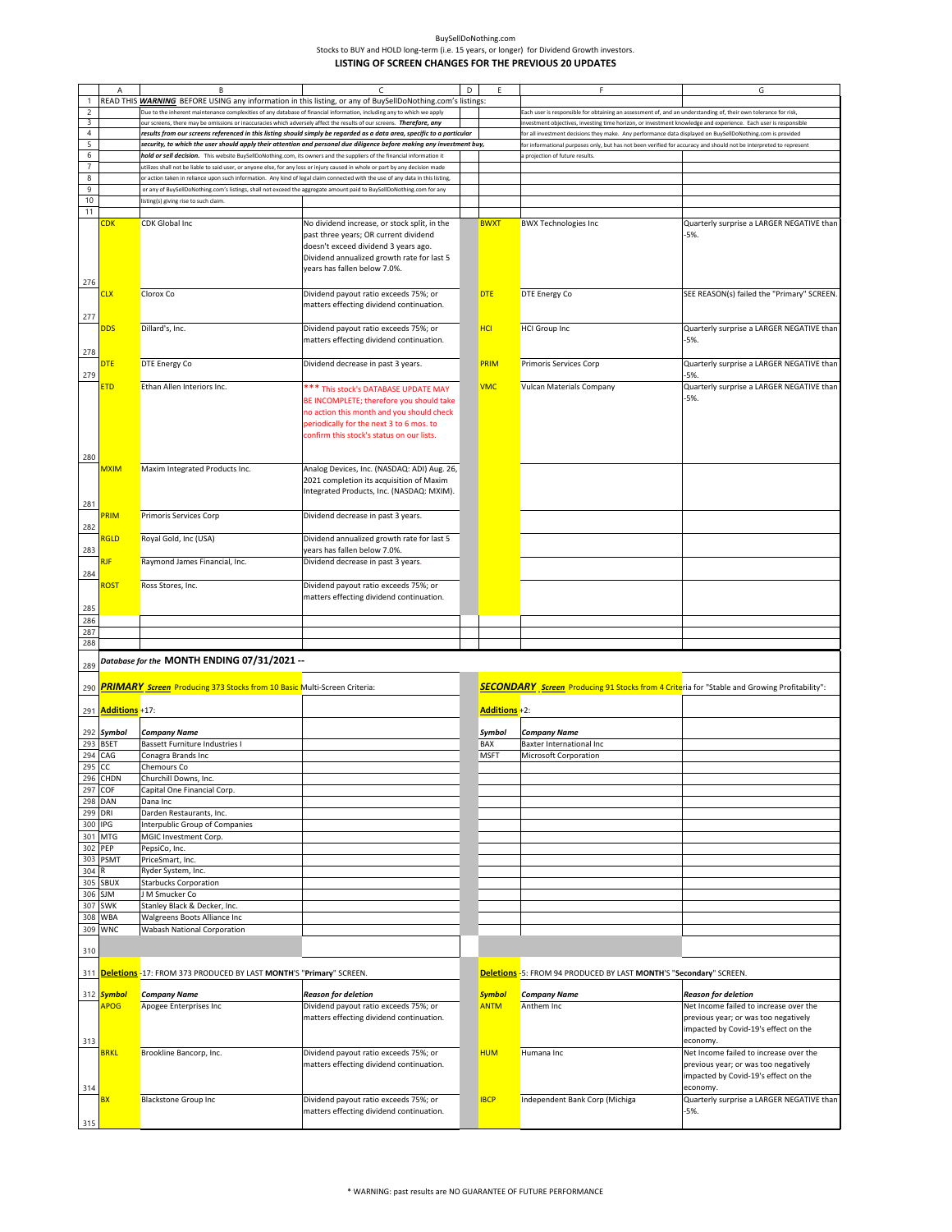|                | Α                         | B                                                                                                                              |                                                                                                                                                                                                                        | D | F             |                                                                                                                    | G                                                                                                                      |
|----------------|---------------------------|--------------------------------------------------------------------------------------------------------------------------------|------------------------------------------------------------------------------------------------------------------------------------------------------------------------------------------------------------------------|---|---------------|--------------------------------------------------------------------------------------------------------------------|------------------------------------------------------------------------------------------------------------------------|
|                |                           | READ THIS WARNING BEFORE USING any information in this listing, or any of BuySellDoNothing.com's listings:                     |                                                                                                                                                                                                                        |   |               |                                                                                                                    |                                                                                                                        |
| $\mathsf{2}\,$ |                           | Due to the inherent maintenance complexities of any database of financial information, including any to which we apply         |                                                                                                                                                                                                                        |   |               | Each user is responsible for obtaining an assessment of, and an understanding of, their own tolerance for risk,    |                                                                                                                        |
| 3              |                           | our screens, there may be omissions or inaccuracies which adversely affect the results of our screens. Therefore, any          |                                                                                                                                                                                                                        |   |               | investment objectives, investing time horizon, or investment knowledge and experience. Each user is responsible    |                                                                                                                        |
| $\overline{4}$ |                           |                                                                                                                                | results from our screens referenced in this listing should simply be regarded as a data area, specific to a particular                                                                                                 |   |               | for all investment decisions they make. Any performance data displayed on BuySellDoNothing.com is provided         |                                                                                                                        |
| 5              |                           |                                                                                                                                | security, to which the user should apply their attention and personal due diligence before making any investment buy,                                                                                                  |   |               | for informational purposes only, but has not been verified for accuracy and should not be interpreted to represent |                                                                                                                        |
| 6              |                           | hold or sell decision. This website BuySellDoNothing.com, its owners and the suppliers of the financial information it         |                                                                                                                                                                                                                        |   |               | a projection of future results.                                                                                    |                                                                                                                        |
| $\overline{7}$ |                           | utilizes shall not be liable to said user, or anyone else, for any loss or injury caused in whole or part by any decision made |                                                                                                                                                                                                                        |   |               |                                                                                                                    |                                                                                                                        |
| $\bf 8$        |                           | or action taken in reliance upon such information. Any kind of legal claim connected with the use of any data in this listing, |                                                                                                                                                                                                                        |   |               |                                                                                                                    |                                                                                                                        |
|                |                           |                                                                                                                                |                                                                                                                                                                                                                        |   |               |                                                                                                                    |                                                                                                                        |
| 9              |                           | or any of BuySellDoNothing.com's listings, shall not exceed the aggregate amount paid to BuySellDoNothing.com for any          |                                                                                                                                                                                                                        |   |               |                                                                                                                    |                                                                                                                        |
| 10             |                           | listing(s) giving rise to such claim.                                                                                          |                                                                                                                                                                                                                        |   |               |                                                                                                                    |                                                                                                                        |
| 11             |                           |                                                                                                                                |                                                                                                                                                                                                                        |   |               |                                                                                                                    |                                                                                                                        |
|                | CDK                       | <b>CDK Global Inc</b>                                                                                                          | No dividend increase, or stock split, in the<br>past three years; OR current dividend<br>doesn't exceed dividend 3 years ago.<br>Dividend annualized growth rate for last 5<br>years has fallen below 7.0%.            |   | <b>BWXT</b>   | <b>BWX Technologies Inc</b>                                                                                        | Quarterly surprise a LARGER NEGATIVE than<br>$-5%$                                                                     |
| 276            |                           |                                                                                                                                |                                                                                                                                                                                                                        |   |               |                                                                                                                    |                                                                                                                        |
|                | CLX                       | Clorox Co                                                                                                                      | Dividend payout ratio exceeds 75%; or                                                                                                                                                                                  |   | <b>DTE</b>    | DTE Energy Co                                                                                                      | SEE REASON(s) failed the "Primary" SCREEN.                                                                             |
|                |                           |                                                                                                                                |                                                                                                                                                                                                                        |   |               |                                                                                                                    |                                                                                                                        |
|                |                           |                                                                                                                                | matters effecting dividend continuation.                                                                                                                                                                               |   |               |                                                                                                                    |                                                                                                                        |
| 277            |                           |                                                                                                                                |                                                                                                                                                                                                                        |   |               |                                                                                                                    |                                                                                                                        |
|                | DDS                       | Dillard's, Inc.                                                                                                                | Dividend payout ratio exceeds 75%; or                                                                                                                                                                                  |   | <b>HCI</b>    | <b>HCI Group Inc</b>                                                                                               | Quarterly surprise a LARGER NEGATIVE than                                                                              |
|                |                           |                                                                                                                                | matters effecting dividend continuation.                                                                                                                                                                               |   |               |                                                                                                                    | -5%.                                                                                                                   |
| 278            |                           |                                                                                                                                |                                                                                                                                                                                                                        |   |               |                                                                                                                    |                                                                                                                        |
|                | DTE                       | DTE Energy Co                                                                                                                  | Dividend decrease in past 3 years.                                                                                                                                                                                     |   | PRIM          | Primoris Services Corp                                                                                             | Quarterly surprise a LARGER NEGATIVE than                                                                              |
| 279            |                           |                                                                                                                                |                                                                                                                                                                                                                        |   |               |                                                                                                                    | -5%                                                                                                                    |
|                | <u>ETD</u>                | Ethan Allen Interiors Inc.                                                                                                     | *** This stock's DATABASE UPDATE MAY<br>BE INCOMPLETE; therefore you should take<br>no action this month and you should check<br>periodically for the next 3 to 6 mos. to<br>confirm this stock's status on our lists. |   | <b>VMC</b>    | Vulcan Materials Company                                                                                           | Quarterly surprise a LARGER NEGATIVE than<br>$-5%$                                                                     |
| 280            |                           |                                                                                                                                |                                                                                                                                                                                                                        |   |               |                                                                                                                    |                                                                                                                        |
|                | <b>MXIM</b>               | Maxim Integrated Products Inc.                                                                                                 | Analog Devices, Inc. (NASDAQ: ADI) Aug. 26,<br>2021 completion its acquisition of Maxim<br>Integrated Products, Inc. (NASDAQ: MXIM).                                                                                   |   |               |                                                                                                                    |                                                                                                                        |
| 281            |                           |                                                                                                                                |                                                                                                                                                                                                                        |   |               |                                                                                                                    |                                                                                                                        |
|                | <b>RIM</b>                | Primoris Services Corp                                                                                                         | Dividend decrease in past 3 years.                                                                                                                                                                                     |   |               |                                                                                                                    |                                                                                                                        |
| 282            |                           |                                                                                                                                |                                                                                                                                                                                                                        |   |               |                                                                                                                    |                                                                                                                        |
|                | <b>RGLD</b>               | Royal Gold, Inc (USA)                                                                                                          | Dividend annualized growth rate for last 5                                                                                                                                                                             |   |               |                                                                                                                    |                                                                                                                        |
| 283            |                           |                                                                                                                                | years has fallen below 7.0%.                                                                                                                                                                                           |   |               |                                                                                                                    |                                                                                                                        |
|                |                           | Raymond James Financial, Inc.                                                                                                  | Dividend decrease in past 3 years.                                                                                                                                                                                     |   |               |                                                                                                                    |                                                                                                                        |
| 284            |                           |                                                                                                                                |                                                                                                                                                                                                                        |   |               |                                                                                                                    |                                                                                                                        |
|                | ROST                      | Ross Stores, Inc.                                                                                                              | Dividend payout ratio exceeds 75%; or<br>matters effecting dividend continuation.                                                                                                                                      |   |               |                                                                                                                    |                                                                                                                        |
| 285            |                           |                                                                                                                                |                                                                                                                                                                                                                        |   |               |                                                                                                                    |                                                                                                                        |
| 286            |                           |                                                                                                                                |                                                                                                                                                                                                                        |   |               |                                                                                                                    |                                                                                                                        |
| 287            |                           |                                                                                                                                |                                                                                                                                                                                                                        |   |               |                                                                                                                    |                                                                                                                        |
| 288            |                           |                                                                                                                                |                                                                                                                                                                                                                        |   |               |                                                                                                                    |                                                                                                                        |
|                |                           | Database for the MONTH ENDING 07/31/2021 --                                                                                    |                                                                                                                                                                                                                        |   |               |                                                                                                                    |                                                                                                                        |
| 289            |                           |                                                                                                                                |                                                                                                                                                                                                                        |   |               |                                                                                                                    |                                                                                                                        |
|                |                           |                                                                                                                                |                                                                                                                                                                                                                        |   |               |                                                                                                                    |                                                                                                                        |
| 290            |                           | PRIMARY_Screen_Producing 373 Stocks from 10 Basic Multi-Screen Criteria:                                                       |                                                                                                                                                                                                                        |   |               | <b>SECONDARY</b> Screen Producing 91 Stocks from 4 Criteria for "Stable and Growing Profitability":                |                                                                                                                        |
|                |                           |                                                                                                                                |                                                                                                                                                                                                                        |   |               |                                                                                                                    |                                                                                                                        |
|                | 291 <b>Additions</b> +17: |                                                                                                                                |                                                                                                                                                                                                                        |   | Additions +2: |                                                                                                                    |                                                                                                                        |
|                | 292 Symbol                | <b>Company Name</b>                                                                                                            |                                                                                                                                                                                                                        |   | Symbol        |                                                                                                                    |                                                                                                                        |
|                | 293 BSET                  | Bassett Furniture Industries I                                                                                                 |                                                                                                                                                                                                                        |   |               | <b>Company Name</b>                                                                                                |                                                                                                                        |
|                | 294 CAG                   | Conagra Brands Inc                                                                                                             |                                                                                                                                                                                                                        |   | BAX           | Baxter International Inc                                                                                           |                                                                                                                        |
| 295 CC         |                           |                                                                                                                                |                                                                                                                                                                                                                        |   | <b>MSFT</b>   | Microsoft Corporation                                                                                              |                                                                                                                        |
|                | 296 CHDN                  | Chemours Co                                                                                                                    |                                                                                                                                                                                                                        |   |               |                                                                                                                    |                                                                                                                        |
| 297 COF        |                           | Churchill Downs, Inc.                                                                                                          |                                                                                                                                                                                                                        |   |               |                                                                                                                    |                                                                                                                        |
|                |                           | Capital One Financial Corp.                                                                                                    |                                                                                                                                                                                                                        |   |               |                                                                                                                    |                                                                                                                        |
|                | 298 DAN                   | Dana Inc                                                                                                                       |                                                                                                                                                                                                                        |   |               |                                                                                                                    |                                                                                                                        |
| 299 DRI        |                           | Darden Restaurants, Inc.                                                                                                       |                                                                                                                                                                                                                        |   |               |                                                                                                                    |                                                                                                                        |
|                |                           |                                                                                                                                |                                                                                                                                                                                                                        |   |               |                                                                                                                    |                                                                                                                        |
| 300 IPG        |                           | Interpublic Group of Companies                                                                                                 |                                                                                                                                                                                                                        |   |               |                                                                                                                    |                                                                                                                        |
|                | 301 MTG                   | MGIC Investment Corp.                                                                                                          |                                                                                                                                                                                                                        |   |               |                                                                                                                    |                                                                                                                        |
|                | 302 PEP                   | PepsiCo, Inc.                                                                                                                  |                                                                                                                                                                                                                        |   |               |                                                                                                                    |                                                                                                                        |
|                | 303 PSMT                  | PriceSmart, Inc.                                                                                                               |                                                                                                                                                                                                                        |   |               |                                                                                                                    |                                                                                                                        |
| 304 R          |                           | Ryder System, Inc.                                                                                                             |                                                                                                                                                                                                                        |   |               |                                                                                                                    |                                                                                                                        |
|                | 305 SBUX                  | <b>Starbucks Corporation</b>                                                                                                   |                                                                                                                                                                                                                        |   |               |                                                                                                                    |                                                                                                                        |
|                | 306 SJM                   | J M Smucker Co                                                                                                                 |                                                                                                                                                                                                                        |   |               |                                                                                                                    |                                                                                                                        |
| 307            | <b>SWK</b>                | Stanley Black & Decker, Inc.                                                                                                   |                                                                                                                                                                                                                        |   |               |                                                                                                                    |                                                                                                                        |
|                | 308 WBA<br>309 WNC        | Walgreens Boots Alliance Inc<br>Wabash National Corporation                                                                    |                                                                                                                                                                                                                        |   |               |                                                                                                                    |                                                                                                                        |
| 310            |                           |                                                                                                                                |                                                                                                                                                                                                                        |   |               |                                                                                                                    |                                                                                                                        |
|                |                           |                                                                                                                                |                                                                                                                                                                                                                        |   |               |                                                                                                                    |                                                                                                                        |
|                |                           | 311 Deletions -17: FROM 373 PRODUCED BY LAST MONTH'S "Primary" SCREEN.                                                         |                                                                                                                                                                                                                        |   |               | Deletions -5: FROM 94 PRODUCED BY LAST MONTH'S "Secondary" SCREEN.                                                 |                                                                                                                        |
|                | 312 Symbol                | <b>Company Name</b>                                                                                                            | <b>Reason for deletion</b>                                                                                                                                                                                             |   | <b>Symbol</b> | <b>Company Name</b>                                                                                                | <b>Reason for deletion</b>                                                                                             |
|                | <b>APOG</b>               | Apogee Enterprises Inc                                                                                                         | Dividend payout ratio exceeds 75%; or                                                                                                                                                                                  |   | <b>ANTM</b>   | Anthem Inc                                                                                                         | Net Income failed to increase over the                                                                                 |
|                |                           |                                                                                                                                | matters effecting dividend continuation.                                                                                                                                                                               |   |               |                                                                                                                    | previous year; or was too negatively<br>impacted by Covid-19's effect on the<br>economy.                               |
| 313            |                           |                                                                                                                                |                                                                                                                                                                                                                        |   |               |                                                                                                                    |                                                                                                                        |
|                | <b>BRKL</b>               | Brookline Bancorp, Inc.                                                                                                        | Dividend payout ratio exceeds 75%; or<br>matters effecting dividend continuation.                                                                                                                                      |   | <b>HUM</b>    | Humana Inc                                                                                                         | Net Income failed to increase over the<br>previous year; or was too negatively<br>impacted by Covid-19's effect on the |
| 314            |                           |                                                                                                                                |                                                                                                                                                                                                                        |   |               |                                                                                                                    | economy.                                                                                                               |
| 315            | BX                        | <b>Blackstone Group Inc</b>                                                                                                    | Dividend payout ratio exceeds 75%; or<br>matters effecting dividend continuation.                                                                                                                                      |   | <b>IBCP</b>   | Independent Bank Corp (Michiga                                                                                     | Quarterly surprise a LARGER NEGATIVE than<br>$-5%$                                                                     |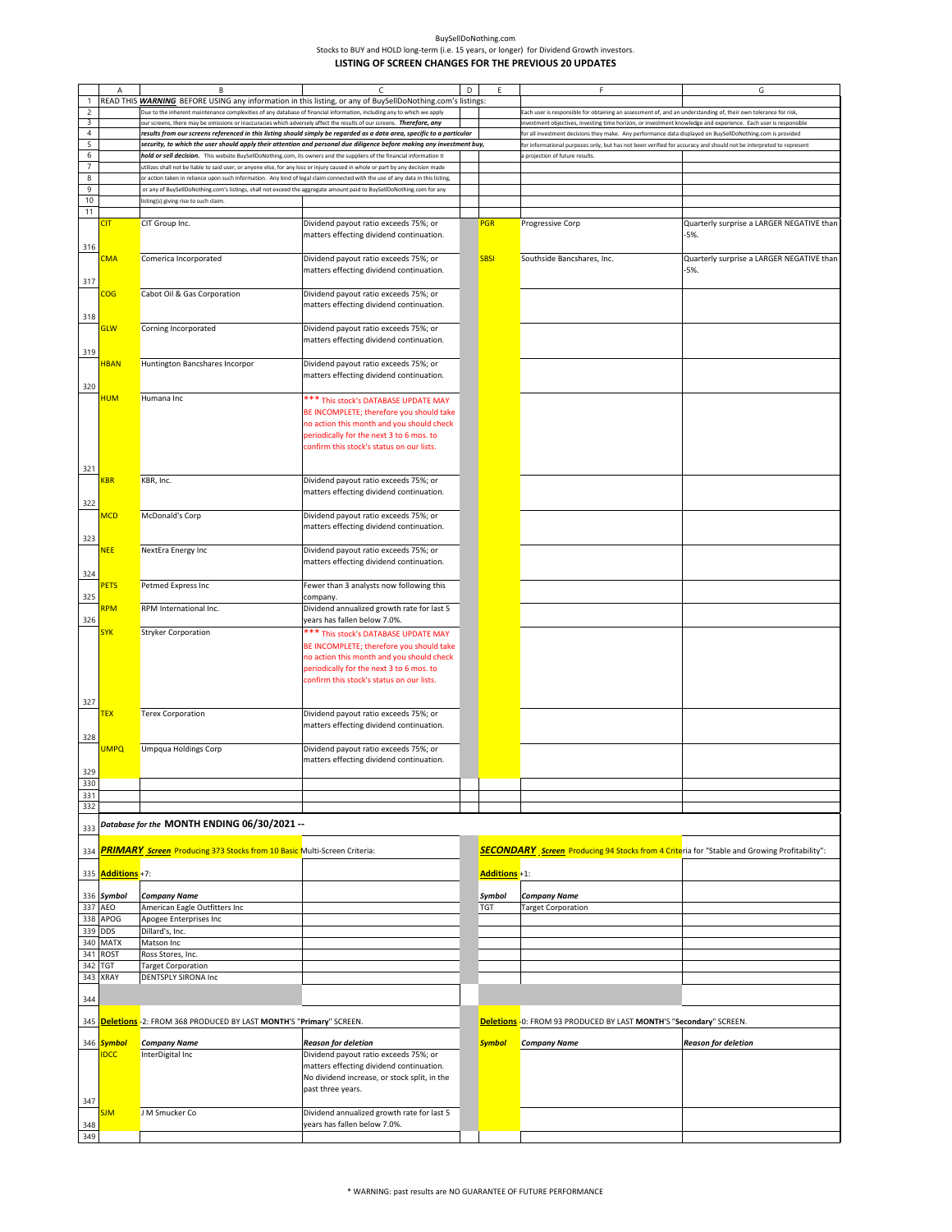| BuvSellDoNothing.com                                                                       |
|--------------------------------------------------------------------------------------------|
| Stocks to BUY and HOLD long-term (i.e. 15 years, or longer) for Dividend Growth investors. |
| LISTING OF SCREEN CHANGES FOR THE PREVIOUS 20 UPDATES                                      |

|                         | А                        | В                                                                                                                              | C                                                                                                                      | D | Ε             | F                                                                                                                  | G                                         |
|-------------------------|--------------------------|--------------------------------------------------------------------------------------------------------------------------------|------------------------------------------------------------------------------------------------------------------------|---|---------------|--------------------------------------------------------------------------------------------------------------------|-------------------------------------------|
| 1                       |                          | READ THIS <b>WARNING</b> BEFORE USING any information in this listing, or any of BuySellDoNothing.com's listings:              |                                                                                                                        |   |               |                                                                                                                    |                                           |
| $\overline{\mathbf{c}}$ |                          | Due to the inherent maintenance complexities of any database of financial information, including any to which we apply         |                                                                                                                        |   |               | Each user is responsible for obtaining an assessment of, and an understanding of, their own tolerance for risk,    |                                           |
| $\overline{3}$          |                          | our screens, there may be omissions or inaccuracies which adversely affect the results of our screens. Therefore, any          |                                                                                                                        |   |               | investment objectives, investing time horizon, or investment knowledge and experience. Each user is responsible    |                                           |
| $\overline{4}$          |                          |                                                                                                                                | results from our screens referenced in this listing should simply be regarded as a data area, specific to a particular |   |               | for all investment decisions they make. Any performance data displayed on BuySellDoNothing.com is provided         |                                           |
| 5                       |                          |                                                                                                                                | security, to which the user should apply their attention and personal due diligence before making any investment buy,  |   |               | for informational purposes only, but has not been verified for accuracy and should not be interpreted to represent |                                           |
| 6                       |                          | hold or sell decision. This website BuySellDoNothing.com, its owners and the suppliers of the financial information it         |                                                                                                                        |   |               | a projection of future results.                                                                                    |                                           |
| $\overline{7}$          |                          | utilizes shall not be liable to said user, or anyone else, for any loss or injury caused in whole or part by any decision made |                                                                                                                        |   |               |                                                                                                                    |                                           |
| $\bf 8$                 |                          | or action taken in reliance upon such information. Any kind of legal claim connected with the use of any data in this listing, |                                                                                                                        |   |               |                                                                                                                    |                                           |
| 9                       |                          | or any of BuySellDoNothing.com's listings, shall not exceed the aggregate amount paid to BuySellDoNothing.com for any          |                                                                                                                        |   |               |                                                                                                                    |                                           |
| 10                      |                          | listing(s) giving rise to such claim.                                                                                          |                                                                                                                        |   |               |                                                                                                                    |                                           |
| 11                      |                          |                                                                                                                                |                                                                                                                        |   |               |                                                                                                                    |                                           |
|                         | <b>CIT</b>               | CIT Group Inc.                                                                                                                 | Dividend payout ratio exceeds 75%; or                                                                                  |   | <b>PGR</b>    | Progressive Corp                                                                                                   | Quarterly surprise a LARGER NEGATIVE than |
|                         |                          |                                                                                                                                | matters effecting dividend continuation.                                                                               |   |               |                                                                                                                    | $-5%$                                     |
| 316                     |                          |                                                                                                                                |                                                                                                                        |   |               |                                                                                                                    |                                           |
|                         |                          | Comerica Incorporated                                                                                                          | Dividend payout ratio exceeds 75%; or                                                                                  |   | <b>SBSI</b>   |                                                                                                                    | Quarterly surprise a LARGER NEGATIVE than |
|                         | CMA                      |                                                                                                                                |                                                                                                                        |   |               | Southside Bancshares, Inc.                                                                                         |                                           |
|                         |                          |                                                                                                                                | matters effecting dividend continuation.                                                                               |   |               |                                                                                                                    | -5%.                                      |
| 317                     |                          |                                                                                                                                |                                                                                                                        |   |               |                                                                                                                    |                                           |
|                         | <b>COG</b>               | Cabot Oil & Gas Corporation                                                                                                    | Dividend payout ratio exceeds 75%; or                                                                                  |   |               |                                                                                                                    |                                           |
|                         |                          |                                                                                                                                | matters effecting dividend continuation.                                                                               |   |               |                                                                                                                    |                                           |
| 318                     |                          |                                                                                                                                |                                                                                                                        |   |               |                                                                                                                    |                                           |
|                         | <b>GLW</b>               | Corning Incorporated                                                                                                           | Dividend payout ratio exceeds 75%; or                                                                                  |   |               |                                                                                                                    |                                           |
|                         |                          |                                                                                                                                | matters effecting dividend continuation.                                                                               |   |               |                                                                                                                    |                                           |
| 319                     |                          |                                                                                                                                |                                                                                                                        |   |               |                                                                                                                    |                                           |
|                         | <b>HBAN</b>              | Huntington Bancshares Incorpor                                                                                                 | Dividend payout ratio exceeds 75%; or                                                                                  |   |               |                                                                                                                    |                                           |
|                         |                          |                                                                                                                                | matters effecting dividend continuation.                                                                               |   |               |                                                                                                                    |                                           |
| 320                     |                          |                                                                                                                                |                                                                                                                        |   |               |                                                                                                                    |                                           |
|                         | <u>HUM</u>               | Humana Inc                                                                                                                     |                                                                                                                        |   |               |                                                                                                                    |                                           |
|                         |                          |                                                                                                                                | *** This stock's DATABASE UPDATE MAY                                                                                   |   |               |                                                                                                                    |                                           |
|                         |                          |                                                                                                                                | BE INCOMPLETE; therefore you should take                                                                               |   |               |                                                                                                                    |                                           |
|                         |                          |                                                                                                                                | no action this month and you should check                                                                              |   |               |                                                                                                                    |                                           |
|                         |                          |                                                                                                                                | periodically for the next 3 to 6 mos. to                                                                               |   |               |                                                                                                                    |                                           |
|                         |                          |                                                                                                                                | confirm this stock's status on our lists.                                                                              |   |               |                                                                                                                    |                                           |
|                         |                          |                                                                                                                                |                                                                                                                        |   |               |                                                                                                                    |                                           |
| 321                     |                          |                                                                                                                                |                                                                                                                        |   |               |                                                                                                                    |                                           |
|                         | KBR                      | KBR, Inc.                                                                                                                      | Dividend payout ratio exceeds 75%; or                                                                                  |   |               |                                                                                                                    |                                           |
|                         |                          |                                                                                                                                | matters effecting dividend continuation.                                                                               |   |               |                                                                                                                    |                                           |
| 322                     |                          |                                                                                                                                |                                                                                                                        |   |               |                                                                                                                    |                                           |
|                         | MCD                      | McDonald's Corp                                                                                                                | Dividend payout ratio exceeds 75%; or                                                                                  |   |               |                                                                                                                    |                                           |
|                         |                          |                                                                                                                                | matters effecting dividend continuation.                                                                               |   |               |                                                                                                                    |                                           |
| 323                     |                          |                                                                                                                                |                                                                                                                        |   |               |                                                                                                                    |                                           |
|                         | <b>NEE</b>               | NextEra Energy Inc                                                                                                             | Dividend payout ratio exceeds 75%; or                                                                                  |   |               |                                                                                                                    |                                           |
|                         |                          |                                                                                                                                | matters effecting dividend continuation.                                                                               |   |               |                                                                                                                    |                                           |
|                         |                          |                                                                                                                                |                                                                                                                        |   |               |                                                                                                                    |                                           |
| 324                     |                          |                                                                                                                                |                                                                                                                        |   |               |                                                                                                                    |                                           |
|                         | <b>PETS</b>              | Petmed Express Inc                                                                                                             | Fewer than 3 analysts now following this                                                                               |   |               |                                                                                                                    |                                           |
| 325                     |                          |                                                                                                                                | company.                                                                                                               |   |               |                                                                                                                    |                                           |
|                         | <mark>RPM</mark>         | RPM International Inc.                                                                                                         | Dividend annualized growth rate for last 5                                                                             |   |               |                                                                                                                    |                                           |
| 326                     |                          |                                                                                                                                | years has fallen below 7.0%.                                                                                           |   |               |                                                                                                                    |                                           |
|                         | <b>SYK</b>               | <b>Stryker Corporation</b>                                                                                                     | *** This stock's DATABASE UPDATE MAY                                                                                   |   |               |                                                                                                                    |                                           |
|                         |                          |                                                                                                                                | BE INCOMPLETE; therefore you should take                                                                               |   |               |                                                                                                                    |                                           |
|                         |                          |                                                                                                                                | no action this month and you should check                                                                              |   |               |                                                                                                                    |                                           |
|                         |                          |                                                                                                                                | periodically for the next 3 to 6 mos. to                                                                               |   |               |                                                                                                                    |                                           |
|                         |                          |                                                                                                                                | confirm this stock's status on our lists.                                                                              |   |               |                                                                                                                    |                                           |
|                         |                          |                                                                                                                                |                                                                                                                        |   |               |                                                                                                                    |                                           |
| 327                     |                          |                                                                                                                                |                                                                                                                        |   |               |                                                                                                                    |                                           |
|                         | <b>TEX</b>               | <b>Terex Corporation</b>                                                                                                       | Dividend payout ratio exceeds 75%; or                                                                                  |   |               |                                                                                                                    |                                           |
|                         |                          |                                                                                                                                | matters effecting dividend continuation.                                                                               |   |               |                                                                                                                    |                                           |
| 328                     |                          |                                                                                                                                |                                                                                                                        |   |               |                                                                                                                    |                                           |
|                         | <b>UMPQ</b>              | <b>Umpqua Holdings Corp</b>                                                                                                    |                                                                                                                        |   |               |                                                                                                                    |                                           |
|                         |                          |                                                                                                                                | Dividend payout ratio exceeds 75%; or                                                                                  |   |               |                                                                                                                    |                                           |
|                         |                          |                                                                                                                                | matters effecting dividend continuation.                                                                               |   |               |                                                                                                                    |                                           |
| 329                     |                          |                                                                                                                                |                                                                                                                        |   |               |                                                                                                                    |                                           |
| 330                     |                          |                                                                                                                                |                                                                                                                        |   |               |                                                                                                                    |                                           |
| 331                     |                          |                                                                                                                                |                                                                                                                        |   |               |                                                                                                                    |                                           |
| 332                     |                          |                                                                                                                                |                                                                                                                        |   |               |                                                                                                                    |                                           |
|                         |                          | Database for the MONTH ENDING 06/30/2021 --                                                                                    |                                                                                                                        |   |               |                                                                                                                    |                                           |
| 333                     |                          |                                                                                                                                |                                                                                                                        |   |               |                                                                                                                    |                                           |
|                         |                          |                                                                                                                                |                                                                                                                        |   |               |                                                                                                                    |                                           |
| 334                     |                          | PRIMARY_Screen_Producing 373 Stocks from 10 Basic Multi-Screen Criteria:                                                       |                                                                                                                        |   |               | <b>SECONDARY</b> Screen Producing 94 Stocks from 4 Criteria for "Stable and Growing Profitability":                |                                           |
|                         |                          |                                                                                                                                |                                                                                                                        |   |               |                                                                                                                    |                                           |
|                         | 335 <b>Additions</b> +7: |                                                                                                                                |                                                                                                                        |   | Additions +1: |                                                                                                                    |                                           |
|                         |                          |                                                                                                                                |                                                                                                                        |   |               |                                                                                                                    |                                           |
| 336                     | Symbol                   | <b>Company Name</b>                                                                                                            |                                                                                                                        |   | Symbol        | <b>Company Name</b>                                                                                                |                                           |
| 337                     | AEO                      | American Eagle Outfitters Inc                                                                                                  |                                                                                                                        |   | <b>TGT</b>    | <b>Target Corporation</b>                                                                                          |                                           |
| 338                     | APOG                     | Apogee Enterprises Inc                                                                                                         |                                                                                                                        |   |               |                                                                                                                    |                                           |
| 339                     | <b>DDS</b>               | Dillard's, Inc.                                                                                                                |                                                                                                                        |   |               |                                                                                                                    |                                           |
| 340                     | <b>MATX</b>              | Matson Inc                                                                                                                     |                                                                                                                        |   |               |                                                                                                                    |                                           |
| 341                     | <b>ROST</b>              | Ross Stores, Inc.                                                                                                              |                                                                                                                        |   |               |                                                                                                                    |                                           |
| 342                     | TGT                      | <b>Target Corporation</b>                                                                                                      |                                                                                                                        |   |               |                                                                                                                    |                                           |
| 343                     | XRAY                     | <b>DENTSPLY SIRONA Inc</b>                                                                                                     |                                                                                                                        |   |               |                                                                                                                    |                                           |
|                         |                          |                                                                                                                                |                                                                                                                        |   |               |                                                                                                                    |                                           |
| 344                     |                          |                                                                                                                                |                                                                                                                        |   |               |                                                                                                                    |                                           |
|                         |                          |                                                                                                                                |                                                                                                                        |   |               |                                                                                                                    |                                           |
| 345                     |                          | <mark>Deletions</mark> -2: FROM 368 PRODUCED BY LAST <b>MONTH'S "Primary"</b> SCREEN.                                          |                                                                                                                        |   |               | <b>Deletions</b> -0: FROM 93 PRODUCED BY LAST MONTH'S "Secondary" SCREEN                                           |                                           |
|                         |                          |                                                                                                                                |                                                                                                                        |   |               |                                                                                                                    |                                           |
|                         | 346 Symbol               | <b>Company Name</b>                                                                                                            | <b>Reason for deletion</b>                                                                                             |   | <b>Symbol</b> | <b>Company Name</b>                                                                                                | <b>Reason for deletion</b>                |
|                         | <b>IDCC</b>              | InterDigital Inc                                                                                                               | Dividend payout ratio exceeds 75%; or                                                                                  |   |               |                                                                                                                    |                                           |
|                         |                          |                                                                                                                                | matters effecting dividend continuation.                                                                               |   |               |                                                                                                                    |                                           |
|                         |                          |                                                                                                                                | No dividend increase, or stock split, in the                                                                           |   |               |                                                                                                                    |                                           |
|                         |                          |                                                                                                                                | past three years.                                                                                                      |   |               |                                                                                                                    |                                           |
|                         |                          |                                                                                                                                |                                                                                                                        |   |               |                                                                                                                    |                                           |
| 347                     |                          |                                                                                                                                |                                                                                                                        |   |               |                                                                                                                    |                                           |
|                         | <u>SJM</u>               | J M Smucker Co                                                                                                                 | Dividend annualized growth rate for last 5                                                                             |   |               |                                                                                                                    |                                           |
| 348                     |                          |                                                                                                                                | years has fallen below 7.0%.                                                                                           |   |               |                                                                                                                    |                                           |
| 349                     |                          |                                                                                                                                |                                                                                                                        |   |               |                                                                                                                    |                                           |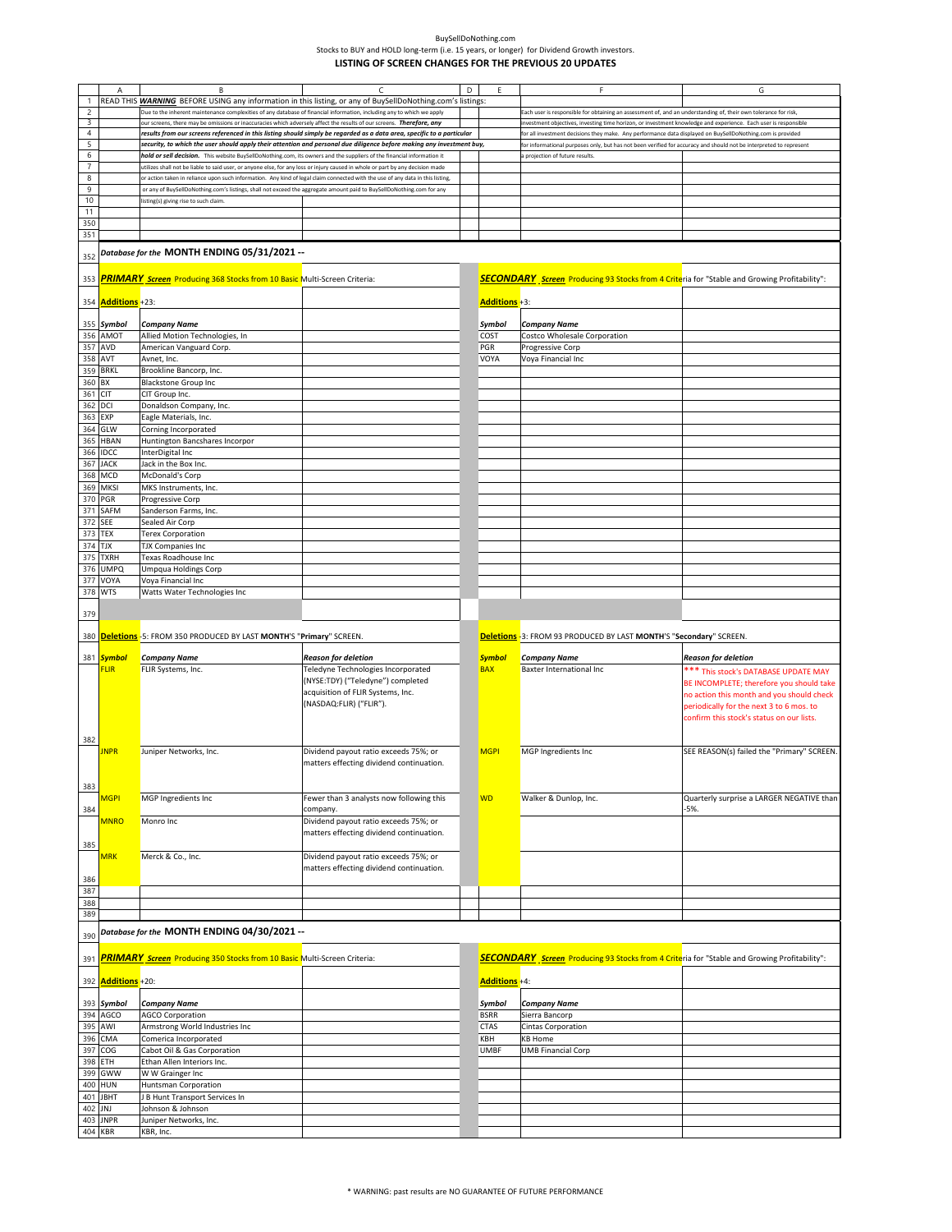|                | A                         | B                                                                                                                              |                                                                                                                        | D |               |                                                                                                                    | G                                          |
|----------------|---------------------------|--------------------------------------------------------------------------------------------------------------------------------|------------------------------------------------------------------------------------------------------------------------|---|---------------|--------------------------------------------------------------------------------------------------------------------|--------------------------------------------|
|                |                           |                                                                                                                                | READ THIS <b>WARNING</b> BEFORE USING any information in this listing, or any of BuySellDoNothing.com's listings:      |   |               |                                                                                                                    |                                            |
| 2              |                           | Due to the inherent maintenance complexities of any database of financial information, including any to which we apply         |                                                                                                                        |   |               | Each user is responsible for obtaining an assessment of, and an understanding of, their own tolerance for risk,    |                                            |
| 3              |                           |                                                                                                                                |                                                                                                                        |   |               |                                                                                                                    |                                            |
|                |                           | our screens, there may be omissions or inaccuracies which adversely affect the results of our screens. Therefore, any          |                                                                                                                        |   |               | investment objectives, investing time horizon, or investment knowledge and experience. Each user is responsible    |                                            |
| $\sqrt{4}$     |                           |                                                                                                                                | results from our screens referenced in this listing should simply be regarded as a data area, specific to a particular |   |               | for all investment decisions they make. Any performance data displayed on BuySellDoNothing.com is provided         |                                            |
| 5              |                           |                                                                                                                                | security, to which the user should apply their attention and personal due diligence before making any investment buy,  |   |               | for informational purposes only, but has not been verified for accuracy and should not be interpreted to represent |                                            |
| 6              |                           | hold or sell decision. This website BuySellDoNothing.com, its owners and the suppliers of the financial information it         |                                                                                                                        |   |               | projection of future results.                                                                                      |                                            |
| $\overline{7}$ |                           | utilizes shall not be liable to said user, or anyone else, for any loss or injury caused in whole or part by any decision made |                                                                                                                        |   |               |                                                                                                                    |                                            |
| 8              |                           | or action taken in reliance upon such information. Any kind of legal claim connected with the use of any data in this listing, |                                                                                                                        |   |               |                                                                                                                    |                                            |
|                |                           |                                                                                                                                |                                                                                                                        |   |               |                                                                                                                    |                                            |
| 9              |                           | or any of BuySellDoNothing.com's listings, shall not exceed the aggregate amount paid to BuySellDoNothing.com for any          |                                                                                                                        |   |               |                                                                                                                    |                                            |
| 10             |                           | listing(s) giving rise to such claim                                                                                           |                                                                                                                        |   |               |                                                                                                                    |                                            |
| 11             |                           |                                                                                                                                |                                                                                                                        |   |               |                                                                                                                    |                                            |
| 350            |                           |                                                                                                                                |                                                                                                                        |   |               |                                                                                                                    |                                            |
| 351            |                           |                                                                                                                                |                                                                                                                        |   |               |                                                                                                                    |                                            |
|                |                           |                                                                                                                                |                                                                                                                        |   |               |                                                                                                                    |                                            |
|                |                           | Database for the MONTH ENDING 05/31/2021 --                                                                                    |                                                                                                                        |   |               |                                                                                                                    |                                            |
| 352            |                           |                                                                                                                                |                                                                                                                        |   |               |                                                                                                                    |                                            |
|                |                           |                                                                                                                                |                                                                                                                        |   |               |                                                                                                                    |                                            |
| 353            |                           | <b>PRIMARY</b> Screen Producing 368 Stocks from 10 Basic Multi-Screen Criteria:                                                |                                                                                                                        |   |               | <b>SECONDARY</b> Screen Producing 93 Stocks from 4 Criteria for "Stable and Growing Profitability":                |                                            |
|                |                           |                                                                                                                                |                                                                                                                        |   |               |                                                                                                                    |                                            |
|                | 354 <b>Additions</b> +23: |                                                                                                                                |                                                                                                                        |   | Additions +3: |                                                                                                                    |                                            |
|                |                           |                                                                                                                                |                                                                                                                        |   |               |                                                                                                                    |                                            |
|                |                           |                                                                                                                                |                                                                                                                        |   |               |                                                                                                                    |                                            |
|                | 355 Symbol                | Company Name                                                                                                                   |                                                                                                                        |   | Symbol        | <b>Company Name</b>                                                                                                |                                            |
|                | 356 AMOT                  | Allied Motion Technologies, In                                                                                                 |                                                                                                                        |   | COST          | Costco Wholesale Corporation                                                                                       |                                            |
|                | 357 AVD                   | American Vanguard Corp.                                                                                                        |                                                                                                                        |   | PGR           | Progressive Corp                                                                                                   |                                            |
|                | 358 AVT                   | Avnet, Inc.                                                                                                                    |                                                                                                                        |   | VOYA          | Voya Financial Inc                                                                                                 |                                            |
|                | 359 BRKL                  | Brookline Bancorp, Inc.                                                                                                        |                                                                                                                        |   |               |                                                                                                                    |                                            |
|                |                           |                                                                                                                                |                                                                                                                        |   |               |                                                                                                                    |                                            |
| 360            | BX                        | <b>Blackstone Group Inc</b>                                                                                                    |                                                                                                                        |   |               |                                                                                                                    |                                            |
| 361 CIT        |                           | CIT Group Inc.                                                                                                                 |                                                                                                                        |   |               |                                                                                                                    |                                            |
|                | 362 DCI                   | Donaldson Company, Inc.                                                                                                        |                                                                                                                        |   |               |                                                                                                                    |                                            |
|                | 363 EXP                   | Eagle Materials, Inc.                                                                                                          |                                                                                                                        |   |               |                                                                                                                    |                                            |
|                | 364 GLW                   |                                                                                                                                |                                                                                                                        |   |               |                                                                                                                    |                                            |
|                |                           | Corning Incorporated                                                                                                           |                                                                                                                        |   |               |                                                                                                                    |                                            |
|                | 365 HBAN                  | Huntington Bancshares Incorpor                                                                                                 |                                                                                                                        |   |               |                                                                                                                    |                                            |
| 366            | <b>IDCC</b>               | InterDigital Inc                                                                                                               |                                                                                                                        |   |               |                                                                                                                    |                                            |
|                | 367 JACK                  | Jack in the Box Inc.                                                                                                           |                                                                                                                        |   |               |                                                                                                                    |                                            |
|                | 368 MCD                   | McDonald's Corp                                                                                                                |                                                                                                                        |   |               |                                                                                                                    |                                            |
|                |                           |                                                                                                                                |                                                                                                                        |   |               |                                                                                                                    |                                            |
|                | 369 MKSI                  | MKS Instruments, Inc.                                                                                                          |                                                                                                                        |   |               |                                                                                                                    |                                            |
|                | 370 PGR                   | Progressive Corp                                                                                                               |                                                                                                                        |   |               |                                                                                                                    |                                            |
|                | 371 SAFM                  | Sanderson Farms, Inc.                                                                                                          |                                                                                                                        |   |               |                                                                                                                    |                                            |
| 372            | <b>SEE</b>                | Sealed Air Corp                                                                                                                |                                                                                                                        |   |               |                                                                                                                    |                                            |
|                |                           |                                                                                                                                |                                                                                                                        |   |               |                                                                                                                    |                                            |
|                | 373 TEX                   | Terex Corporation                                                                                                              |                                                                                                                        |   |               |                                                                                                                    |                                            |
| 374 TJX        |                           | TJX Companies Inc                                                                                                              |                                                                                                                        |   |               |                                                                                                                    |                                            |
|                | 375 TXRH                  | Texas Roadhouse Inc                                                                                                            |                                                                                                                        |   |               |                                                                                                                    |                                            |
|                | 376 UMPQ                  | Umpqua Holdings Corp                                                                                                           |                                                                                                                        |   |               |                                                                                                                    |                                            |
| 377            | VOYA                      | Voya Financial Inc                                                                                                             |                                                                                                                        |   |               |                                                                                                                    |                                            |
|                | 378 WTS                   | Watts Water Technologies Inc                                                                                                   |                                                                                                                        |   |               |                                                                                                                    |                                            |
|                |                           |                                                                                                                                |                                                                                                                        |   |               |                                                                                                                    |                                            |
| 379            |                           |                                                                                                                                |                                                                                                                        |   |               |                                                                                                                    |                                            |
|                |                           |                                                                                                                                |                                                                                                                        |   |               |                                                                                                                    |                                            |
|                |                           |                                                                                                                                |                                                                                                                        |   |               |                                                                                                                    |                                            |
|                |                           |                                                                                                                                |                                                                                                                        |   |               |                                                                                                                    |                                            |
| 380            |                           | Deletions -5: FROM 350 PRODUCED BY LAST MONTH'S "Primary" SCREEN.                                                              |                                                                                                                        |   |               | Deletions - 3: FROM 93 PRODUCED BY LAST MONTH'S "Secondary" SCREEN.                                                |                                            |
|                |                           |                                                                                                                                |                                                                                                                        |   |               |                                                                                                                    |                                            |
|                | 381 Symbol                | <b>Company Name</b>                                                                                                            | <b>Reason for deletion</b>                                                                                             |   | <b>Symbol</b> | <b>Company Name</b>                                                                                                | <b>Reason for deletion</b>                 |
|                | <b>FLIR</b>               | FLIR Systems, Inc.                                                                                                             | Teledyne Technologies Incorporated                                                                                     |   | <b>BAX</b>    | <b>Baxter International Inc</b>                                                                                    | *** This stock's DATABASE UPDATE MAY       |
|                |                           |                                                                                                                                | (NYSE:TDY) ("Teledyne") completed                                                                                      |   |               |                                                                                                                    | BE INCOMPLETE; therefore you should take   |
|                |                           |                                                                                                                                | acquisition of FLIR Systems, Inc.                                                                                      |   |               |                                                                                                                    |                                            |
|                |                           |                                                                                                                                |                                                                                                                        |   |               |                                                                                                                    | no action this month and you should check  |
|                |                           |                                                                                                                                | (NASDAQ:FLIR) ("FLIR").                                                                                                |   |               |                                                                                                                    | periodically for the next 3 to 6 mos. to   |
|                |                           |                                                                                                                                |                                                                                                                        |   |               |                                                                                                                    | confirm this stock's status on our lists.  |
|                |                           |                                                                                                                                |                                                                                                                        |   |               |                                                                                                                    |                                            |
| 382            |                           |                                                                                                                                |                                                                                                                        |   |               |                                                                                                                    |                                            |
|                | <b>JNPR</b>               | Juniper Networks, Inc.                                                                                                         | Dividend payout ratio exceeds 75%; or                                                                                  |   | <b>MGPI</b>   | MGP Ingredients Inc                                                                                                | SEE REASON(s) failed the "Primary" SCREEN. |
|                |                           |                                                                                                                                | matters effecting dividend continuation.                                                                               |   |               |                                                                                                                    |                                            |
|                |                           |                                                                                                                                |                                                                                                                        |   |               |                                                                                                                    |                                            |
|                |                           |                                                                                                                                |                                                                                                                        |   |               |                                                                                                                    |                                            |
| 383            |                           |                                                                                                                                |                                                                                                                        |   |               |                                                                                                                    |                                            |
|                | MGPI                      | MGP Ingredients Inc                                                                                                            | Fewer than 3 analysts now following this                                                                               |   | <b>WD</b>     | Walker & Dunlop, Inc.                                                                                              | Quarterly surprise a LARGER NEGATIVE than  |
| 384            |                           |                                                                                                                                | company.                                                                                                               |   |               |                                                                                                                    | -5%.                                       |
|                | <b>MNRO</b>               | Monro Inc                                                                                                                      | Dividend payout ratio exceeds 75%; or                                                                                  |   |               |                                                                                                                    |                                            |
|                |                           |                                                                                                                                | matters effecting dividend continuation.                                                                               |   |               |                                                                                                                    |                                            |
| 385            |                           |                                                                                                                                |                                                                                                                        |   |               |                                                                                                                    |                                            |
|                |                           |                                                                                                                                |                                                                                                                        |   |               |                                                                                                                    |                                            |
|                | <b>MRK</b>                | Merck & Co., Inc.                                                                                                              | Dividend payout ratio exceeds 75%; or                                                                                  |   |               |                                                                                                                    |                                            |
|                |                           |                                                                                                                                | matters effecting dividend continuation.                                                                               |   |               |                                                                                                                    |                                            |
| 386            |                           |                                                                                                                                |                                                                                                                        |   |               |                                                                                                                    |                                            |
| 387            |                           |                                                                                                                                |                                                                                                                        |   |               |                                                                                                                    |                                            |
| 388            |                           |                                                                                                                                |                                                                                                                        |   |               |                                                                                                                    |                                            |
| 389            |                           |                                                                                                                                |                                                                                                                        |   |               |                                                                                                                    |                                            |
|                |                           |                                                                                                                                |                                                                                                                        |   |               |                                                                                                                    |                                            |
|                |                           | Database for the MONTH ENDING 04/30/2021 --                                                                                    |                                                                                                                        |   |               |                                                                                                                    |                                            |
| 390            |                           |                                                                                                                                |                                                                                                                        |   |               |                                                                                                                    |                                            |
|                |                           |                                                                                                                                |                                                                                                                        |   |               |                                                                                                                    |                                            |
| 391            |                           | <b>PRIMARY</b> Screen Producing 350 Stocks from 10 Basic Multi-Screen Criteria:                                                |                                                                                                                        |   |               | <b>SECONDARY</b> Screen Producing 93 Stocks from 4 Criteria for "Stable and Growing Profitability":                |                                            |
|                |                           |                                                                                                                                |                                                                                                                        |   |               |                                                                                                                    |                                            |
| 392            | Additions +20:            |                                                                                                                                |                                                                                                                        |   | Additions +4: |                                                                                                                    |                                            |
|                |                           |                                                                                                                                |                                                                                                                        |   |               |                                                                                                                    |                                            |
|                | 393 Symbol                | Company Name                                                                                                                   |                                                                                                                        |   | Symbol        | <b>Company Name</b>                                                                                                |                                            |
|                | 394 AGCO                  | <b>AGCO Corporation</b>                                                                                                        |                                                                                                                        |   | <b>BSRR</b>   | Sierra Bancorp                                                                                                     |                                            |
|                |                           |                                                                                                                                |                                                                                                                        |   | <b>CTAS</b>   |                                                                                                                    |                                            |
|                | 395 AWI                   | Armstrong World Industries Inc                                                                                                 |                                                                                                                        |   |               | Cintas Corporation                                                                                                 |                                            |
|                | 396 CMA                   | Comerica Incorporated                                                                                                          |                                                                                                                        |   | KBH           | <b>KB Home</b>                                                                                                     |                                            |
| 397            | COG                       | Cabot Oil & Gas Corporation                                                                                                    |                                                                                                                        |   | <b>UMBF</b>   | <b>UMB Financial Corp</b>                                                                                          |                                            |
|                | 398 ETH                   | Ethan Allen Interiors Inc.                                                                                                     |                                                                                                                        |   |               |                                                                                                                    |                                            |
| 399            | GWW                       | W W Grainger Inc                                                                                                               |                                                                                                                        |   |               |                                                                                                                    |                                            |
|                | 400 HUN                   | Huntsman Corporation                                                                                                           |                                                                                                                        |   |               |                                                                                                                    |                                            |
|                | 401 JBHT                  | <b>B Hunt Transport Services In</b>                                                                                            |                                                                                                                        |   |               |                                                                                                                    |                                            |
|                |                           |                                                                                                                                |                                                                                                                        |   |               |                                                                                                                    |                                            |
| 402            | JNJ                       | Johnson & Johnson                                                                                                              |                                                                                                                        |   |               |                                                                                                                    |                                            |
|                | 403 JNPR<br>404 KBR       | Juniper Networks, Inc.<br>KBR, Inc.                                                                                            |                                                                                                                        |   |               |                                                                                                                    |                                            |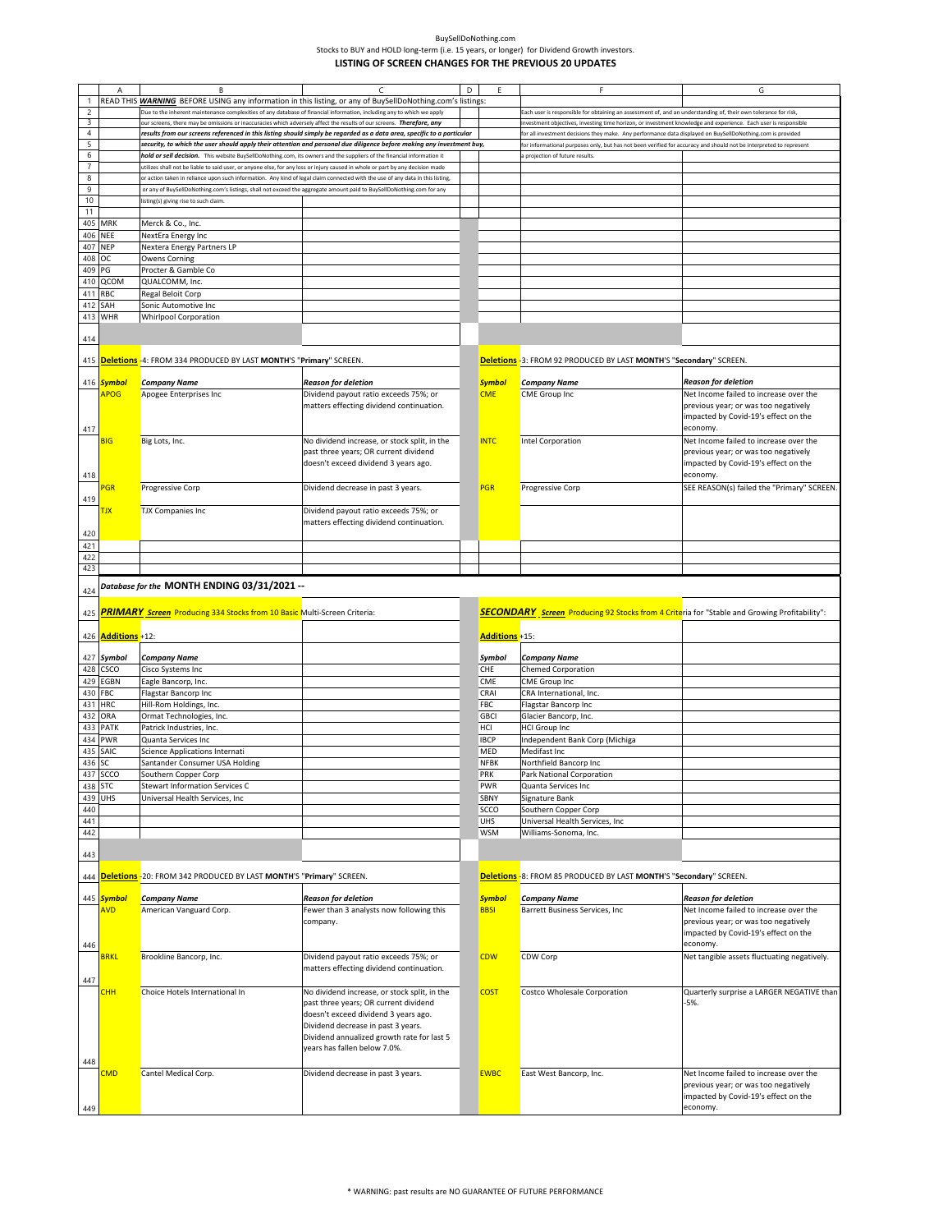|                          | Α              | B                                                                                                                              | C                                                                                                                     | D | Ε              | F                                                                                                                 | G                                                |
|--------------------------|----------------|--------------------------------------------------------------------------------------------------------------------------------|-----------------------------------------------------------------------------------------------------------------------|---|----------------|-------------------------------------------------------------------------------------------------------------------|--------------------------------------------------|
| $\overline{1}$           |                | READ THIS <b>WARNING</b> BEFORE USING any information in this listing, or any of BuySellDoNothing.com's listings:              |                                                                                                                       |   |                |                                                                                                                   |                                                  |
| $\overline{c}$           |                | Due to the inherent maintenance complexities of any database of financial information, including any to which we apply         |                                                                                                                       |   |                | ach user is responsible for obtaining an assessment of, and an understanding of, their own tolerance for risk     |                                                  |
| 3                        |                | our screens, there may be omissions or inaccuracies which adversely affect the results of our screens. Therefore, any          |                                                                                                                       |   |                | investment objectives, investing time horizon, or investment knowledge and experience. Each user is responsible   |                                                  |
| $\sqrt{4}$               |                | results from our screens referenced in this listing should simply be regarded as a data area, specific to a particular         |                                                                                                                       |   |                | for all investment decisions they make. Any performance data displayed on BuySellDoNothing.com is provided        |                                                  |
| 5                        |                |                                                                                                                                | security, to which the user should apply their attention and personal due diligence before making any investment buy, |   |                | or informational purposes only, but has not been verified for accuracy and should not be interpreted to represent |                                                  |
| 6                        |                | hold or sell decision. This website BuySellDoNothing.com, its owners and the suppliers of the financial information it         |                                                                                                                       |   |                | projection of future results                                                                                      |                                                  |
| $\overline{\phantom{a}}$ |                | utilizes shall not be liable to said user, or anyone else, for any loss or injury caused in whole or part by any decision made |                                                                                                                       |   |                |                                                                                                                   |                                                  |
| 8                        |                | or action taken in reliance upon such information. Any kind of legal claim connected with the use of any data in this listing, |                                                                                                                       |   |                |                                                                                                                   |                                                  |
| 9                        |                | or any of BuySellDoNothing.com's listings, shall not exceed the aggregate amount paid to BuySellDoNothing.com for any          |                                                                                                                       |   |                |                                                                                                                   |                                                  |
| 10                       |                | listing(s) giving rise to such claim.                                                                                          |                                                                                                                       |   |                |                                                                                                                   |                                                  |
| 11                       |                |                                                                                                                                |                                                                                                                       |   |                |                                                                                                                   |                                                  |
| 405                      | MRK            | Merck & Co., Inc.                                                                                                              |                                                                                                                       |   |                |                                                                                                                   |                                                  |
|                          |                |                                                                                                                                |                                                                                                                       |   |                |                                                                                                                   |                                                  |
| 406                      | <b>NEE</b>     | NextEra Energy Inc                                                                                                             |                                                                                                                       |   |                |                                                                                                                   |                                                  |
| 407                      | <b>NEP</b>     | Nextera Energy Partners LP                                                                                                     |                                                                                                                       |   |                |                                                                                                                   |                                                  |
| 408                      | ОC             | <b>Owens Corning</b>                                                                                                           |                                                                                                                       |   |                |                                                                                                                   |                                                  |
| 409                      | PG             | Procter & Gamble Co                                                                                                            |                                                                                                                       |   |                |                                                                                                                   |                                                  |
| 410                      | QCOM           | QUALCOMM, Inc.                                                                                                                 |                                                                                                                       |   |                |                                                                                                                   |                                                  |
| 411                      | RBC            | Regal Beloit Corp                                                                                                              |                                                                                                                       |   |                |                                                                                                                   |                                                  |
| 412                      | SAH            | Sonic Automotive Inc                                                                                                           |                                                                                                                       |   |                |                                                                                                                   |                                                  |
|                          | 413 WHR        | <b>Whirlpool Corporation</b>                                                                                                   |                                                                                                                       |   |                |                                                                                                                   |                                                  |
|                          |                |                                                                                                                                |                                                                                                                       |   |                |                                                                                                                   |                                                  |
| 414                      |                |                                                                                                                                |                                                                                                                       |   |                |                                                                                                                   |                                                  |
|                          |                |                                                                                                                                |                                                                                                                       |   |                |                                                                                                                   |                                                  |
|                          |                | 415 <b>Deletions</b> -4: FROM 334 PRODUCED BY LAST MONTH'S "Primary" SCREEN.                                                   |                                                                                                                       |   |                | Deletions -3: FROM 92 PRODUCED BY LAST MONTH'S "Secondary" SCREEN.                                                |                                                  |
|                          |                |                                                                                                                                |                                                                                                                       |   |                |                                                                                                                   |                                                  |
|                          | 416 Symbol     | <b>Company Name</b>                                                                                                            | <b>Reason for deletion</b>                                                                                            |   | <b>Symbol</b>  | <b>Company Name</b>                                                                                               | <b>Reason for deletion</b>                       |
|                          | <b>APOG</b>    | Apogee Enterprises Inc                                                                                                         | Dividend payout ratio exceeds 75%; or                                                                                 |   | <b>CME</b>     | CME Group Inc                                                                                                     | Net Income failed to increase over the           |
|                          |                |                                                                                                                                |                                                                                                                       |   |                |                                                                                                                   | previous year; or was too negatively             |
|                          |                |                                                                                                                                | matters effecting dividend continuation.                                                                              |   |                |                                                                                                                   |                                                  |
|                          |                |                                                                                                                                |                                                                                                                       |   |                |                                                                                                                   | impacted by Covid-19's effect on the             |
| 417                      |                |                                                                                                                                |                                                                                                                       |   |                |                                                                                                                   | economy.                                         |
|                          | <b>BIG</b>     | Big Lots, Inc.                                                                                                                 | No dividend increase, or stock split, in the                                                                          |   | <b>INTC</b>    | Intel Corporation                                                                                                 | Net Income failed to increase over the           |
|                          |                |                                                                                                                                | past three years; OR current dividend                                                                                 |   |                |                                                                                                                   | previous year; or was too negatively             |
|                          |                |                                                                                                                                | doesn't exceed dividend 3 years ago.                                                                                  |   |                |                                                                                                                   | impacted by Covid-19's effect on the             |
| 418                      |                |                                                                                                                                |                                                                                                                       |   |                |                                                                                                                   | economy.                                         |
|                          | PGR            | Progressive Corp                                                                                                               | Dividend decrease in past 3 years.                                                                                    |   | <b>PGR</b>     | Progressive Corp                                                                                                  | SEE REASON(s) failed the "Primary" SCREEN        |
| 419                      |                |                                                                                                                                |                                                                                                                       |   |                |                                                                                                                   |                                                  |
|                          |                |                                                                                                                                |                                                                                                                       |   |                |                                                                                                                   |                                                  |
|                          | <b>TJX</b>     | <b>TJX Companies Inc</b>                                                                                                       | Dividend payout ratio exceeds 75%; or                                                                                 |   |                |                                                                                                                   |                                                  |
|                          |                |                                                                                                                                | matters effecting dividend continuation.                                                                              |   |                |                                                                                                                   |                                                  |
| 420                      |                |                                                                                                                                |                                                                                                                       |   |                |                                                                                                                   |                                                  |
| 421                      |                |                                                                                                                                |                                                                                                                       |   |                |                                                                                                                   |                                                  |
| 422                      |                |                                                                                                                                |                                                                                                                       |   |                |                                                                                                                   |                                                  |
| 423                      |                |                                                                                                                                |                                                                                                                       |   |                |                                                                                                                   |                                                  |
|                          |                | Database for the MONTH ENDING 03/31/2021 --                                                                                    |                                                                                                                       |   |                |                                                                                                                   |                                                  |
|                          |                |                                                                                                                                |                                                                                                                       |   |                |                                                                                                                   |                                                  |
| 424                      |                |                                                                                                                                |                                                                                                                       |   |                |                                                                                                                   |                                                  |
|                          |                |                                                                                                                                |                                                                                                                       |   |                |                                                                                                                   |                                                  |
| 425                      |                | <b>PRIMARY</b> Screen Producing 334 Stocks from 10 Basic Multi-Screen Criteria:                                                |                                                                                                                       |   |                | SECONDARY Screen Producing 92 Stocks from 4 Criteria for "Stable and Growing Profitability":                      |                                                  |
|                          |                |                                                                                                                                |                                                                                                                       |   |                |                                                                                                                   |                                                  |
| 426                      | Additions +12: |                                                                                                                                |                                                                                                                       |   | Additions +15: |                                                                                                                   |                                                  |
|                          |                |                                                                                                                                |                                                                                                                       |   |                |                                                                                                                   |                                                  |
|                          | 427 Symbol     | <b>Company Name</b>                                                                                                            |                                                                                                                       |   | Symbol         | <b>Company Name</b>                                                                                               |                                                  |
|                          | CSCO           |                                                                                                                                |                                                                                                                       |   | CHE            |                                                                                                                   |                                                  |
| 428                      |                | Cisco Systems Inc                                                                                                              |                                                                                                                       |   |                | <b>Chemed Corporation</b>                                                                                         |                                                  |
| 429                      | EGBN           | Eagle Bancorp, Inc.                                                                                                            |                                                                                                                       |   | CME            | <b>CME Group Inc</b>                                                                                              |                                                  |
| 430                      | FBC            | Flagstar Bancorp Inc                                                                                                           |                                                                                                                       |   | CRAI           | CRA International, Inc.                                                                                           |                                                  |
| 431                      | <b>HRC</b>     | Hill-Rom Holdings, Inc.                                                                                                        |                                                                                                                       |   | <b>FBC</b>     | Flagstar Bancorp Inc                                                                                              |                                                  |
| 432                      | ORA            | Ormat Technologies, Inc.                                                                                                       |                                                                                                                       |   | <b>GBCI</b>    | Glacier Bancorp, Inc.                                                                                             |                                                  |
| 433                      | PATK           | Patrick Industries, Inc.                                                                                                       |                                                                                                                       |   | HCI            | <b>HCI Group Inc</b>                                                                                              |                                                  |
| 434                      | <b>PWR</b>     | Quanta Services Inc                                                                                                            |                                                                                                                       |   | <b>IBCP</b>    | Independent Bank Corp (Michiga                                                                                    |                                                  |
| 435                      | SAIC           | Science Applications Internati                                                                                                 |                                                                                                                       |   | MED            | Medifast Inc                                                                                                      |                                                  |
| 436                      | SC             | Santander Consumer USA Holding                                                                                                 |                                                                                                                       |   | NFBK           | Northfield Bancorp Inc                                                                                            |                                                  |
|                          | 437 SCCO       | Southern Copper Corp                                                                                                           |                                                                                                                       |   | PRK            | Park National Corporation                                                                                         |                                                  |
| 438                      | <b>STC</b>     | <b>Stewart Information Services C</b>                                                                                          |                                                                                                                       |   | PWR            | Quanta Services Inc                                                                                               |                                                  |
| 439                      | UHS            | Universal Health Services, Inc                                                                                                 |                                                                                                                       |   | SBNY           | Signature Bank                                                                                                    |                                                  |
| 440                      |                |                                                                                                                                |                                                                                                                       |   | SCCO           | Southern Copper Corp                                                                                              |                                                  |
|                          |                |                                                                                                                                |                                                                                                                       |   | <b>UHS</b>     |                                                                                                                   |                                                  |
| 441                      |                |                                                                                                                                |                                                                                                                       |   | <b>WSM</b>     | Universal Health Services, Inc                                                                                    |                                                  |
| 442                      |                |                                                                                                                                |                                                                                                                       |   |                | Williams-Sonoma, Inc.                                                                                             |                                                  |
|                          |                |                                                                                                                                |                                                                                                                       |   |                |                                                                                                                   |                                                  |
| 443                      |                |                                                                                                                                |                                                                                                                       |   |                |                                                                                                                   |                                                  |
|                          |                |                                                                                                                                |                                                                                                                       |   |                |                                                                                                                   |                                                  |
| 444                      |                | Deletions - 20: FROM 342 PRODUCED BY LAST MONTH'S "Primary" SCREEN.                                                            |                                                                                                                       |   |                | Deletions -8: FROM 85 PRODUCED BY LAST MONTH'S "Secondary" SCREEN.                                                |                                                  |
|                          |                |                                                                                                                                |                                                                                                                       |   |                |                                                                                                                   |                                                  |
|                          | 445 Symbol     | Company Name                                                                                                                   | <b>Reason for deletion</b>                                                                                            |   | <b>Symbol</b>  | <b>Company Name</b>                                                                                               | <b>Reason for deletion</b>                       |
|                          | <b>AVD</b>     | American Vanguard Corp.                                                                                                        | Fewer than 3 analysts now following this                                                                              |   | <b>BBSI</b>    | Barrett Business Services, Inc.                                                                                   | Net Income failed to increase over the           |
|                          |                |                                                                                                                                | company.                                                                                                              |   |                |                                                                                                                   | previous year; or was too negatively             |
|                          |                |                                                                                                                                |                                                                                                                       |   |                |                                                                                                                   | impacted by Covid-19's effect on the             |
| 446                      |                |                                                                                                                                |                                                                                                                       |   |                |                                                                                                                   | economy.                                         |
|                          | <b>BRKL</b>    | Brookline Bancorp, Inc.                                                                                                        | Dividend payout ratio exceeds 75%; or                                                                                 |   | <b>CDW</b>     | CDW Corp                                                                                                          | Net tangible assets fluctuating negatively.      |
|                          |                |                                                                                                                                | matters effecting dividend continuation.                                                                              |   |                |                                                                                                                   |                                                  |
| 447                      |                |                                                                                                                                |                                                                                                                       |   |                |                                                                                                                   |                                                  |
|                          | <b>CHH</b>     | Choice Hotels International In                                                                                                 | No dividend increase, or stock split, in the                                                                          |   | <b>COST</b>    | Costco Wholesale Corporation                                                                                      | Quarterly surprise a LARGER NEGATIVE than        |
|                          |                |                                                                                                                                | past three years; OR current dividend                                                                                 |   |                |                                                                                                                   | -5%.                                             |
|                          |                |                                                                                                                                | doesn't exceed dividend 3 years ago.                                                                                  |   |                |                                                                                                                   |                                                  |
|                          |                |                                                                                                                                | Dividend decrease in past 3 years.                                                                                    |   |                |                                                                                                                   |                                                  |
|                          |                |                                                                                                                                |                                                                                                                       |   |                |                                                                                                                   |                                                  |
|                          |                |                                                                                                                                | Dividend annualized growth rate for last 5                                                                            |   |                |                                                                                                                   |                                                  |
|                          |                |                                                                                                                                | years has fallen below 7.0%.                                                                                          |   |                |                                                                                                                   |                                                  |
| 448                      |                |                                                                                                                                |                                                                                                                       |   |                |                                                                                                                   |                                                  |
|                          | <b>CMD</b>     | Cantel Medical Corp.                                                                                                           | Dividend decrease in past 3 years.                                                                                    |   | <b>EWBC</b>    | East West Bancorp, Inc.                                                                                           | Net Income failed to increase over the           |
|                          |                |                                                                                                                                |                                                                                                                       |   |                |                                                                                                                   | previous year; or was too negatively             |
|                          |                |                                                                                                                                |                                                                                                                       |   |                |                                                                                                                   | impacted by Covid-19's effect on the<br>economy. |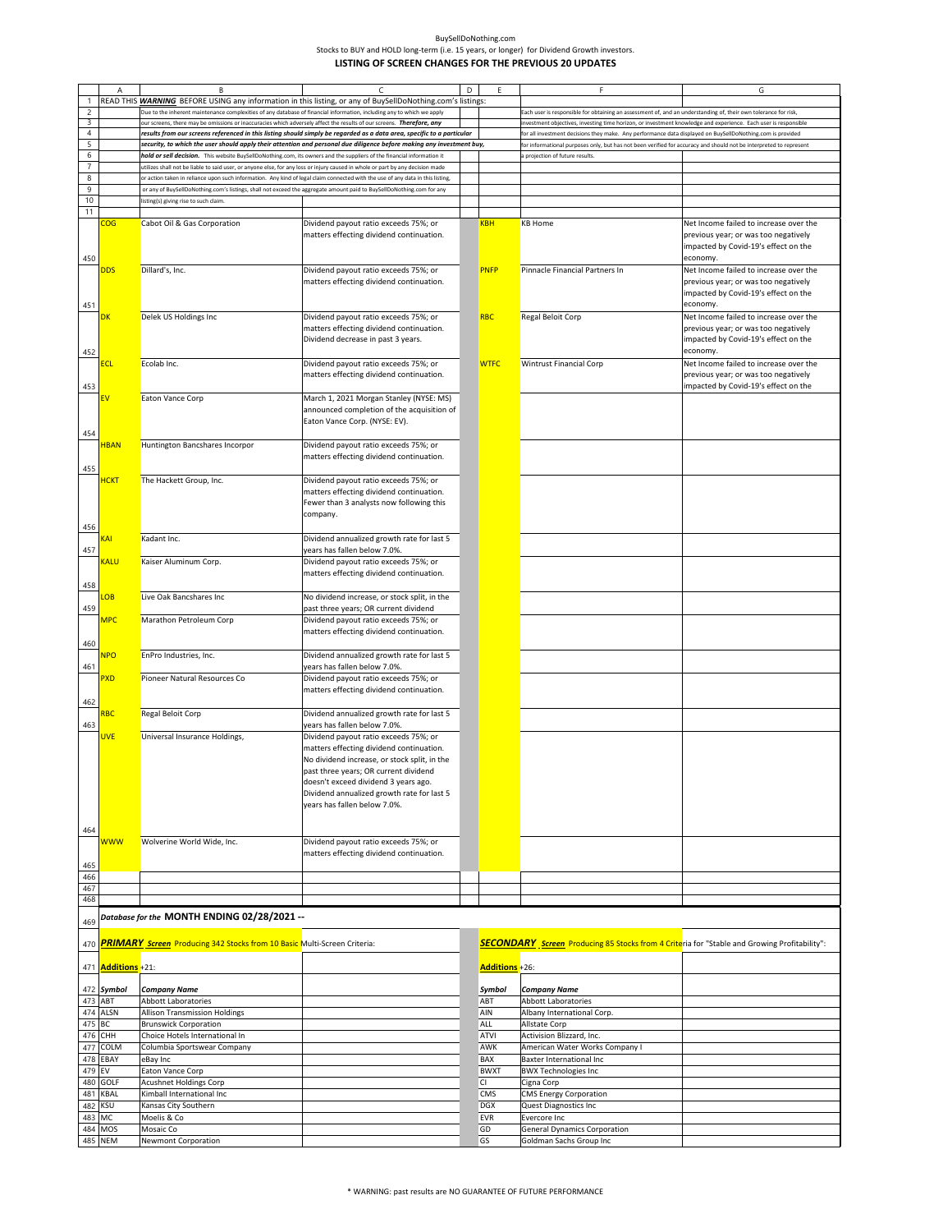|                     | Α                       | В                                                                                                                                                                                                                                           | C                                                                                                                      | D | Ε                  | F                                                                                                                 | G                                                                                        |
|---------------------|-------------------------|---------------------------------------------------------------------------------------------------------------------------------------------------------------------------------------------------------------------------------------------|------------------------------------------------------------------------------------------------------------------------|---|--------------------|-------------------------------------------------------------------------------------------------------------------|------------------------------------------------------------------------------------------|
| 1<br>$\overline{2}$ |                         | READ THIS <b>WARNING</b> BEFORE USING any information in this listing, or any of BuySellDoNothing.com's listings:<br>Due to the inherent maintenance complexities of any database of financial information, including any to which we apply |                                                                                                                        |   |                    | ach user is responsible for obtaining an assessment of, and an understanding of, their own tolerance for risk,    |                                                                                          |
| 3                   |                         | our screens, there may be omissions or inaccuracies which adversely affect the results of our screens. Therefore, any                                                                                                                       |                                                                                                                        |   |                    | nvestment objectives, investing time horizon, or investment knowledge and experience. Each user is responsible    |                                                                                          |
| $\overline{4}$      |                         |                                                                                                                                                                                                                                             | results from our screens referenced in this listing should simply be regarded as a data area, specific to a particular |   |                    | or all investment decisions they make. Any performance data displayed on BuySellDoNothing.com is provided         |                                                                                          |
| $\overline{5}$<br>6 |                         | hold or sell decision. This website BuySellDoNothing.com, its owners and the suppliers of the financial information it                                                                                                                      | security, to which the user should apply their attention and personal due diligence before making any investment buy,  |   |                    | or informational purposes only, but has not been verified for accuracy and should not be interpreted to represent |                                                                                          |
| 7                   |                         | utilizes shall not be liable to said user, or anyone else, for any loss or injury caused in whole or part by any decision made                                                                                                              |                                                                                                                        |   |                    | projection of future results                                                                                      |                                                                                          |
| 8                   |                         | or action taken in reliance upon such information. Any kind of legal claim connected with the use of any data in this listing,                                                                                                              |                                                                                                                        |   |                    |                                                                                                                   |                                                                                          |
| 9                   |                         | or any of BuySellDoNothing.com's listings, shall not exceed the aggregate amount paid to BuySellDoNothing.com for any                                                                                                                       |                                                                                                                        |   |                    |                                                                                                                   |                                                                                          |
| 10<br>11            |                         | listing(s) giving rise to such claim.                                                                                                                                                                                                       |                                                                                                                        |   |                    |                                                                                                                   |                                                                                          |
|                     | $\overline{\text{COG}}$ | Cabot Oil & Gas Corporation                                                                                                                                                                                                                 | Dividend payout ratio exceeds 75%; or                                                                                  |   | <b>KBH</b>         | <b>KB Home</b>                                                                                                    | Net Income failed to increase over the                                                   |
|                     |                         |                                                                                                                                                                                                                                             | matters effecting dividend continuation.                                                                               |   |                    |                                                                                                                   | previous year; or was too negatively<br>impacted by Covid-19's effect on the             |
| 450                 |                         |                                                                                                                                                                                                                                             |                                                                                                                        |   |                    |                                                                                                                   | economy.                                                                                 |
|                     | <b>DDS</b>              | Dillard's, Inc.                                                                                                                                                                                                                             | Dividend payout ratio exceeds 75%; or                                                                                  |   | <b>PNFP</b>        | Pinnacle Financial Partners In                                                                                    | Net Income failed to increase over the                                                   |
| 451                 |                         |                                                                                                                                                                                                                                             | matters effecting dividend continuation.                                                                               |   |                    |                                                                                                                   | previous year; or was too negatively<br>impacted by Covid-19's effect on the<br>economy. |
|                     | DK                      | Delek US Holdings Inc                                                                                                                                                                                                                       | Dividend payout ratio exceeds 75%; or                                                                                  |   | <b>RBC</b>         | Regal Beloit Corp                                                                                                 | Net Income failed to increase over the                                                   |
| 452                 |                         |                                                                                                                                                                                                                                             | matters effecting dividend continuation.<br>Dividend decrease in past 3 years.                                         |   |                    |                                                                                                                   | previous year; or was too negatively<br>impacted by Covid-19's effect on the<br>economy. |
|                     |                         | Ecolab Inc.                                                                                                                                                                                                                                 | Dividend payout ratio exceeds 75%; or                                                                                  |   | <b>WTFC</b>        | <b>Wintrust Financial Corp</b>                                                                                    | Net Income failed to increase over the                                                   |
| 453                 |                         |                                                                                                                                                                                                                                             | matters effecting dividend continuation.                                                                               |   |                    |                                                                                                                   | previous year; or was too negatively<br>impacted by Covid-19's effect on the             |
|                     |                         | Eaton Vance Corp                                                                                                                                                                                                                            | March 1, 2021 Morgan Stanley (NYSE: MS)                                                                                |   |                    |                                                                                                                   |                                                                                          |
| 454                 |                         |                                                                                                                                                                                                                                             | announced completion of the acquisition of<br>Eaton Vance Corp. (NYSE: EV).                                            |   |                    |                                                                                                                   |                                                                                          |
|                     | <b>HBAN</b>             | Huntington Bancshares Incorpor                                                                                                                                                                                                              | Dividend payout ratio exceeds 75%; or                                                                                  |   |                    |                                                                                                                   |                                                                                          |
| 455                 |                         |                                                                                                                                                                                                                                             | matters effecting dividend continuation.                                                                               |   |                    |                                                                                                                   |                                                                                          |
|                     | <b>HCKT</b>             | The Hackett Group, Inc.                                                                                                                                                                                                                     | Dividend payout ratio exceeds 75%; or                                                                                  |   |                    |                                                                                                                   |                                                                                          |
|                     |                         |                                                                                                                                                                                                                                             | matters effecting dividend continuation.<br>Fewer than 3 analysts now following this                                   |   |                    |                                                                                                                   |                                                                                          |
| 456                 |                         |                                                                                                                                                                                                                                             | company.                                                                                                               |   |                    |                                                                                                                   |                                                                                          |
|                     | KAI                     | Kadant Inc.                                                                                                                                                                                                                                 | Dividend annualized growth rate for last 5                                                                             |   |                    |                                                                                                                   |                                                                                          |
| 457                 | Kalu                    | Kaiser Aluminum Corp.                                                                                                                                                                                                                       | years has fallen below 7.0%.<br>Dividend payout ratio exceeds 75%; or                                                  |   |                    |                                                                                                                   |                                                                                          |
| 458                 |                         |                                                                                                                                                                                                                                             | matters effecting dividend continuation.                                                                               |   |                    |                                                                                                                   |                                                                                          |
| 459                 | <b>LOB</b>              | Live Oak Bancshares Inc                                                                                                                                                                                                                     | No dividend increase, or stock split, in the<br>past three years; OR current dividend                                  |   |                    |                                                                                                                   |                                                                                          |
|                     | MPC                     | Marathon Petroleum Corp                                                                                                                                                                                                                     | Dividend payout ratio exceeds 75%; or<br>matters effecting dividend continuation.                                      |   |                    |                                                                                                                   |                                                                                          |
| 460                 |                         |                                                                                                                                                                                                                                             |                                                                                                                        |   |                    |                                                                                                                   |                                                                                          |
|                     | <b>NPO</b>              | EnPro Industries, Inc.                                                                                                                                                                                                                      | Dividend annualized growth rate for last 5                                                                             |   |                    |                                                                                                                   |                                                                                          |
| 461                 | PXD                     | Pioneer Natural Resources Co                                                                                                                                                                                                                | years has fallen below 7.0%.<br>Dividend payout ratio exceeds 75%; or                                                  |   |                    |                                                                                                                   |                                                                                          |
| 462                 |                         |                                                                                                                                                                                                                                             | matters effecting dividend continuation.                                                                               |   |                    |                                                                                                                   |                                                                                          |
|                     | RBC                     | Regal Beloit Corp                                                                                                                                                                                                                           | Dividend annualized growth rate for last 5                                                                             |   |                    |                                                                                                                   |                                                                                          |
| 463                 |                         |                                                                                                                                                                                                                                             | years has fallen below 7.0%.                                                                                           |   |                    |                                                                                                                   |                                                                                          |
|                     | <b>UVE</b>              | Universal Insurance Holdings,                                                                                                                                                                                                               | Dividend payout ratio exceeds 75%; or<br>matters effecting dividend continuation.                                      |   |                    |                                                                                                                   |                                                                                          |
|                     |                         |                                                                                                                                                                                                                                             | No dividend increase, or stock split, in the                                                                           |   |                    |                                                                                                                   |                                                                                          |
|                     |                         |                                                                                                                                                                                                                                             | past three years; OR current dividend                                                                                  |   |                    |                                                                                                                   |                                                                                          |
|                     |                         |                                                                                                                                                                                                                                             | doesn't exceed dividend 3 years ago.<br>Dividend annualized growth rate for last 5                                     |   |                    |                                                                                                                   |                                                                                          |
|                     |                         |                                                                                                                                                                                                                                             | years has fallen below 7.0%.                                                                                           |   |                    |                                                                                                                   |                                                                                          |
|                     |                         |                                                                                                                                                                                                                                             |                                                                                                                        |   |                    |                                                                                                                   |                                                                                          |
| 464                 |                         |                                                                                                                                                                                                                                             |                                                                                                                        |   |                    |                                                                                                                   |                                                                                          |
|                     | <b>WWW</b>              | Wolverine World Wide, Inc.                                                                                                                                                                                                                  | Dividend payout ratio exceeds 75%; or                                                                                  |   |                    |                                                                                                                   |                                                                                          |
| 465                 |                         |                                                                                                                                                                                                                                             | matters effecting dividend continuation.                                                                               |   |                    |                                                                                                                   |                                                                                          |
| 466                 |                         |                                                                                                                                                                                                                                             |                                                                                                                        |   |                    |                                                                                                                   |                                                                                          |
| 467                 |                         |                                                                                                                                                                                                                                             |                                                                                                                        |   |                    |                                                                                                                   |                                                                                          |
| 468                 |                         |                                                                                                                                                                                                                                             |                                                                                                                        |   |                    |                                                                                                                   |                                                                                          |
| 469                 |                         | -- Database for the MONTH ENDING 02/28/2021                                                                                                                                                                                                 |                                                                                                                        |   |                    |                                                                                                                   |                                                                                          |
| 470                 |                         | PRIMARY Screen Producing 342 Stocks from 10 Basic Multi-Screen Criteria:                                                                                                                                                                    |                                                                                                                        |   |                    | <b>SECONDARY</b> Screen Producing 85 Stocks from 4 Criteria for "Stable and Growing Profitability":               |                                                                                          |
| 471                 | <b>Additions</b> +21:   |                                                                                                                                                                                                                                             |                                                                                                                        |   | Additions +26:     |                                                                                                                   |                                                                                          |
|                     | 472 Symbol              | <b>Company Name</b>                                                                                                                                                                                                                         |                                                                                                                        |   | Symbol             | <b>Company Name</b>                                                                                               |                                                                                          |
| 473 ABT<br>474      | <b>ALSN</b>             | <b>Abbott Laboratories</b><br><b>Allison Transmission Holdings</b>                                                                                                                                                                          |                                                                                                                        |   | ABT<br>AIN         | <b>Abbott Laboratories</b><br>Albany International Corp.                                                          |                                                                                          |
| 475                 | ВC                      | <b>Brunswick Corporation</b>                                                                                                                                                                                                                |                                                                                                                        |   | <b>ALL</b>         | Allstate Corp                                                                                                     |                                                                                          |
| 476                 | CHH                     | Choice Hotels International In                                                                                                                                                                                                              |                                                                                                                        |   | <b>ATVI</b>        | Activision Blizzard, Inc.                                                                                         |                                                                                          |
| 477                 | COLM                    | Columbia Sportswear Company                                                                                                                                                                                                                 |                                                                                                                        |   | AWK                | American Water Works Company I                                                                                    |                                                                                          |
| 478<br>479          | EBAY<br>EV              | eBay Inc<br>Eaton Vance Corp                                                                                                                                                                                                                |                                                                                                                        |   | BAX<br><b>BWXT</b> | <b>Baxter International Inc</b><br><b>BWX Technologies Inc</b>                                                    |                                                                                          |
| 480                 | <b>GOLF</b>             | Acushnet Holdings Corp                                                                                                                                                                                                                      |                                                                                                                        |   | СI                 | Cigna Corp                                                                                                        |                                                                                          |
| 481                 | KBAL                    | Kimball International Inc                                                                                                                                                                                                                   |                                                                                                                        |   | <b>CMS</b>         | <b>CMS Energy Corporation</b>                                                                                     |                                                                                          |
| 482                 | <b>KSU</b>              | Kansas City Southern                                                                                                                                                                                                                        |                                                                                                                        |   | <b>DGX</b>         | Quest Diagnostics Inc                                                                                             |                                                                                          |
| 483 MC<br>484       | MOS                     | Moelis & Co<br>Mosaic Co                                                                                                                                                                                                                    |                                                                                                                        |   | EVR<br>GD          | Evercore Inc<br><b>General Dynamics Corporation</b>                                                               |                                                                                          |
| 485 NEM             |                         | <b>Newmont Corporation</b>                                                                                                                                                                                                                  |                                                                                                                        |   | GS                 | Goldman Sachs Group Inc                                                                                           |                                                                                          |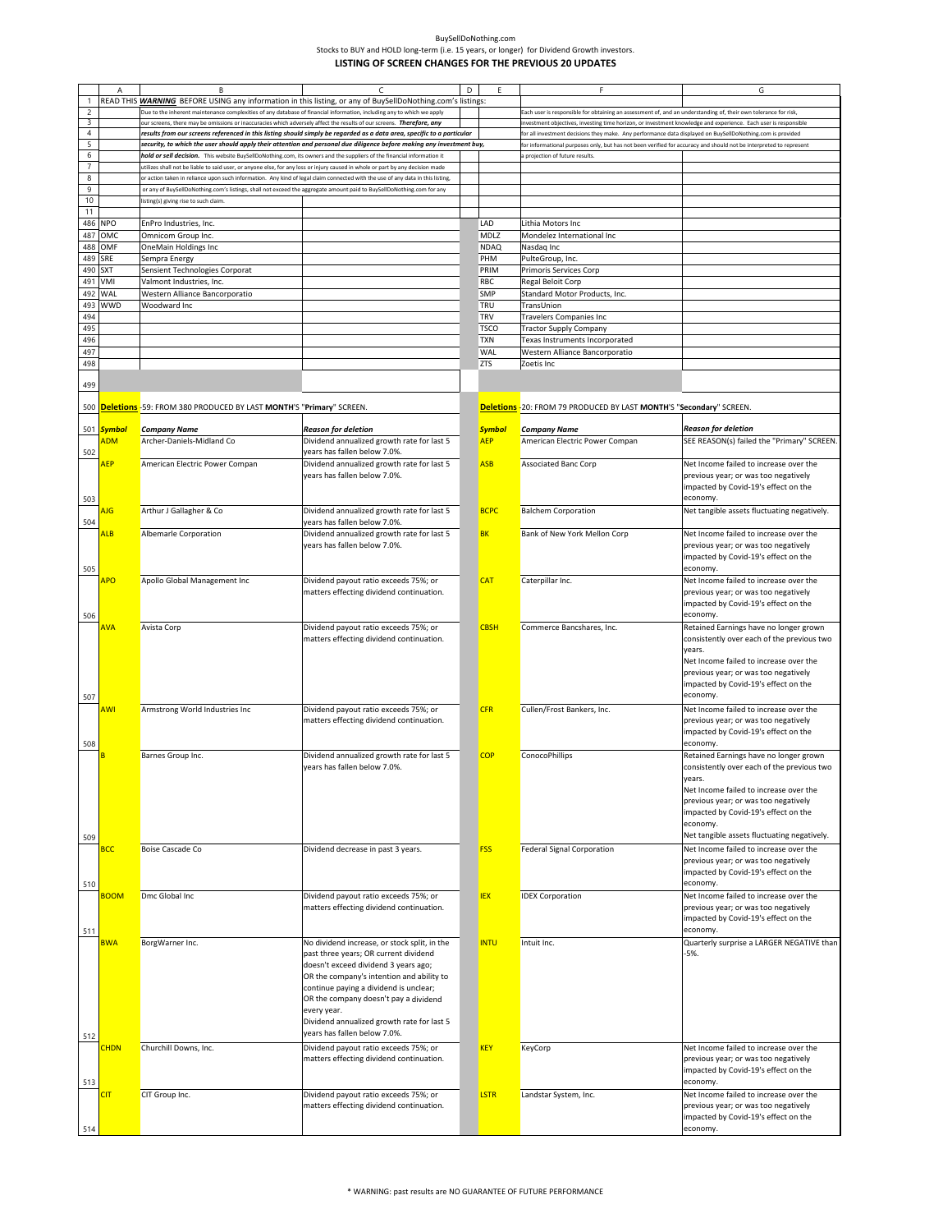|                     | Α           | B                                                                                                                              | C                                                                                                                      | D |               | F                                                                                                                                                                                                                              | G                                                                                    |
|---------------------|-------------|--------------------------------------------------------------------------------------------------------------------------------|------------------------------------------------------------------------------------------------------------------------|---|---------------|--------------------------------------------------------------------------------------------------------------------------------------------------------------------------------------------------------------------------------|--------------------------------------------------------------------------------------|
|                     |             |                                                                                                                                | READ THIS <b>WARNING</b> BEFORE USING any information in this listing, or any of BuySellDoNothing.com's listings:      |   |               |                                                                                                                                                                                                                                |                                                                                      |
|                     |             | Due to the inherent maintenance complexities of any database of financial information, including any to which we apply         |                                                                                                                        |   |               |                                                                                                                                                                                                                                |                                                                                      |
| $\overline{c}$<br>3 |             | our screens, there may be omissions or inaccuracies which adversely affect the results of our screens. Therefore, any          |                                                                                                                        |   |               | ach user is responsible for obtaining an assessment of, and an understanding of, their own tolerance for risk,                                                                                                                 |                                                                                      |
| $\overline{4}$      |             |                                                                                                                                | results from our screens referenced in this listing should simply be regarded as a data area, specific to a particular |   |               | nvestment objectives, investing time horizon, or investment knowledge and experience. Each user is responsible                                                                                                                 |                                                                                      |
| 5                   |             |                                                                                                                                | security, to which the user should apply their attention and personal due diligence before making any investment buy,  |   |               | or all investment decisions they make. Any performance data displayed on BuySellDoNothing.com is provided<br>or informational purposes only, but has not been verified for accuracy and should not be interpreted to represent |                                                                                      |
| 6                   |             | hold or sell decision. This website BuySellDoNothing.com, its owners and the suppliers of the financial information it         |                                                                                                                        |   |               | projection of future results.                                                                                                                                                                                                  |                                                                                      |
|                     |             | ttilizes shall not be liable to said user, or anyone else, for any loss or injury caused in whole or part by any decision made |                                                                                                                        |   |               |                                                                                                                                                                                                                                |                                                                                      |
| 8                   |             | or action taken in reliance upon such information. Any kind of legal claim connected with the use of any data in this listing, |                                                                                                                        |   |               |                                                                                                                                                                                                                                |                                                                                      |
| 9                   |             | or any of BuySellDoNothing.com's listings, shall not exceed the aggregate amount paid to BuySellDoNothing.com for any          |                                                                                                                        |   |               |                                                                                                                                                                                                                                |                                                                                      |
| 10                  |             | listing(s) giving rise to such claim.                                                                                          |                                                                                                                        |   |               |                                                                                                                                                                                                                                |                                                                                      |
| 11                  |             |                                                                                                                                |                                                                                                                        |   |               |                                                                                                                                                                                                                                |                                                                                      |
| 486                 | <b>NPO</b>  | EnPro Industries, Inc.                                                                                                         |                                                                                                                        |   | LAD           | Lithia Motors Inc                                                                                                                                                                                                              |                                                                                      |
| 487                 | OMC         | Omnicom Group Inc.                                                                                                             |                                                                                                                        |   | MDLZ          | Mondelez International Inc                                                                                                                                                                                                     |                                                                                      |
| 488                 | OMF         | OneMain Holdings Inc                                                                                                           |                                                                                                                        |   | <b>NDAQ</b>   | Nasdaq Inc                                                                                                                                                                                                                     |                                                                                      |
| 489                 | SRE         | Sempra Energy                                                                                                                  |                                                                                                                        |   | PHM           | PulteGroup, Inc.                                                                                                                                                                                                               |                                                                                      |
| 490                 | <b>SXT</b>  | Sensient Technologies Corporat                                                                                                 |                                                                                                                        |   | PRIM          | Primoris Services Corp                                                                                                                                                                                                         |                                                                                      |
| 491                 | VMI         |                                                                                                                                |                                                                                                                        |   | RBC           |                                                                                                                                                                                                                                |                                                                                      |
|                     | WAL         | Valmont Industries, Inc.                                                                                                       |                                                                                                                        |   |               | Regal Beloit Corp                                                                                                                                                                                                              |                                                                                      |
| 492                 |             | Western Alliance Bancorporatio                                                                                                 |                                                                                                                        |   | <b>SMP</b>    | Standard Motor Products, Inc.                                                                                                                                                                                                  |                                                                                      |
| 493                 | <b>WWD</b>  | Woodward Inc                                                                                                                   |                                                                                                                        |   | TRU           | TransUnion                                                                                                                                                                                                                     |                                                                                      |
| 494                 |             |                                                                                                                                |                                                                                                                        |   | TRV           | <b>Travelers Companies Inc</b>                                                                                                                                                                                                 |                                                                                      |
| 495                 |             |                                                                                                                                |                                                                                                                        |   | <b>TSCO</b>   | <b>Tractor Supply Company</b>                                                                                                                                                                                                  |                                                                                      |
| 496                 |             |                                                                                                                                |                                                                                                                        |   | <b>TXN</b>    | Texas Instruments Incorporated                                                                                                                                                                                                 |                                                                                      |
| 497                 |             |                                                                                                                                |                                                                                                                        |   | <b>WAL</b>    | Western Alliance Bancorporatio                                                                                                                                                                                                 |                                                                                      |
| 498                 |             |                                                                                                                                |                                                                                                                        |   | <b>ZTS</b>    | Zoetis Inc                                                                                                                                                                                                                     |                                                                                      |
|                     |             |                                                                                                                                |                                                                                                                        |   |               |                                                                                                                                                                                                                                |                                                                                      |
| 499                 |             |                                                                                                                                |                                                                                                                        |   |               |                                                                                                                                                                                                                                |                                                                                      |
|                     |             |                                                                                                                                |                                                                                                                        |   |               | Deletions - 20: FROM 79 PRODUCED BY LAST MONTH'S "Secondary" SCREEN.                                                                                                                                                           |                                                                                      |
|                     |             | 500 <b>Deletions</b> -59: FROM 380 PRODUCED BY LAST MONTH'S "Primary" SCREEN.                                                  |                                                                                                                        |   |               |                                                                                                                                                                                                                                |                                                                                      |
|                     | 501 Symbol  | <b>Company Name</b>                                                                                                            | <b>Reason for deletion</b>                                                                                             |   | <b>Symbol</b> | <b>Company Name</b>                                                                                                                                                                                                            | <b>Reason for deletion</b>                                                           |
|                     | <b>ADM</b>  | Archer-Daniels-Midland Co                                                                                                      | Dividend annualized growth rate for last 5                                                                             |   | <b>AEP</b>    | American Electric Power Compan                                                                                                                                                                                                 | SEE REASON(s) failed the "Primary" SCREEN.                                           |
|                     |             |                                                                                                                                | years has fallen below 7.0%.                                                                                           |   |               |                                                                                                                                                                                                                                |                                                                                      |
| 502                 |             |                                                                                                                                |                                                                                                                        |   | <b>ASB</b>    |                                                                                                                                                                                                                                | Net Income failed to increase over the                                               |
|                     | <b>AEP</b>  | American Electric Power Compan                                                                                                 | Dividend annualized growth rate for last 5<br>years has fallen below 7.0%.                                             |   |               | <b>Associated Banc Corp</b>                                                                                                                                                                                                    | previous year; or was too negatively                                                 |
|                     |             |                                                                                                                                |                                                                                                                        |   |               |                                                                                                                                                                                                                                | impacted by Covid-19's effect on the                                                 |
|                     |             |                                                                                                                                |                                                                                                                        |   |               |                                                                                                                                                                                                                                | economy.                                                                             |
| 503                 |             |                                                                                                                                |                                                                                                                        |   |               |                                                                                                                                                                                                                                |                                                                                      |
|                     | ΝG          | Arthur J Gallagher & Co                                                                                                        | Dividend annualized growth rate for last 5                                                                             |   | <b>BCPC</b>   | <b>Balchem Corporation</b>                                                                                                                                                                                                     | Net tangible assets fluctuating negatively.                                          |
| 504                 |             |                                                                                                                                | years has fallen below 7.0%.                                                                                           |   |               |                                                                                                                                                                                                                                |                                                                                      |
|                     | AL B        | Albemarle Corporation                                                                                                          | Dividend annualized growth rate for last 5<br>years has fallen below 7.0%.                                             |   | <b>BK</b>     | Bank of New York Mellon Corp                                                                                                                                                                                                   | Net Income failed to increase over the<br>previous year; or was too negatively       |
|                     |             |                                                                                                                                |                                                                                                                        |   |               |                                                                                                                                                                                                                                | impacted by Covid-19's effect on the                                                 |
|                     |             |                                                                                                                                |                                                                                                                        |   |               |                                                                                                                                                                                                                                | economy.                                                                             |
| 505                 |             |                                                                                                                                |                                                                                                                        |   | <b>CAT</b>    |                                                                                                                                                                                                                                |                                                                                      |
|                     | <b>APO</b>  | Apollo Global Management Inc                                                                                                   | Dividend payout ratio exceeds 75%; or                                                                                  |   |               | Caterpillar Inc.                                                                                                                                                                                                               | Net Income failed to increase over the<br>previous year; or was too negatively       |
|                     |             |                                                                                                                                | matters effecting dividend continuation.                                                                               |   |               |                                                                                                                                                                                                                                | impacted by Covid-19's effect on the                                                 |
|                     |             |                                                                                                                                |                                                                                                                        |   |               |                                                                                                                                                                                                                                |                                                                                      |
| 506                 |             |                                                                                                                                |                                                                                                                        |   |               |                                                                                                                                                                                                                                | economy.                                                                             |
|                     | AVA         | Avista Corp                                                                                                                    | Dividend payout ratio exceeds 75%; or<br>matters effecting dividend continuation.                                      |   | <b>CBSH</b>   | Commerce Bancshares, Inc.                                                                                                                                                                                                      | Retained Earnings have no longer grown<br>consistently over each of the previous two |
|                     |             |                                                                                                                                |                                                                                                                        |   |               |                                                                                                                                                                                                                                | vears.                                                                               |
|                     |             |                                                                                                                                |                                                                                                                        |   |               |                                                                                                                                                                                                                                | Net Income failed to increase over the                                               |
|                     |             |                                                                                                                                |                                                                                                                        |   |               |                                                                                                                                                                                                                                | previous year; or was too negatively                                                 |
|                     |             |                                                                                                                                |                                                                                                                        |   |               |                                                                                                                                                                                                                                | impacted by Covid-19's effect on the                                                 |
|                     |             |                                                                                                                                |                                                                                                                        |   |               |                                                                                                                                                                                                                                | economy.                                                                             |
| 507                 | ۹WI         | Armstrong World Industries Inc                                                                                                 | Dividend payout ratio exceeds 75%; or                                                                                  |   | <b>CFR</b>    | Cullen/Frost Bankers, Inc.                                                                                                                                                                                                     | Net Income failed to increase over the                                               |
|                     |             |                                                                                                                                | matters effecting dividend continuation.                                                                               |   |               |                                                                                                                                                                                                                                | previous year; or was too negatively                                                 |
|                     |             |                                                                                                                                |                                                                                                                        |   |               |                                                                                                                                                                                                                                | impacted by Covid-19's effect on the                                                 |
| 508                 |             |                                                                                                                                |                                                                                                                        |   |               |                                                                                                                                                                                                                                | economy.                                                                             |
|                     |             | Barnes Group Inc.                                                                                                              | Dividend annualized growth rate for last 5                                                                             |   | <b>COP</b>    | ConocoPhillips                                                                                                                                                                                                                 | Retained Earnings have no longer grown                                               |
|                     |             |                                                                                                                                | years has fallen below 7.0%.                                                                                           |   |               |                                                                                                                                                                                                                                | consistently over each of the previous two                                           |
|                     |             |                                                                                                                                |                                                                                                                        |   |               |                                                                                                                                                                                                                                |                                                                                      |
|                     |             |                                                                                                                                |                                                                                                                        |   |               |                                                                                                                                                                                                                                | years.<br>Net Income failed to increase over the                                     |
|                     |             |                                                                                                                                |                                                                                                                        |   |               |                                                                                                                                                                                                                                | previous year; or was too negatively                                                 |
|                     |             |                                                                                                                                |                                                                                                                        |   |               |                                                                                                                                                                                                                                |                                                                                      |
|                     |             |                                                                                                                                |                                                                                                                        |   |               |                                                                                                                                                                                                                                | impacted by Covid-19's effect on the<br>economy.                                     |
|                     |             |                                                                                                                                |                                                                                                                        |   |               |                                                                                                                                                                                                                                | Net tangible assets fluctuating negatively.                                          |
| 509                 |             |                                                                                                                                |                                                                                                                        |   |               |                                                                                                                                                                                                                                |                                                                                      |
|                     | <b>BCC</b>  | <b>Boise Cascade Co</b>                                                                                                        | Dividend decrease in past 3 years.                                                                                     |   | <b>FSS</b>    | <b>Federal Signal Corporation</b>                                                                                                                                                                                              | Net Income failed to increase over the                                               |
|                     |             |                                                                                                                                |                                                                                                                        |   |               |                                                                                                                                                                                                                                | previous year; or was too negatively                                                 |
|                     |             |                                                                                                                                |                                                                                                                        |   |               |                                                                                                                                                                                                                                | impacted by Covid-19's effect on the                                                 |
| 510                 |             |                                                                                                                                |                                                                                                                        |   |               |                                                                                                                                                                                                                                | economy.                                                                             |
|                     | <b>BOOM</b> | Dmc Global Inc                                                                                                                 | Dividend payout ratio exceeds 75%; or                                                                                  |   | <b>IEX</b>    | <b>IDEX Corporation</b>                                                                                                                                                                                                        | Net Income failed to increase over the                                               |
|                     |             |                                                                                                                                | matters effecting dividend continuation.                                                                               |   |               |                                                                                                                                                                                                                                | previous year; or was too negatively                                                 |
|                     |             |                                                                                                                                |                                                                                                                        |   |               |                                                                                                                                                                                                                                | impacted by Covid-19's effect on the                                                 |
| 511                 |             |                                                                                                                                |                                                                                                                        |   |               |                                                                                                                                                                                                                                | economy.                                                                             |
|                     | <b>BWA</b>  | BorgWarner Inc.                                                                                                                | No dividend increase, or stock split, in the                                                                           |   | <b>INTU</b>   | Intuit Inc.                                                                                                                                                                                                                    | Quarterly surprise a LARGER NEGATIVE than                                            |
|                     |             |                                                                                                                                | past three years; OR current dividend                                                                                  |   |               |                                                                                                                                                                                                                                | $-5%$                                                                                |
|                     |             |                                                                                                                                | doesn't exceed dividend 3 years ago;                                                                                   |   |               |                                                                                                                                                                                                                                |                                                                                      |
|                     |             |                                                                                                                                | OR the company's intention and ability to                                                                              |   |               |                                                                                                                                                                                                                                |                                                                                      |
|                     |             |                                                                                                                                | continue paying a dividend is unclear;                                                                                 |   |               |                                                                                                                                                                                                                                |                                                                                      |
|                     |             |                                                                                                                                | OR the company doesn't pay a dividend                                                                                  |   |               |                                                                                                                                                                                                                                |                                                                                      |
|                     |             |                                                                                                                                | every year.                                                                                                            |   |               |                                                                                                                                                                                                                                |                                                                                      |
|                     |             |                                                                                                                                | Dividend annualized growth rate for last 5                                                                             |   |               |                                                                                                                                                                                                                                |                                                                                      |
| 512                 |             |                                                                                                                                | years has fallen below 7.0%.                                                                                           |   |               |                                                                                                                                                                                                                                |                                                                                      |
|                     | <b>CHDN</b> | Churchill Downs, Inc.                                                                                                          | Dividend payout ratio exceeds 75%; or                                                                                  |   | <b>KEY</b>    | KeyCorp                                                                                                                                                                                                                        | Net Income failed to increase over the                                               |
|                     |             |                                                                                                                                | matters effecting dividend continuation.                                                                               |   |               |                                                                                                                                                                                                                                | previous year; or was too negatively                                                 |
|                     |             |                                                                                                                                |                                                                                                                        |   |               |                                                                                                                                                                                                                                | impacted by Covid-19's effect on the                                                 |
|                     |             |                                                                                                                                |                                                                                                                        |   |               |                                                                                                                                                                                                                                | economy.<br>Net Income failed to increase over the                                   |
| 513                 |             |                                                                                                                                |                                                                                                                        |   |               |                                                                                                                                                                                                                                |                                                                                      |
|                     | <b>CIT</b>  | CIT Group Inc.                                                                                                                 | Dividend payout ratio exceeds 75%; or                                                                                  |   | <b>LSTR</b>   | Landstar System, Inc.                                                                                                                                                                                                          |                                                                                      |
|                     |             |                                                                                                                                | matters effecting dividend continuation.                                                                               |   |               |                                                                                                                                                                                                                                | previous year; or was too negatively                                                 |
| 514                 |             |                                                                                                                                |                                                                                                                        |   |               |                                                                                                                                                                                                                                | impacted by Covid-19's effect on the<br>economy.                                     |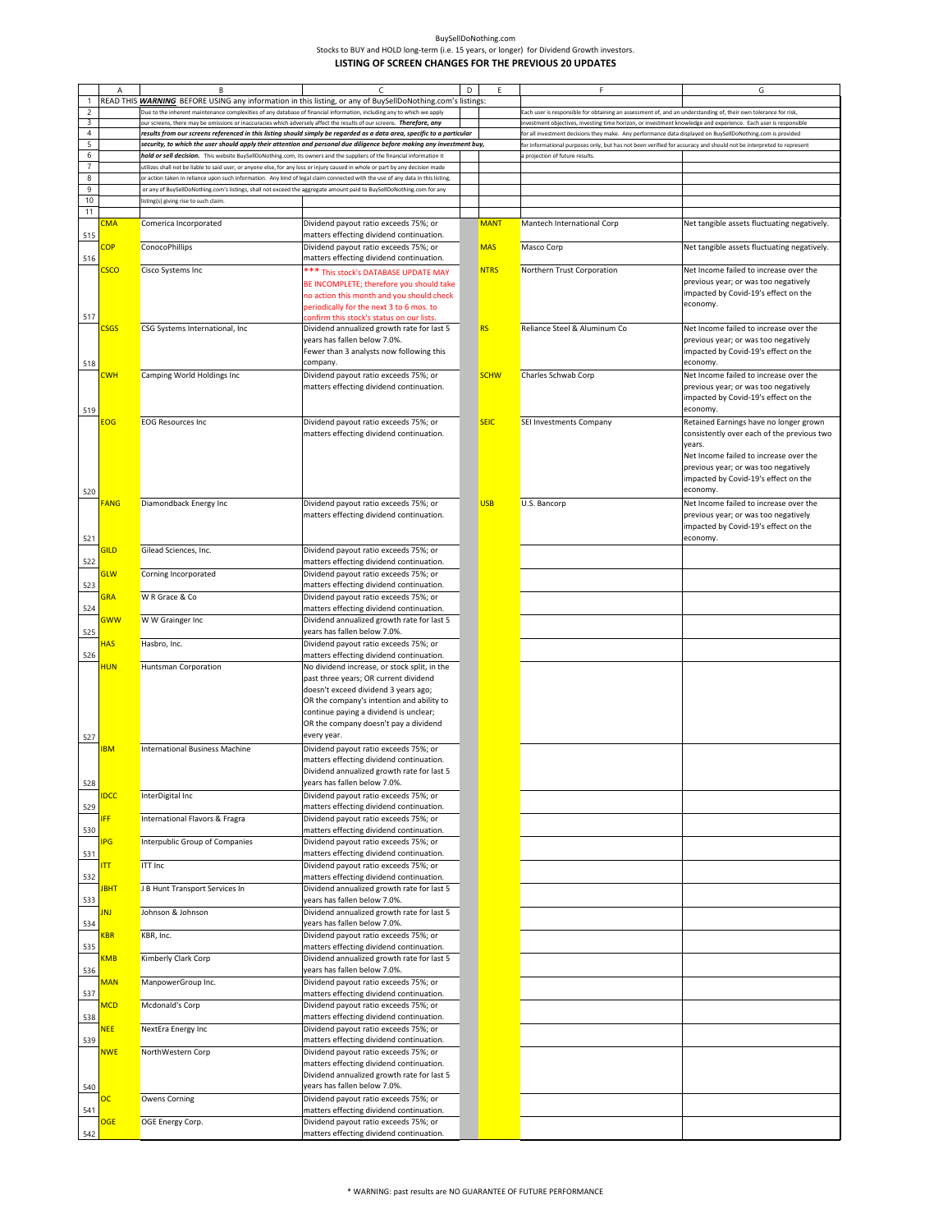| BuvSellDoNothing.com                                                                       |
|--------------------------------------------------------------------------------------------|
| Stocks to BUY and HOLD long-term (i.e. 15 years, or longer) for Dividend Growth investors. |
| LISTING OF SCREEN CHANGES FOR THE PREVIOUS 20 UPDATES                                      |

|                                 | А               | B                                     | $\epsilon$                                                                                                                                                                                                                                               | D | Ε           | F                                                                                                                  | G                                           |
|---------------------------------|-----------------|---------------------------------------|----------------------------------------------------------------------------------------------------------------------------------------------------------------------------------------------------------------------------------------------------------|---|-------------|--------------------------------------------------------------------------------------------------------------------|---------------------------------------------|
|                                 |                 |                                       | READ THIS WARNING BEFORE USING any information in this listing, or any of BuySellDoNothing.com's listings:                                                                                                                                               |   |             |                                                                                                                    |                                             |
| $\overline{2}$                  |                 |                                       | .<br>Due to the inherent maintenance complexities of any database of financial information, including any to which we apply                                                                                                                              |   |             | Each user is responsible for obtaining an assessment of, and an understanding of, their own tolerance for risk,    |                                             |
| 3                               |                 |                                       | ur screens, there may be omissions or inaccuracies which adversely affect the results of our screens. Therefore, any                                                                                                                                     |   |             | ivestment objectives, investing time horizon, or investment knowledge and experience. Each user is responsible     |                                             |
| $\overline{4}$                  |                 |                                       | results from our screens referenced in this listing should simply be regarded as a data area, specific to a particular                                                                                                                                   |   |             | for all investment decisions they make. Any performance data displayed on BuySellDoNothing.com is provided         |                                             |
| 5                               |                 |                                       | security, to which the user should apply their attention and personal due diligence before making any investment buy,                                                                                                                                    |   |             | for informational purposes only, but has not been verified for accuracy and should not be interpreted to represent |                                             |
| 6<br>$\overline{7}$             |                 |                                       | hold or sell decision. This website BuySellDoNothing.com, its owners and the suppliers of the financial information it<br>utilizes shall not be liable to said user, or anyone else, for any loss or injury caused in whole or part by any decision made |   |             | a projection of future results.                                                                                    |                                             |
| 8                               |                 |                                       | or action taken in reliance upon such information. Any kind of legal claim connected with the use of any data in this listing,                                                                                                                           |   |             |                                                                                                                    |                                             |
| 9                               |                 |                                       | or any of BuySellDoNothing.com's listings, shall not exceed the aggregate amount paid to BuySellDoNothing.com for any                                                                                                                                    |   |             |                                                                                                                    |                                             |
| 10                              |                 | isting(s) giving rise to such claim   |                                                                                                                                                                                                                                                          |   |             |                                                                                                                    |                                             |
| 11                              |                 |                                       |                                                                                                                                                                                                                                                          |   |             |                                                                                                                    |                                             |
|                                 | CMA             | Comerica Incorporated                 | Dividend payout ratio exceeds 75%; or                                                                                                                                                                                                                    |   | <b>MANT</b> | Mantech International Corp                                                                                         | Net tangible assets fluctuating negatively. |
| 515                             |                 |                                       | matters effecting dividend continuation.                                                                                                                                                                                                                 |   |             |                                                                                                                    |                                             |
| 516                             | $\overline{OP}$ | <b>ConocoPhillips</b>                 | Dividend payout ratio exceeds 75%; or                                                                                                                                                                                                                    |   | <b>MAS</b>  | Masco Corp                                                                                                         | Net tangible assets fluctuating negatively. |
|                                 | $\mathsf{csco}$ | Cisco Systems Inc                     | matters effecting dividend continuation.                                                                                                                                                                                                                 |   | <b>NTRS</b> | Northern Trust Corporation                                                                                         | Net Income failed to increase over the      |
|                                 |                 |                                       | *** This stock's DATABASE UPDATE MAY                                                                                                                                                                                                                     |   |             |                                                                                                                    | previous year; or was too negatively        |
|                                 |                 |                                       | BE INCOMPLETE; therefore you should take                                                                                                                                                                                                                 |   |             |                                                                                                                    | impacted by Covid-19's effect on the        |
|                                 |                 |                                       | no action this month and you should check<br>periodically for the next 3 to 6 mos. to                                                                                                                                                                    |   |             |                                                                                                                    | economy.                                    |
| 517                             |                 |                                       | confirm this stock's status on our lists.                                                                                                                                                                                                                |   |             |                                                                                                                    |                                             |
|                                 | <b>SGS</b>      | CSG Systems International, Inc        | Dividend annualized growth rate for last 5                                                                                                                                                                                                               |   | <b>RS</b>   | Reliance Steel & Aluminum Co                                                                                       | Net Income failed to increase over the      |
|                                 |                 |                                       | years has fallen below 7.0%.                                                                                                                                                                                                                             |   |             |                                                                                                                    | previous year; or was too negatively        |
|                                 |                 |                                       | Fewer than 3 analysts now following this                                                                                                                                                                                                                 |   |             |                                                                                                                    | impacted by Covid-19's effect on the        |
| 518                             |                 |                                       | company.                                                                                                                                                                                                                                                 |   |             |                                                                                                                    | economy.                                    |
|                                 | <b>CWH</b>      | Camping World Holdings Inc            | Dividend payout ratio exceeds 75%; or                                                                                                                                                                                                                    |   | <b>SCHW</b> | Charles Schwab Corp                                                                                                | Net Income failed to increase over the      |
|                                 |                 |                                       | matters effecting dividend continuation.                                                                                                                                                                                                                 |   |             |                                                                                                                    | previous year; or was too negatively        |
|                                 |                 |                                       |                                                                                                                                                                                                                                                          |   |             |                                                                                                                    | impacted by Covid-19's effect on the        |
| 519                             |                 |                                       |                                                                                                                                                                                                                                                          |   |             |                                                                                                                    | economy.                                    |
|                                 | EOG             | <b>EOG Resources Inc</b>              | Dividend payout ratio exceeds 75%; or                                                                                                                                                                                                                    |   | <b>SEIC</b> | SEI Investments Company                                                                                            | Retained Earnings have no longer grown      |
|                                 |                 |                                       | matters effecting dividend continuation.                                                                                                                                                                                                                 |   |             |                                                                                                                    | consistently over each of the previous two  |
|                                 |                 |                                       |                                                                                                                                                                                                                                                          |   |             |                                                                                                                    | years.                                      |
|                                 |                 |                                       |                                                                                                                                                                                                                                                          |   |             |                                                                                                                    | Net Income failed to increase over the      |
|                                 |                 |                                       |                                                                                                                                                                                                                                                          |   |             |                                                                                                                    | previous year; or was too negatively        |
|                                 |                 |                                       |                                                                                                                                                                                                                                                          |   |             |                                                                                                                    | impacted by Covid-19's effect on the        |
| 520                             |                 |                                       |                                                                                                                                                                                                                                                          |   |             |                                                                                                                    | economy.                                    |
|                                 | <b>ANG</b>      | Diamondback Energy Inc                | Dividend payout ratio exceeds 75%; or                                                                                                                                                                                                                    |   | <b>USB</b>  | U.S. Bancorp                                                                                                       | Net Income failed to increase over the      |
|                                 |                 |                                       | matters effecting dividend continuation.                                                                                                                                                                                                                 |   |             |                                                                                                                    | previous year; or was too negatively        |
|                                 |                 |                                       |                                                                                                                                                                                                                                                          |   |             |                                                                                                                    | impacted by Covid-19's effect on the        |
| 521                             |                 |                                       |                                                                                                                                                                                                                                                          |   |             |                                                                                                                    | economy.                                    |
|                                 | <u>GILD</u>     | Gilead Sciences, Inc.                 | Dividend payout ratio exceeds 75%; or                                                                                                                                                                                                                    |   |             |                                                                                                                    |                                             |
| 522                             |                 |                                       | matters effecting dividend continuation.                                                                                                                                                                                                                 |   |             |                                                                                                                    |                                             |
|                                 | <b>GLW</b>      | Corning Incorporated                  | Dividend payout ratio exceeds 75%; or                                                                                                                                                                                                                    |   |             |                                                                                                                    |                                             |
| 523                             |                 |                                       | matters effecting dividend continuation.                                                                                                                                                                                                                 |   |             |                                                                                                                    |                                             |
|                                 | <b>GRA</b>      | W R Grace & Co                        | Dividend payout ratio exceeds 75%; or                                                                                                                                                                                                                    |   |             |                                                                                                                    |                                             |
| 524                             |                 |                                       | matters effecting dividend continuation.                                                                                                                                                                                                                 |   |             |                                                                                                                    |                                             |
|                                 | GWW             | W W Grainger Inc                      | Dividend annualized growth rate for last 5                                                                                                                                                                                                               |   |             |                                                                                                                    |                                             |
| 525                             |                 |                                       | years has fallen below 7.0%.                                                                                                                                                                                                                             |   |             |                                                                                                                    |                                             |
|                                 | <b>HAS</b>      | Hasbro, Inc.                          | Dividend payout ratio exceeds 75%; or                                                                                                                                                                                                                    |   |             |                                                                                                                    |                                             |
| 526                             |                 |                                       | matters effecting dividend continuation.                                                                                                                                                                                                                 |   |             |                                                                                                                    |                                             |
|                                 | HUN             | Huntsman Corporation                  | No dividend increase, or stock split, in the                                                                                                                                                                                                             |   |             |                                                                                                                    |                                             |
|                                 |                 |                                       | past three years; OR current dividend                                                                                                                                                                                                                    |   |             |                                                                                                                    |                                             |
|                                 |                 |                                       | doesn't exceed dividend 3 years ago;                                                                                                                                                                                                                     |   |             |                                                                                                                    |                                             |
|                                 |                 |                                       | OR the company's intention and ability to                                                                                                                                                                                                                |   |             |                                                                                                                    |                                             |
|                                 |                 |                                       | continue paying a dividend is unclear;<br>OR the company doesn't pay a dividend                                                                                                                                                                          |   |             |                                                                                                                    |                                             |
|                                 |                 |                                       | every year.                                                                                                                                                                                                                                              |   |             |                                                                                                                    |                                             |
| 527                             | <b>BM</b>       |                                       |                                                                                                                                                                                                                                                          |   |             |                                                                                                                    |                                             |
|                                 |                 | <b>International Business Machine</b> | Dividend payout ratio exceeds 75%; or<br>matters effecting dividend continuation.                                                                                                                                                                        |   |             |                                                                                                                    |                                             |
|                                 |                 |                                       | Dividend annualized growth rate for last 5                                                                                                                                                                                                               |   |             |                                                                                                                    |                                             |
|                                 |                 |                                       | years has fallen below 7.0%.                                                                                                                                                                                                                             |   |             |                                                                                                                    |                                             |
| 528                             | <b>IDCC</b>     | InterDigital Inc                      | Dividend payout ratio exceeds 75%; or                                                                                                                                                                                                                    |   |             |                                                                                                                    |                                             |
| 529                             |                 |                                       | matters effecting dividend continuation.                                                                                                                                                                                                                 |   |             |                                                                                                                    |                                             |
|                                 | <b>IFF</b>      | International Flavors & Fragra        | Dividend payout ratio exceeds 75%; or                                                                                                                                                                                                                    |   |             |                                                                                                                    |                                             |
| 530                             |                 |                                       | matters effecting dividend continuation.                                                                                                                                                                                                                 |   |             |                                                                                                                    |                                             |
|                                 | <b>IPG</b>      | Interpublic Group of Companies        | Dividend payout ratio exceeds 75%; or                                                                                                                                                                                                                    |   |             |                                                                                                                    |                                             |
| 531                             |                 |                                       | matters effecting dividend continuation.                                                                                                                                                                                                                 |   |             |                                                                                                                    |                                             |
|                                 | IΠ              | <b>ITT Inc</b>                        | Dividend payout ratio exceeds 75%; or                                                                                                                                                                                                                    |   |             |                                                                                                                    |                                             |
| 532                             |                 |                                       | matters effecting dividend continuation.                                                                                                                                                                                                                 |   |             |                                                                                                                    |                                             |
|                                 | <b>JBHT</b>     | J B Hunt Transport Services In        | Dividend annualized growth rate for last 5                                                                                                                                                                                                               |   |             |                                                                                                                    |                                             |
| 533                             |                 |                                       | years has fallen below 7.0%.                                                                                                                                                                                                                             |   |             |                                                                                                                    |                                             |
|                                 | JNJ             | Johnson & Johnson                     | Dividend annualized growth rate for last 5                                                                                                                                                                                                               |   |             |                                                                                                                    |                                             |
| 534                             |                 |                                       | years has fallen below 7.0%.                                                                                                                                                                                                                             |   |             |                                                                                                                    |                                             |
|                                 | KBR             | KBR, Inc.                             | Dividend payout ratio exceeds 75%; or                                                                                                                                                                                                                    |   |             |                                                                                                                    |                                             |
| 535                             |                 |                                       | matters effecting dividend continuation.                                                                                                                                                                                                                 |   |             |                                                                                                                    |                                             |
|                                 | <b>KMB</b>      | Kimberly Clark Corp                   | Dividend annualized growth rate for last 5                                                                                                                                                                                                               |   |             |                                                                                                                    |                                             |
| 536                             |                 |                                       | years has fallen below 7.0%.                                                                                                                                                                                                                             |   |             |                                                                                                                    |                                             |
|                                 | MAN             | ManpowerGroup Inc.                    | Dividend payout ratio exceeds 75%; or                                                                                                                                                                                                                    |   |             |                                                                                                                    |                                             |
|                                 |                 |                                       | matters effecting dividend continuation.                                                                                                                                                                                                                 |   |             |                                                                                                                    |                                             |
|                                 | <b>MCD</b>      | Mcdonald's Corp                       | Dividend payout ratio exceeds 75%; or                                                                                                                                                                                                                    |   |             |                                                                                                                    |                                             |
|                                 |                 |                                       | matters effecting dividend continuation.                                                                                                                                                                                                                 |   |             |                                                                                                                    |                                             |
|                                 |                 |                                       | Dividend payout ratio exceeds 75%; or                                                                                                                                                                                                                    |   |             |                                                                                                                    |                                             |
|                                 | <b>NEE</b>      | NextEra Energy Inc                    |                                                                                                                                                                                                                                                          |   |             |                                                                                                                    |                                             |
|                                 |                 |                                       | matters effecting dividend continuation.                                                                                                                                                                                                                 |   |             |                                                                                                                    |                                             |
|                                 | <b>NWE</b>      | NorthWestern Corp                     | Dividend payout ratio exceeds 75%; or                                                                                                                                                                                                                    |   |             |                                                                                                                    |                                             |
|                                 |                 |                                       | matters effecting dividend continuation.                                                                                                                                                                                                                 |   |             |                                                                                                                    |                                             |
|                                 |                 |                                       | Dividend annualized growth rate for last 5                                                                                                                                                                                                               |   |             |                                                                                                                    |                                             |
|                                 |                 |                                       | years has fallen below 7.0%.                                                                                                                                                                                                                             |   |             |                                                                                                                    |                                             |
|                                 | оc              | Owens Corning                         | Dividend payout ratio exceeds 75%; or                                                                                                                                                                                                                    |   |             |                                                                                                                    |                                             |
|                                 |                 |                                       | matters effecting dividend continuation.                                                                                                                                                                                                                 |   |             |                                                                                                                    |                                             |
| 537<br>538<br>539<br>540<br>541 | OGE             | OGE Energy Corp.                      | Dividend payout ratio exceeds 75%; or                                                                                                                                                                                                                    |   |             |                                                                                                                    |                                             |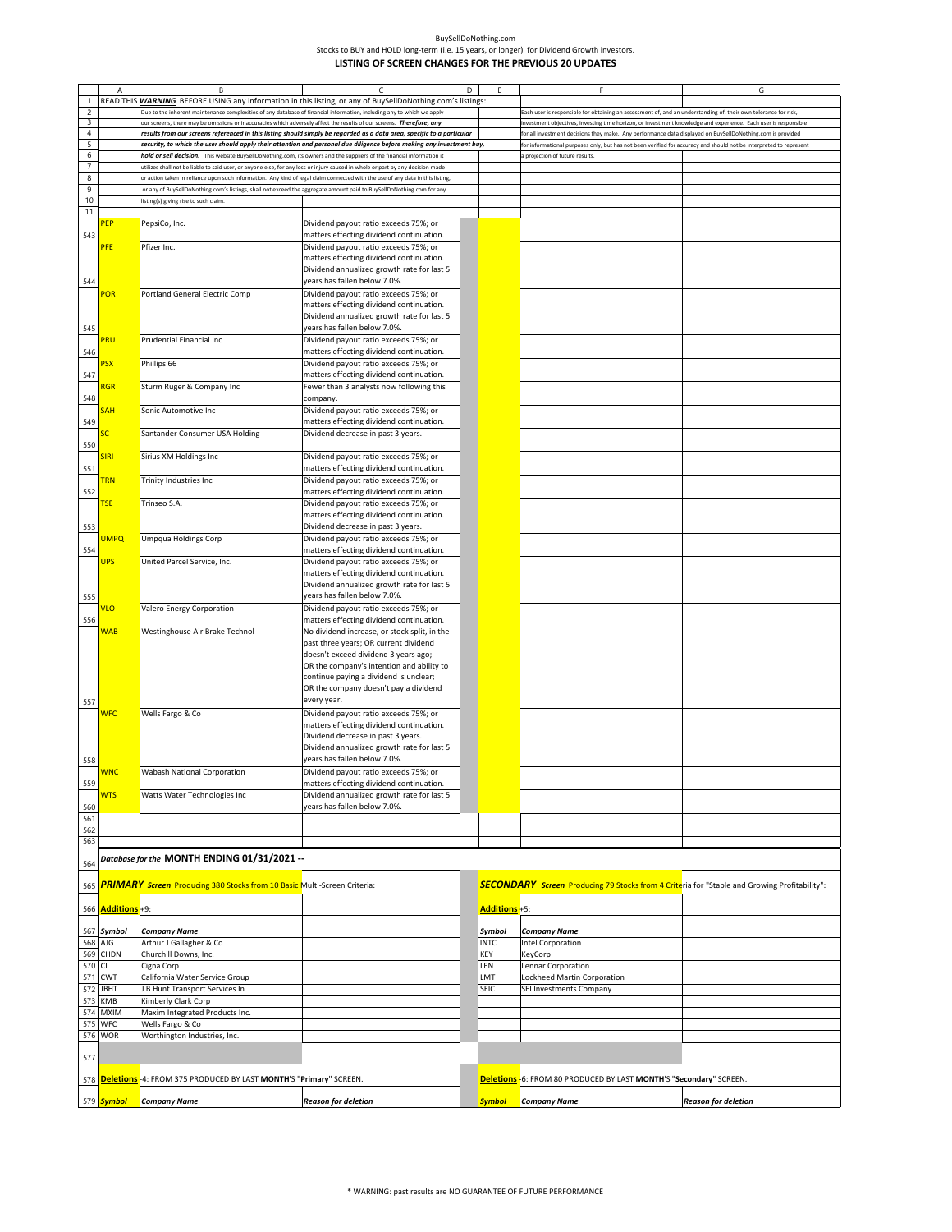| BuvSellDoNothing.com                                                                       |
|--------------------------------------------------------------------------------------------|
| Stocks to BUY and HOLD long-term (i.e. 15 years, or longer) for Dividend Growth investors. |
| LISTING OF SCREEN CHANGES FOR THE PREVIOUS 20 UPDATES                                      |

|                  | Α             | В                                                                                                                              | C                                                                                                                      | D | E                     | F                                                                                                                                                                                                                           | G                   |  |  |
|------------------|---------------|--------------------------------------------------------------------------------------------------------------------------------|------------------------------------------------------------------------------------------------------------------------|---|-----------------------|-----------------------------------------------------------------------------------------------------------------------------------------------------------------------------------------------------------------------------|---------------------|--|--|
|                  |               |                                                                                                                                | READ THIS WARNING BEFORE USING any information in this listing, or any of BuySellDoNothing.com's listings:             |   |                       |                                                                                                                                                                                                                             |                     |  |  |
| $\overline{c}$   |               | Due to the inherent maintenance complexities of any database of financial information, including any to which we apply         |                                                                                                                        |   |                       | Each user is responsible for obtaining an assessment of, and an understanding of, their own tolerance for risk,                                                                                                             |                     |  |  |
| 3                |               | our screens, there may be omissions or inaccuracies which adversely affect the results of our screens. Therefore, any          |                                                                                                                        |   |                       | ivestment objectives, investing time horizon, or investment knowledge and experience. Each user is responsible<br>or all investment decisions they make. Any performance data displayed on BuySellDoNothing.com is provided |                     |  |  |
| $\sqrt{4}$       |               |                                                                                                                                | results from our screens referenced in this listing should simply be regarded as a data area, specific to a particular |   |                       |                                                                                                                                                                                                                             |                     |  |  |
| 5<br>$\,$ 6 $\,$ |               | hold or sell decision. This website BuySellDoNothing.com, its owners and the suppliers of the financial information it         | security, to which the user should apply their attention and personal due diligence before making any investment buy,  |   |                       | or informational purposes only, but has not been verified for accuracy and should not be interpreted to represent                                                                                                           |                     |  |  |
| $\overline{7}$   |               | ttilizes shall not be liable to said user, or anyone else, for any loss or injury caused in whole or part by any decision made |                                                                                                                        |   |                       | projection of future results                                                                                                                                                                                                |                     |  |  |
| $\bf 8$          |               | or action taken in reliance upon such information. Any kind of legal claim connected with the use of any data in this listing, |                                                                                                                        |   |                       |                                                                                                                                                                                                                             |                     |  |  |
| 9                |               | or any of BuySellDoNothing.com's listings, shall not exceed the aggregate amount paid to BuySellDoNothing.com for any          |                                                                                                                        |   |                       |                                                                                                                                                                                                                             |                     |  |  |
| 10               |               | listing(s) giving rise to such claim.                                                                                          |                                                                                                                        |   |                       |                                                                                                                                                                                                                             |                     |  |  |
| 11               |               |                                                                                                                                |                                                                                                                        |   |                       |                                                                                                                                                                                                                             |                     |  |  |
|                  | PEP           | PepsiCo, Inc.                                                                                                                  | Dividend payout ratio exceeds 75%; or                                                                                  |   |                       |                                                                                                                                                                                                                             |                     |  |  |
| 543              |               |                                                                                                                                | matters effecting dividend continuation.                                                                               |   |                       |                                                                                                                                                                                                                             |                     |  |  |
|                  | PFE           | Pfizer Inc.                                                                                                                    | Dividend payout ratio exceeds 75%; or                                                                                  |   |                       |                                                                                                                                                                                                                             |                     |  |  |
|                  |               |                                                                                                                                | matters effecting dividend continuation.                                                                               |   |                       |                                                                                                                                                                                                                             |                     |  |  |
|                  |               |                                                                                                                                | Dividend annualized growth rate for last 5                                                                             |   |                       |                                                                                                                                                                                                                             |                     |  |  |
| 544              |               |                                                                                                                                | years has fallen below 7.0%.                                                                                           |   |                       |                                                                                                                                                                                                                             |                     |  |  |
|                  | POR           | Portland General Electric Comp                                                                                                 | Dividend payout ratio exceeds 75%; or                                                                                  |   |                       |                                                                                                                                                                                                                             |                     |  |  |
|                  |               |                                                                                                                                | matters effecting dividend continuation.<br>Dividend annualized growth rate for last 5                                 |   |                       |                                                                                                                                                                                                                             |                     |  |  |
| 545              |               |                                                                                                                                | years has fallen below 7.0%.                                                                                           |   |                       |                                                                                                                                                                                                                             |                     |  |  |
|                  | PRU           | Prudential Financial Inc                                                                                                       | Dividend payout ratio exceeds 75%; or                                                                                  |   |                       |                                                                                                                                                                                                                             |                     |  |  |
| 546              |               |                                                                                                                                | matters effecting dividend continuation.                                                                               |   |                       |                                                                                                                                                                                                                             |                     |  |  |
|                  | <b>SX</b>     | Phillips 66                                                                                                                    | Dividend payout ratio exceeds 75%; or                                                                                  |   |                       |                                                                                                                                                                                                                             |                     |  |  |
| 547              |               |                                                                                                                                | matters effecting dividend continuation.                                                                               |   |                       |                                                                                                                                                                                                                             |                     |  |  |
|                  | <b>RGR</b>    | Sturm Ruger & Company Inc                                                                                                      | Fewer than 3 analysts now following this                                                                               |   |                       |                                                                                                                                                                                                                             |                     |  |  |
| 548              |               |                                                                                                                                | company.                                                                                                               |   |                       |                                                                                                                                                                                                                             |                     |  |  |
|                  | SH            | Sonic Automotive Inc                                                                                                           | Dividend payout ratio exceeds 75%; or                                                                                  |   |                       |                                                                                                                                                                                                                             |                     |  |  |
| 549              |               |                                                                                                                                | matters effecting dividend continuation.                                                                               |   |                       |                                                                                                                                                                                                                             |                     |  |  |
|                  | C.            | Santander Consumer USA Holding                                                                                                 | Dividend decrease in past 3 years.                                                                                     |   |                       |                                                                                                                                                                                                                             |                     |  |  |
| 550              | <b>SIRI</b>   | Sirius XM Holdings Inc                                                                                                         | Dividend payout ratio exceeds 75%; or                                                                                  |   |                       |                                                                                                                                                                                                                             |                     |  |  |
| 551              |               |                                                                                                                                | matters effecting dividend continuation.                                                                               |   |                       |                                                                                                                                                                                                                             |                     |  |  |
|                  | <b>FRN</b>    | Trinity Industries Inc                                                                                                         | Dividend payout ratio exceeds 75%; or                                                                                  |   |                       |                                                                                                                                                                                                                             |                     |  |  |
| 552              |               |                                                                                                                                | matters effecting dividend continuation.                                                                               |   |                       |                                                                                                                                                                                                                             |                     |  |  |
|                  | <b>TSE</b>    | Trinseo S.A.                                                                                                                   | Dividend payout ratio exceeds 75%; or                                                                                  |   |                       |                                                                                                                                                                                                                             |                     |  |  |
|                  |               |                                                                                                                                | matters effecting dividend continuation.                                                                               |   |                       |                                                                                                                                                                                                                             |                     |  |  |
| 553              |               |                                                                                                                                | Dividend decrease in past 3 years.                                                                                     |   |                       |                                                                                                                                                                                                                             |                     |  |  |
|                  | <b>UMPQ</b>   | <b>Umpqua Holdings Corp</b>                                                                                                    | Dividend payout ratio exceeds 75%; or                                                                                  |   |                       |                                                                                                                                                                                                                             |                     |  |  |
| 554              |               |                                                                                                                                | matters effecting dividend continuation.                                                                               |   |                       |                                                                                                                                                                                                                             |                     |  |  |
|                  | <b>UPS</b>    | United Parcel Service, Inc.                                                                                                    | Dividend payout ratio exceeds 75%; or                                                                                  |   |                       |                                                                                                                                                                                                                             |                     |  |  |
|                  |               |                                                                                                                                | matters effecting dividend continuation.                                                                               |   |                       |                                                                                                                                                                                                                             |                     |  |  |
|                  |               |                                                                                                                                | Dividend annualized growth rate for last 5<br>years has fallen below 7.0%.                                             |   |                       |                                                                                                                                                                                                                             |                     |  |  |
| 555              | VLO           | Valero Energy Corporation                                                                                                      | Dividend payout ratio exceeds 75%; or                                                                                  |   |                       |                                                                                                                                                                                                                             |                     |  |  |
| 556              |               |                                                                                                                                | matters effecting dividend continuation.                                                                               |   |                       |                                                                                                                                                                                                                             |                     |  |  |
|                  | <b>WAB</b>    | Westinghouse Air Brake Technol                                                                                                 | No dividend increase, or stock split, in the                                                                           |   |                       |                                                                                                                                                                                                                             |                     |  |  |
|                  |               |                                                                                                                                | past three years; OR current dividend                                                                                  |   |                       |                                                                                                                                                                                                                             |                     |  |  |
|                  |               |                                                                                                                                | doesn't exceed dividend 3 years ago;                                                                                   |   |                       |                                                                                                                                                                                                                             |                     |  |  |
|                  |               |                                                                                                                                | OR the company's intention and ability to                                                                              |   |                       |                                                                                                                                                                                                                             |                     |  |  |
|                  |               |                                                                                                                                | continue paying a dividend is unclear;                                                                                 |   |                       |                                                                                                                                                                                                                             |                     |  |  |
|                  |               |                                                                                                                                | OR the company doesn't pay a dividend                                                                                  |   |                       |                                                                                                                                                                                                                             |                     |  |  |
| 557              |               |                                                                                                                                | every year.                                                                                                            |   |                       |                                                                                                                                                                                                                             |                     |  |  |
|                  | <b>WFC</b>    | Wells Fargo & Co                                                                                                               | Dividend payout ratio exceeds 75%; or<br>matters effecting dividend continuation.                                      |   |                       |                                                                                                                                                                                                                             |                     |  |  |
|                  |               |                                                                                                                                | Dividend decrease in past 3 years.                                                                                     |   |                       |                                                                                                                                                                                                                             |                     |  |  |
|                  |               |                                                                                                                                | Dividend annualized growth rate for last 5                                                                             |   |                       |                                                                                                                                                                                                                             |                     |  |  |
| 558              |               |                                                                                                                                | years has fallen below 7.0%.                                                                                           |   |                       |                                                                                                                                                                                                                             |                     |  |  |
|                  | <b>WNC</b>    | Wabash National Corporation                                                                                                    | Dividend payout ratio exceeds 75%; or                                                                                  |   |                       |                                                                                                                                                                                                                             |                     |  |  |
| 559              |               |                                                                                                                                | matters effecting dividend continuation.                                                                               |   |                       |                                                                                                                                                                                                                             |                     |  |  |
|                  | <b>NTS</b>    | Watts Water Technologies Inc                                                                                                   | Dividend annualized growth rate for last 5                                                                             |   |                       |                                                                                                                                                                                                                             |                     |  |  |
| 560              |               |                                                                                                                                | years has fallen below 7.0%.                                                                                           |   |                       |                                                                                                                                                                                                                             |                     |  |  |
| 561              |               |                                                                                                                                |                                                                                                                        |   |                       |                                                                                                                                                                                                                             |                     |  |  |
| 562<br>563       |               |                                                                                                                                |                                                                                                                        |   |                       |                                                                                                                                                                                                                             |                     |  |  |
|                  |               |                                                                                                                                |                                                                                                                        |   |                       |                                                                                                                                                                                                                             |                     |  |  |
| 564              |               | Database for the MONTH ENDING 01/31/2021 --                                                                                    |                                                                                                                        |   |                       |                                                                                                                                                                                                                             |                     |  |  |
|                  |               |                                                                                                                                |                                                                                                                        |   |                       |                                                                                                                                                                                                                             |                     |  |  |
| 565              |               | <b>PRIMARY Screen</b> Producing 380 Stocks from 10 Basic Multi-Screen Criteria:                                                |                                                                                                                        |   |                       | SECONDARY Screen Producing 79 Stocks from 4 Criteria for "Stable and Growing Profitability":                                                                                                                                |                     |  |  |
|                  |               |                                                                                                                                |                                                                                                                        |   |                       |                                                                                                                                                                                                                             |                     |  |  |
| 566              | Additions +9: |                                                                                                                                |                                                                                                                        |   | Additions +5:         |                                                                                                                                                                                                                             |                     |  |  |
|                  |               |                                                                                                                                |                                                                                                                        |   |                       |                                                                                                                                                                                                                             |                     |  |  |
| 567<br>568       | Symbol<br>AJG | <b>Company Name</b><br>Arthur J Gallagher & Co                                                                                 |                                                                                                                        |   | Symbol<br><b>INTC</b> | <b>Company Name</b><br>Intel Corporation                                                                                                                                                                                    |                     |  |  |
| 569              | CHDN          | Churchill Downs, Inc.                                                                                                          |                                                                                                                        |   | KEY                   | KeyCorp                                                                                                                                                                                                                     |                     |  |  |
| 570              | CI.           | Cigna Corp                                                                                                                     |                                                                                                                        |   | LEN                   | Lennar Corporation                                                                                                                                                                                                          |                     |  |  |
| 571              | CWT           | California Water Service Group                                                                                                 |                                                                                                                        |   | LMT                   | Lockheed Martin Corporation                                                                                                                                                                                                 |                     |  |  |
| 572              | <b>JBHT</b>   | B Hunt Transport Services In                                                                                                   |                                                                                                                        |   | SEIC                  | SEI Investments Company                                                                                                                                                                                                     |                     |  |  |
| 573              | <b>KMB</b>    | Kimberly Clark Corp                                                                                                            |                                                                                                                        |   |                       |                                                                                                                                                                                                                             |                     |  |  |
| 574              | <b>MXIM</b>   | Maxim Integrated Products Inc.                                                                                                 |                                                                                                                        |   |                       |                                                                                                                                                                                                                             |                     |  |  |
| 575              | <b>WFC</b>    | Wells Fargo & Co                                                                                                               |                                                                                                                        |   |                       |                                                                                                                                                                                                                             |                     |  |  |
|                  | 576 WOR       | Worthington Industries, Inc.                                                                                                   |                                                                                                                        |   |                       |                                                                                                                                                                                                                             |                     |  |  |
| 577              |               |                                                                                                                                |                                                                                                                        |   |                       |                                                                                                                                                                                                                             |                     |  |  |
|                  |               |                                                                                                                                |                                                                                                                        |   |                       |                                                                                                                                                                                                                             |                     |  |  |
| 578              |               | Deletions - 4: FROM 375 PRODUCED BY LAST MONTH'S "Primary" SCREEN.                                                             |                                                                                                                        |   |                       | Deletions -6: FROM 80 PRODUCED BY LAST MONTH'S "Secondary" SCREEN.                                                                                                                                                          |                     |  |  |
|                  |               |                                                                                                                                |                                                                                                                        |   |                       |                                                                                                                                                                                                                             |                     |  |  |
|                  | 579 Symbol    | <b>Company Name</b>                                                                                                            | <b>Reason for deletion</b>                                                                                             |   | <b>Symbol</b>         | Company Name                                                                                                                                                                                                                | Reason for deletion |  |  |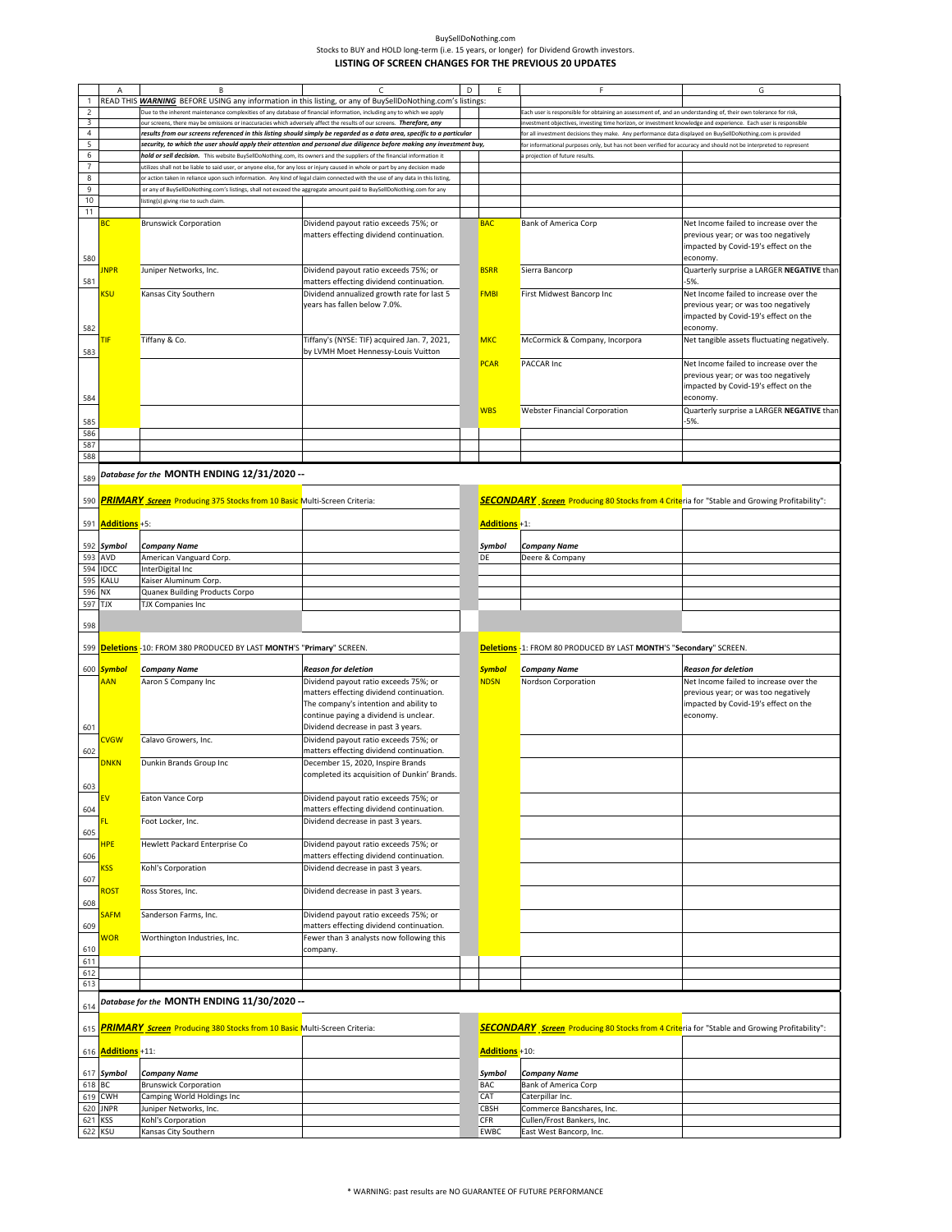|                           | А                         | B                                                                                                                                                                                                                                                                | C                                                                                                                      | D | F                     | F                                                                                                                  | G                                           |
|---------------------------|---------------------------|------------------------------------------------------------------------------------------------------------------------------------------------------------------------------------------------------------------------------------------------------------------|------------------------------------------------------------------------------------------------------------------------|---|-----------------------|--------------------------------------------------------------------------------------------------------------------|---------------------------------------------|
| $\mathbf{1}$              |                           |                                                                                                                                                                                                                                                                  | READ THIS <b>WARNING</b> BEFORE USING any information in this listing, or any of BuySellDoNothing.com's listings:      |   |                       |                                                                                                                    |                                             |
| $\overline{c}$            |                           | Due to the inherent maintenance complexities of any database of financial information, including any to which we apply                                                                                                                                           |                                                                                                                        |   |                       | Each user is responsible for obtaining an assessment of, and an understanding of, their own tolerance for risk,    |                                             |
| 3                         |                           | our screens, there may be omissions or inaccuracies which adversely affect the results of our screens. Therefore, any                                                                                                                                            |                                                                                                                        |   |                       | investment objectives, investing time horizon, or investment knowledge and experience. Each user is responsible    |                                             |
| $\overline{4}$            |                           |                                                                                                                                                                                                                                                                  | results from our screens referenced in this listing should simply be regarded as a data area, specific to a particular |   |                       | for all investment decisions they make. Any performance data displayed on BuySellDoNothing.com is provided         |                                             |
| $\overline{5}$            |                           |                                                                                                                                                                                                                                                                  |                                                                                                                        |   |                       |                                                                                                                    |                                             |
| 6                         |                           |                                                                                                                                                                                                                                                                  | security, to which the user should apply their attention and personal due diligence before making any investment buy,  |   |                       | for informational purposes only, but has not been verified for accuracy and should not be interpreted to represent |                                             |
| $\overline{\mathfrak{z}}$ |                           | hold or sell decision. This website BuySellDoNothing.com, its owners and the suppliers of the financial information it                                                                                                                                           |                                                                                                                        |   |                       | a projection of future results                                                                                     |                                             |
| 8                         |                           | utilizes shall not be liable to said user, or anyone else, for any loss or injury caused in whole or part by any decision made<br>or action taken in reliance upon such information. Any kind of legal claim connected with the use of any data in this listing, |                                                                                                                        |   |                       |                                                                                                                    |                                             |
|                           |                           |                                                                                                                                                                                                                                                                  |                                                                                                                        |   |                       |                                                                                                                    |                                             |
| 9                         |                           | or any of BuySellDoNothing.com's listings, shall not exceed the aggregate amount paid to BuySellDoNothing.com for any                                                                                                                                            |                                                                                                                        |   |                       |                                                                                                                    |                                             |
| 10                        |                           | listing(s) giving rise to such claim.                                                                                                                                                                                                                            |                                                                                                                        |   |                       |                                                                                                                    |                                             |
| 11                        |                           |                                                                                                                                                                                                                                                                  |                                                                                                                        |   |                       |                                                                                                                    |                                             |
|                           | вc                        | <b>Brunswick Corporation</b>                                                                                                                                                                                                                                     | Dividend payout ratio exceeds 75%; or                                                                                  |   | <b>BAC</b>            | <b>Bank of America Corp</b>                                                                                        | Net Income failed to increase over the      |
|                           |                           |                                                                                                                                                                                                                                                                  | matters effecting dividend continuation.                                                                               |   |                       |                                                                                                                    | previous year; or was too negatively        |
|                           |                           |                                                                                                                                                                                                                                                                  |                                                                                                                        |   |                       |                                                                                                                    | impacted by Covid-19's effect on the        |
| 580                       |                           |                                                                                                                                                                                                                                                                  |                                                                                                                        |   |                       |                                                                                                                    | economy.                                    |
|                           | <b>INPR</b>               | Juniper Networks, Inc.                                                                                                                                                                                                                                           | Dividend payout ratio exceeds 75%; or                                                                                  |   | <b>BSRR</b>           | Sierra Bancorp                                                                                                     | Quarterly surprise a LARGER NEGATIVE than   |
| 581                       |                           |                                                                                                                                                                                                                                                                  | matters effecting dividend continuation.                                                                               |   |                       |                                                                                                                    | $-5%$                                       |
|                           | <b>SU</b>                 | Kansas City Southern                                                                                                                                                                                                                                             | Dividend annualized growth rate for last 5                                                                             |   | <b>FMBI</b>           | First Midwest Bancorp Inc                                                                                          | Net Income failed to increase over the      |
|                           |                           |                                                                                                                                                                                                                                                                  | years has fallen below 7.0%.                                                                                           |   |                       |                                                                                                                    | previous year; or was too negatively        |
|                           |                           |                                                                                                                                                                                                                                                                  |                                                                                                                        |   |                       |                                                                                                                    | impacted by Covid-19's effect on the        |
| 582                       |                           |                                                                                                                                                                                                                                                                  |                                                                                                                        |   |                       |                                                                                                                    | economy.                                    |
|                           | ΠF                        | Tiffany & Co.                                                                                                                                                                                                                                                    | Tiffany's (NYSE: TIF) acquired Jan. 7, 2021,                                                                           |   | <b>MKC</b>            | McCormick & Company, Incorpora                                                                                     | Net tangible assets fluctuating negatively. |
| 583                       |                           |                                                                                                                                                                                                                                                                  | by LVMH Moet Hennessy-Louis Vuitton                                                                                    |   |                       |                                                                                                                    |                                             |
|                           |                           |                                                                                                                                                                                                                                                                  |                                                                                                                        |   | <b>PCAR</b>           | <b>PACCAR Inc</b>                                                                                                  | Net Income failed to increase over the      |
|                           |                           |                                                                                                                                                                                                                                                                  |                                                                                                                        |   |                       |                                                                                                                    | previous year; or was too negatively        |
|                           |                           |                                                                                                                                                                                                                                                                  |                                                                                                                        |   |                       |                                                                                                                    | impacted by Covid-19's effect on the        |
| 584                       |                           |                                                                                                                                                                                                                                                                  |                                                                                                                        |   |                       |                                                                                                                    | economy.                                    |
|                           |                           |                                                                                                                                                                                                                                                                  |                                                                                                                        |   | <b>WBS</b>            | <b>Webster Financial Corporation</b>                                                                               | Quarterly surprise a LARGER NEGATIVE than   |
| 585                       |                           |                                                                                                                                                                                                                                                                  |                                                                                                                        |   |                       |                                                                                                                    | $-5%$                                       |
| 586                       |                           |                                                                                                                                                                                                                                                                  |                                                                                                                        |   |                       |                                                                                                                    |                                             |
|                           |                           |                                                                                                                                                                                                                                                                  |                                                                                                                        |   |                       |                                                                                                                    |                                             |
| 587                       |                           |                                                                                                                                                                                                                                                                  |                                                                                                                        |   |                       |                                                                                                                    |                                             |
| 588                       |                           |                                                                                                                                                                                                                                                                  |                                                                                                                        |   |                       |                                                                                                                    |                                             |
|                           |                           | Database for the MONTH ENDING 12/31/2020 --                                                                                                                                                                                                                      |                                                                                                                        |   |                       |                                                                                                                    |                                             |
| 589                       |                           |                                                                                                                                                                                                                                                                  |                                                                                                                        |   |                       |                                                                                                                    |                                             |
|                           |                           |                                                                                                                                                                                                                                                                  |                                                                                                                        |   |                       |                                                                                                                    |                                             |
|                           |                           | 590 PRIMARY Screen Producing 375 Stocks from 10 Basic Multi-Screen Criteria:                                                                                                                                                                                     |                                                                                                                        |   |                       | <b>SECONDARY</b> Screen Producing 80 Stocks from 4 Criteria for "Stable and Growing Profitability":                |                                             |
|                           |                           |                                                                                                                                                                                                                                                                  |                                                                                                                        |   |                       |                                                                                                                    |                                             |
|                           | 591 <b>Additions</b> +5:  |                                                                                                                                                                                                                                                                  |                                                                                                                        |   | <b>Additions</b> +1:  |                                                                                                                    |                                             |
|                           |                           |                                                                                                                                                                                                                                                                  |                                                                                                                        |   |                       |                                                                                                                    |                                             |
|                           | 592 Symbol                | <b>Company Name</b>                                                                                                                                                                                                                                              |                                                                                                                        |   | Symbol                | <b>Company Name</b>                                                                                                |                                             |
| 593                       | <b>AVD</b>                | American Vanguard Corp.                                                                                                                                                                                                                                          |                                                                                                                        |   | DE                    | Deere & Company                                                                                                    |                                             |
|                           | 594 IDCC                  | InterDigital Inc                                                                                                                                                                                                                                                 |                                                                                                                        |   |                       |                                                                                                                    |                                             |
| 595                       | KALU                      | Kaiser Aluminum Corp.                                                                                                                                                                                                                                            |                                                                                                                        |   |                       |                                                                                                                    |                                             |
| 596                       | <b>NX</b>                 | Quanex Building Products Corpo                                                                                                                                                                                                                                   |                                                                                                                        |   |                       |                                                                                                                    |                                             |
| 597 TJX                   |                           | <b>TJX Companies Inc</b>                                                                                                                                                                                                                                         |                                                                                                                        |   |                       |                                                                                                                    |                                             |
|                           |                           |                                                                                                                                                                                                                                                                  |                                                                                                                        |   |                       |                                                                                                                    |                                             |
| 598                       |                           |                                                                                                                                                                                                                                                                  |                                                                                                                        |   |                       |                                                                                                                    |                                             |
|                           |                           |                                                                                                                                                                                                                                                                  |                                                                                                                        |   |                       |                                                                                                                    |                                             |
|                           |                           | 599 <b>Deletions</b> - 10: FROM 380 PRODUCED BY LAST MONTH'S "Primary" SCREEN.                                                                                                                                                                                   |                                                                                                                        |   |                       | Deletions -1: FROM 80 PRODUCED BY LAST MONTH'S "Secondary" SCREEN.                                                 |                                             |
|                           |                           |                                                                                                                                                                                                                                                                  |                                                                                                                        |   |                       |                                                                                                                    |                                             |
|                           | 600 <b>Symbol</b>         | <b>Company Name</b>                                                                                                                                                                                                                                              | Reason for deletion                                                                                                    |   | <b>Symbol</b>         | <b>Company Name</b>                                                                                                | <b>Reason for deletion</b>                  |
|                           | <b>AAN</b>                | Aaron S Company Inc                                                                                                                                                                                                                                              | Dividend payout ratio exceeds 75%; or                                                                                  |   | <b>NDSN</b>           | Nordson Corporation                                                                                                | Net Income failed to increase over the      |
|                           |                           |                                                                                                                                                                                                                                                                  | matters effecting dividend continuation.                                                                               |   |                       |                                                                                                                    | previous year; or was too negatively        |
|                           |                           |                                                                                                                                                                                                                                                                  | The company's intention and ability to                                                                                 |   |                       |                                                                                                                    | impacted by Covid-19's effect on the        |
|                           |                           |                                                                                                                                                                                                                                                                  | continue paying a dividend is unclear.                                                                                 |   |                       |                                                                                                                    | economy.                                    |
| 601                       |                           |                                                                                                                                                                                                                                                                  | Dividend decrease in past 3 years.                                                                                     |   |                       |                                                                                                                    |                                             |
|                           | <b>CVGW</b>               | Calavo Growers, Inc.                                                                                                                                                                                                                                             | Dividend payout ratio exceeds 75%; or                                                                                  |   |                       |                                                                                                                    |                                             |
| 602                       |                           |                                                                                                                                                                                                                                                                  | matters effecting dividend continuation.                                                                               |   |                       |                                                                                                                    |                                             |
|                           | <b>DNKN</b>               | Dunkin Brands Group Inc                                                                                                                                                                                                                                          | December 15, 2020, Inspire Brands                                                                                      |   |                       |                                                                                                                    |                                             |
|                           |                           |                                                                                                                                                                                                                                                                  | completed its acquisition of Dunkin' Brands.                                                                           |   |                       |                                                                                                                    |                                             |
| 603                       |                           |                                                                                                                                                                                                                                                                  |                                                                                                                        |   |                       |                                                                                                                    |                                             |
|                           | FV                        | Eaton Vance Corp                                                                                                                                                                                                                                                 | Dividend payout ratio exceeds 75%; or                                                                                  |   |                       |                                                                                                                    |                                             |
| 604                       |                           |                                                                                                                                                                                                                                                                  | matters effecting dividend continuation.                                                                               |   |                       |                                                                                                                    |                                             |
|                           |                           | Foot Locker, Inc.                                                                                                                                                                                                                                                | Dividend decrease in past 3 years.                                                                                     |   |                       |                                                                                                                    |                                             |
| 605                       |                           |                                                                                                                                                                                                                                                                  |                                                                                                                        |   |                       |                                                                                                                    |                                             |
|                           | <b>HPE</b>                | Hewlett Packard Enterprise Co                                                                                                                                                                                                                                    | Dividend payout ratio exceeds 75%; or                                                                                  |   |                       |                                                                                                                    |                                             |
| 606                       |                           |                                                                                                                                                                                                                                                                  | matters effecting dividend continuation.                                                                               |   |                       |                                                                                                                    |                                             |
|                           | <b>SS</b>                 | Kohl's Corporation                                                                                                                                                                                                                                               | Dividend decrease in past 3 years.                                                                                     |   |                       |                                                                                                                    |                                             |
|                           |                           |                                                                                                                                                                                                                                                                  |                                                                                                                        |   |                       |                                                                                                                    |                                             |
| 607                       |                           |                                                                                                                                                                                                                                                                  |                                                                                                                        |   |                       |                                                                                                                    |                                             |
|                           | <mark>२०ऽ</mark> ा        | Ross Stores, Inc.                                                                                                                                                                                                                                                | Dividend decrease in past 3 years.                                                                                     |   |                       |                                                                                                                    |                                             |
| 608                       |                           |                                                                                                                                                                                                                                                                  |                                                                                                                        |   |                       |                                                                                                                    |                                             |
|                           | <b>SAFM</b>               | Sanderson Farms, Inc.                                                                                                                                                                                                                                            | Dividend payout ratio exceeds 75%; or                                                                                  |   |                       |                                                                                                                    |                                             |
| 609                       |                           | Worthington Industries, Inc.                                                                                                                                                                                                                                     | matters effecting dividend continuation.                                                                               |   |                       |                                                                                                                    |                                             |
|                           | <b>NOR</b>                |                                                                                                                                                                                                                                                                  | Fewer than 3 analysts now following this                                                                               |   |                       |                                                                                                                    |                                             |
| 610                       |                           |                                                                                                                                                                                                                                                                  | company.                                                                                                               |   |                       |                                                                                                                    |                                             |
| 611                       |                           |                                                                                                                                                                                                                                                                  |                                                                                                                        |   |                       |                                                                                                                    |                                             |
| 612                       |                           |                                                                                                                                                                                                                                                                  |                                                                                                                        |   |                       |                                                                                                                    |                                             |
| 613                       |                           |                                                                                                                                                                                                                                                                  |                                                                                                                        |   |                       |                                                                                                                    |                                             |
|                           |                           | Database for the MONTH ENDING 11/30/2020 --                                                                                                                                                                                                                      |                                                                                                                        |   |                       |                                                                                                                    |                                             |
| 614                       |                           |                                                                                                                                                                                                                                                                  |                                                                                                                        |   |                       |                                                                                                                    |                                             |
|                           |                           |                                                                                                                                                                                                                                                                  |                                                                                                                        |   |                       |                                                                                                                    |                                             |
| 615                       |                           | <b>PRIMARY</b> Screen Producing 380 Stocks from 10 Basic Multi-Screen Criteria:                                                                                                                                                                                  |                                                                                                                        |   |                       | <b>SECONDARY</b> Screen Producing 80 Stocks from 4 Criteria for "Stable and Growing Profitability":                |                                             |
|                           |                           |                                                                                                                                                                                                                                                                  |                                                                                                                        |   |                       |                                                                                                                    |                                             |
|                           | 616 <b>Additions</b> +11: |                                                                                                                                                                                                                                                                  |                                                                                                                        |   | <b>Additions +10:</b> |                                                                                                                    |                                             |
|                           |                           |                                                                                                                                                                                                                                                                  |                                                                                                                        |   |                       |                                                                                                                    |                                             |
|                           | 617 Symbol                | <b>Company Name</b>                                                                                                                                                                                                                                              |                                                                                                                        |   | Symbol                | <b>Company Name</b>                                                                                                |                                             |
| 618 BC                    |                           | <b>Brunswick Corporation</b>                                                                                                                                                                                                                                     |                                                                                                                        |   | BAC                   | <b>Bank of America Corp</b>                                                                                        |                                             |
|                           | 619 CWH                   | Camping World Holdings Inc                                                                                                                                                                                                                                       |                                                                                                                        |   | CAT                   | Caterpillar Inc.                                                                                                   |                                             |
| 620                       | <b>JNPR</b>               | Juniper Networks, Inc.                                                                                                                                                                                                                                           |                                                                                                                        |   | CBSH                  | Commerce Bancshares, Inc.                                                                                          |                                             |
| 621 KSS                   |                           | Kohl's Corporation                                                                                                                                                                                                                                               |                                                                                                                        |   | <b>CFR</b>            | Cullen/Frost Bankers, Inc.                                                                                         |                                             |
| 622 KSU                   |                           | Kansas City Southern                                                                                                                                                                                                                                             |                                                                                                                        |   | <b>EWBC</b>           | East West Bancorp, Inc.                                                                                            |                                             |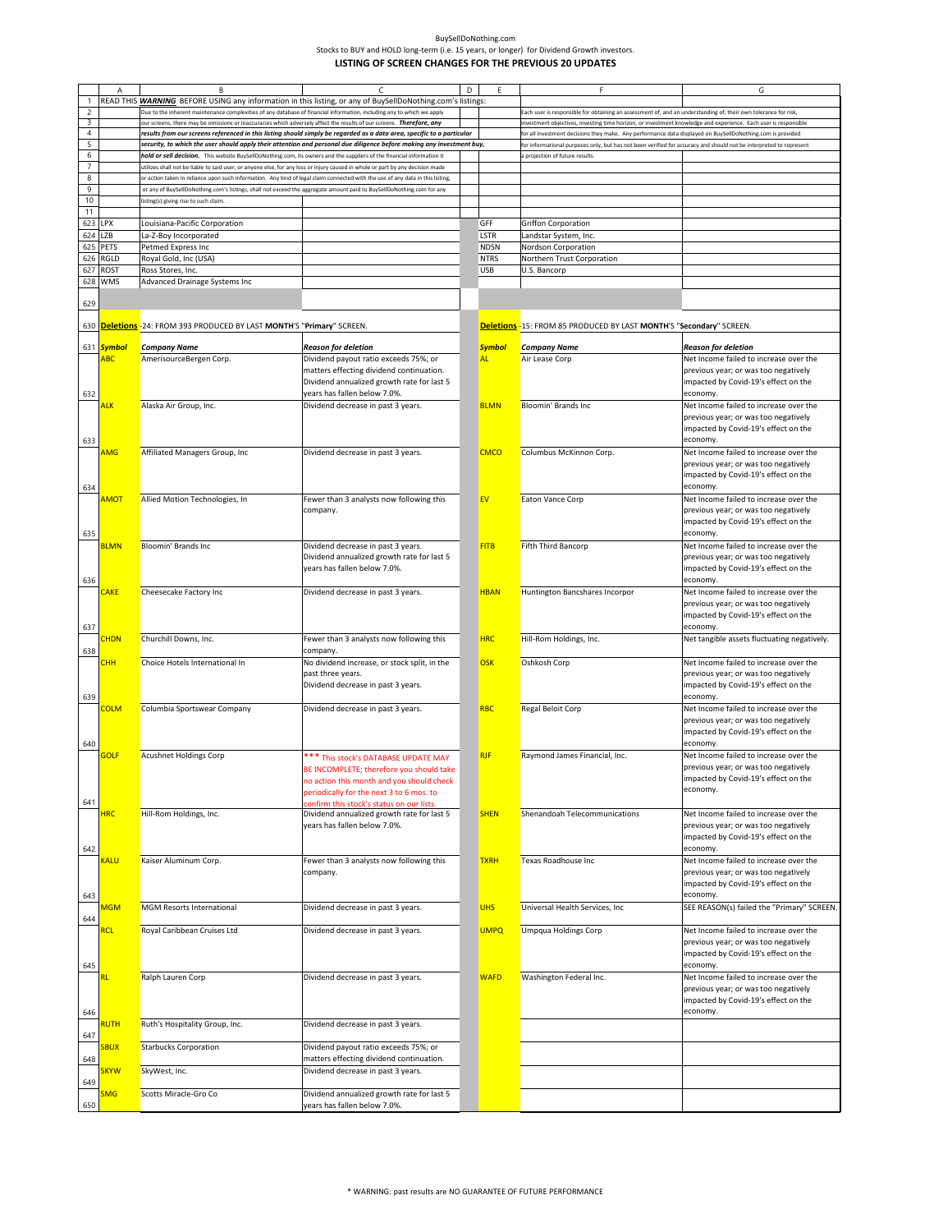|                          | A                | B                                                                                                                              |                                                                                                                        | D | E                  | F                                                                                                                                                    | G                                                                              |
|--------------------------|------------------|--------------------------------------------------------------------------------------------------------------------------------|------------------------------------------------------------------------------------------------------------------------|---|--------------------|------------------------------------------------------------------------------------------------------------------------------------------------------|--------------------------------------------------------------------------------|
|                          |                  |                                                                                                                                | READ THIS WARNING BEFORE USING any information in this listing, or any of BuySellDoNothing.com's listings:             |   |                    |                                                                                                                                                      |                                                                                |
| $\overline{c}$           |                  | Due to the inherent maintenance complexities of any database of financial information, including any to which we apply         |                                                                                                                        |   |                    | Each user is responsible for obtaining an assessment of, and an understanding of, their own tolerance for risk,                                      |                                                                                |
| 3                        |                  | our screens, there may be omissions or inaccuracies which adversely affect the results of our screens. Therefore, any          |                                                                                                                        |   |                    | investment objectives, investing time horizon, or investment knowledge and experience. Each user is responsible                                      |                                                                                |
| $\overline{4}$<br>5      |                  |                                                                                                                                | results from our screens referenced in this listing should simply be regarded as a data area, specific to a particular |   |                    | for all investment decisions they make. Any performance data displayed on BuySellDoNothing.com is provided                                           |                                                                                |
| 6                        |                  | hold or sell decision. This website BuySellDoNothing.com, its owners and the suppliers of the financial information it         | security, to which the user should apply their attention and personal due diligence before making any investment buy,  |   |                    | for informational purposes only, but has not been verified for accuracy and should not be interpreted to represent<br>a projection of future results |                                                                                |
| $\overline{\phantom{a}}$ |                  | utilizes shall not be liable to said user, or anyone else, for any loss or injury caused in whole or part by any decision made |                                                                                                                        |   |                    |                                                                                                                                                      |                                                                                |
| 8                        |                  | or action taken in reliance upon such information. Any kind of legal claim connected with the use of any data in this listing. |                                                                                                                        |   |                    |                                                                                                                                                      |                                                                                |
| 9                        |                  | or any of BuySellDoNothing.com's listings, shall not exceed the aggregate amount paid to BuySellDoNothing.com for any          |                                                                                                                        |   |                    |                                                                                                                                                      |                                                                                |
| 10                       |                  | listing(s) giving rise to such claim.                                                                                          |                                                                                                                        |   |                    |                                                                                                                                                      |                                                                                |
| 11                       |                  |                                                                                                                                |                                                                                                                        |   |                    |                                                                                                                                                      |                                                                                |
| 623 LPX                  | 624 LZB          | Louisiana-Pacific Corporation                                                                                                  |                                                                                                                        |   | GFF<br><b>LSTR</b> | Griffon Corporation                                                                                                                                  |                                                                                |
|                          | 625 PETS         | La-Z-Boy Incorporated<br>Petmed Express Inc                                                                                    |                                                                                                                        |   | <b>NDSN</b>        | Landstar System, Inc.<br>Nordson Corporation                                                                                                         |                                                                                |
|                          | 626 RGLD         | Royal Gold, Inc (USA)                                                                                                          |                                                                                                                        |   | <b>NTRS</b>        | Northern Trust Corporation                                                                                                                           |                                                                                |
|                          | 627 ROST         | Ross Stores, Inc.                                                                                                              |                                                                                                                        |   | <b>USB</b>         | U.S. Bancorp                                                                                                                                         |                                                                                |
| 628                      | <b>WMS</b>       | Advanced Drainage Systems Inc                                                                                                  |                                                                                                                        |   |                    |                                                                                                                                                      |                                                                                |
|                          |                  |                                                                                                                                |                                                                                                                        |   |                    |                                                                                                                                                      |                                                                                |
| 629                      |                  |                                                                                                                                |                                                                                                                        |   |                    |                                                                                                                                                      |                                                                                |
| 630                      |                  | Deletions - 24: FROM 393 PRODUCED BY LAST MONTH'S "Primary" SCREEN.                                                            |                                                                                                                        |   |                    | Deletions -15: FROM 85 PRODUCED BY LAST MONTH'S "Secondary" SCREEN.                                                                                  |                                                                                |
|                          |                  |                                                                                                                                |                                                                                                                        |   |                    |                                                                                                                                                      |                                                                                |
|                          | 631 Symbol       | <b>Company Name</b>                                                                                                            | <b>Reason for deletion</b>                                                                                             |   | <b>Symbol</b>      | <b>Company Name</b>                                                                                                                                  | <b>Reason for deletion</b>                                                     |
|                          | <b>ABC</b>       | AmerisourceBergen Corp.                                                                                                        | Dividend payout ratio exceeds 75%; or                                                                                  |   | <b>AL</b>          | Air Lease Corp                                                                                                                                       | Net Income failed to increase over the                                         |
|                          |                  |                                                                                                                                | matters effecting dividend continuation.                                                                               |   |                    |                                                                                                                                                      | previous year; or was too negatively                                           |
|                          |                  |                                                                                                                                | Dividend annualized growth rate for last 5                                                                             |   |                    |                                                                                                                                                      | impacted by Covid-19's effect on the                                           |
| 632                      |                  |                                                                                                                                | years has fallen below 7.0%.                                                                                           |   |                    |                                                                                                                                                      | economy.                                                                       |
|                          | <mark>ALK</mark> | Alaska Air Group, Inc.                                                                                                         | Dividend decrease in past 3 years.                                                                                     |   | <b>BLMN</b>        | Bloomin' Brands Inc                                                                                                                                  | Net Income failed to increase over the<br>previous year; or was too negatively |
|                          |                  |                                                                                                                                |                                                                                                                        |   |                    |                                                                                                                                                      | impacted by Covid-19's effect on the                                           |
| 633                      |                  |                                                                                                                                |                                                                                                                        |   |                    |                                                                                                                                                      | economy.                                                                       |
|                          | AMG              | Affiliated Managers Group, Inc                                                                                                 | Dividend decrease in past 3 years.                                                                                     |   | <b>CMCO</b>        | Columbus McKinnon Corp.                                                                                                                              | Net Income failed to increase over the                                         |
|                          |                  |                                                                                                                                |                                                                                                                        |   |                    |                                                                                                                                                      | previous year; or was too negatively                                           |
|                          |                  |                                                                                                                                |                                                                                                                        |   |                    |                                                                                                                                                      | impacted by Covid-19's effect on the                                           |
| 634                      |                  |                                                                                                                                |                                                                                                                        |   |                    |                                                                                                                                                      | economy.                                                                       |
|                          | AMOT             | Allied Motion Technologies, In                                                                                                 | Fewer than 3 analysts now following this                                                                               |   | EV                 | Eaton Vance Corp                                                                                                                                     | Net Income failed to increase over the                                         |
|                          |                  |                                                                                                                                | company.                                                                                                               |   |                    |                                                                                                                                                      | previous year; or was too negatively                                           |
|                          |                  |                                                                                                                                |                                                                                                                        |   |                    |                                                                                                                                                      | impacted by Covid-19's effect on the<br>economy.                               |
| 635                      | <b>BLMN</b>      | Bloomin' Brands Inc                                                                                                            | Dividend decrease in past 3 years.                                                                                     |   | <b>FITB</b>        | Fifth Third Bancorp                                                                                                                                  | Net Income failed to increase over the                                         |
|                          |                  |                                                                                                                                | Dividend annualized growth rate for last 5                                                                             |   |                    |                                                                                                                                                      | previous year; or was too negatively                                           |
|                          |                  |                                                                                                                                | years has fallen below 7.0%.                                                                                           |   |                    |                                                                                                                                                      | impacted by Covid-19's effect on the                                           |
| 636                      |                  |                                                                                                                                |                                                                                                                        |   |                    |                                                                                                                                                      | economy.                                                                       |
|                          | <b>CAKE</b>      | Cheesecake Factory Inc                                                                                                         | Dividend decrease in past 3 years.                                                                                     |   | <b>HBAN</b>        | Huntington Bancshares Incorpor                                                                                                                       | Net Income failed to increase over the                                         |
|                          |                  |                                                                                                                                |                                                                                                                        |   |                    |                                                                                                                                                      | previous year; or was too negatively                                           |
|                          |                  |                                                                                                                                |                                                                                                                        |   |                    |                                                                                                                                                      | impacted by Covid-19's effect on the                                           |
| 637                      | <b>CHDN</b>      | Churchill Downs, Inc.                                                                                                          | Fewer than 3 analysts now following this                                                                               |   | <b>HRC</b>         | Hill-Rom Holdings, Inc.                                                                                                                              | economy.<br>Net tangible assets fluctuating negatively.                        |
| 638                      |                  |                                                                                                                                | company                                                                                                                |   |                    |                                                                                                                                                      |                                                                                |
|                          | <b>CHH</b>       | Choice Hotels International In                                                                                                 | No dividend increase, or stock split, in the                                                                           |   | <b>OSK</b>         | Oshkosh Corp                                                                                                                                         | Net Income failed to increase over the                                         |
|                          |                  |                                                                                                                                | past three years.                                                                                                      |   |                    |                                                                                                                                                      | previous year; or was too negatively                                           |
|                          |                  |                                                                                                                                | Dividend decrease in past 3 years.                                                                                     |   |                    |                                                                                                                                                      | impacted by Covid-19's effect on the                                           |
| 639                      |                  |                                                                                                                                |                                                                                                                        |   |                    |                                                                                                                                                      | economy.                                                                       |
|                          | <b>COLM</b>      | Columbia Sportswear Company                                                                                                    | Dividend decrease in past 3 years.                                                                                     |   | <b>RBC</b>         | Regal Beloit Corp                                                                                                                                    | Net Income failed to increase over the                                         |
|                          |                  |                                                                                                                                |                                                                                                                        |   |                    |                                                                                                                                                      | previous year; or was too negatively<br>impacted by Covid-19's effect on the   |
| 640                      |                  |                                                                                                                                |                                                                                                                        |   |                    |                                                                                                                                                      | economy.                                                                       |
|                          | <b>GOLF</b>      | <b>Acushnet Holdings Corp</b>                                                                                                  | *** This stock's DATABASE UPDATE MAY                                                                                   |   | <b>RJF</b>         | Raymond James Financial, Inc.                                                                                                                        | Net Income failed to increase over the                                         |
|                          |                  |                                                                                                                                | BE INCOMPLETE; therefore you should take                                                                               |   |                    |                                                                                                                                                      | previous year; or was too negatively                                           |
|                          |                  |                                                                                                                                | no action this month and you should check                                                                              |   |                    |                                                                                                                                                      | mpacted by Covid-19's effect on the                                            |
|                          |                  |                                                                                                                                | periodically for the next 3 to 6 mos. to                                                                               |   |                    |                                                                                                                                                      | economy.                                                                       |
| 641                      |                  |                                                                                                                                | confirm this stock's status on our lists.                                                                              |   |                    |                                                                                                                                                      |                                                                                |
|                          | <b>HRC</b>       | Hill-Rom Holdings, Inc.                                                                                                        | Dividend annualized growth rate for last 5<br>years has fallen below 7.0%.                                             |   | <b>SHEN</b>        | Shenandoah Telecommunications                                                                                                                        | Net Income failed to increase over the<br>previous year; or was too negatively |
|                          |                  |                                                                                                                                |                                                                                                                        |   |                    |                                                                                                                                                      | impacted by Covid-19's effect on the                                           |
| 642                      |                  |                                                                                                                                |                                                                                                                        |   |                    |                                                                                                                                                      | economy.                                                                       |
|                          | <b>KALU</b>      | Kaiser Aluminum Corp.                                                                                                          | Fewer than 3 analysts now following this                                                                               |   | <b>TXRH</b>        | Texas Roadhouse Inc                                                                                                                                  | Net Income failed to increase over the                                         |
|                          |                  |                                                                                                                                | company.                                                                                                               |   |                    |                                                                                                                                                      | previous year; or was too negatively                                           |
|                          |                  |                                                                                                                                |                                                                                                                        |   |                    |                                                                                                                                                      | impacted by Covid-19's effect on the                                           |
| 643                      |                  |                                                                                                                                |                                                                                                                        |   |                    |                                                                                                                                                      | economy.                                                                       |
| 644                      | <b>MGM</b>       | <b>MGM Resorts International</b>                                                                                               | Dividend decrease in past 3 years.                                                                                     |   | <b>UHS</b>         | Universal Health Services, Inc.                                                                                                                      | SEE REASON(s) failed the "Primary" SCREEN.                                     |
|                          | <u>RCL</u>       | Royal Caribbean Cruises Ltd                                                                                                    | Dividend decrease in past 3 years.                                                                                     |   | <b>UMPQ</b>        | <b>Umpqua Holdings Corp</b>                                                                                                                          | Net Income failed to increase over the                                         |
|                          |                  |                                                                                                                                |                                                                                                                        |   |                    |                                                                                                                                                      | previous year; or was too negatively                                           |
|                          |                  |                                                                                                                                |                                                                                                                        |   |                    |                                                                                                                                                      | impacted by Covid-19's effect on the                                           |
| 645                      |                  |                                                                                                                                |                                                                                                                        |   |                    |                                                                                                                                                      | economy.                                                                       |
|                          |                  | Ralph Lauren Corp                                                                                                              | Dividend decrease in past 3 years.                                                                                     |   | <b>WAFD</b>        | Washington Federal Inc.                                                                                                                              | Net Income failed to increase over the                                         |
|                          |                  |                                                                                                                                |                                                                                                                        |   |                    |                                                                                                                                                      | previous year; or was too negatively                                           |
|                          |                  |                                                                                                                                |                                                                                                                        |   |                    |                                                                                                                                                      | impacted by Covid-19's effect on the<br>economy.                               |
| 646                      | RUTH             | Ruth's Hospitality Group, Inc.                                                                                                 | Dividend decrease in past 3 years.                                                                                     |   |                    |                                                                                                                                                      |                                                                                |
| 647                      |                  |                                                                                                                                |                                                                                                                        |   |                    |                                                                                                                                                      |                                                                                |
|                          | <b>SBUX</b>      | <b>Starbucks Corporation</b>                                                                                                   | Dividend payout ratio exceeds 75%; or                                                                                  |   |                    |                                                                                                                                                      |                                                                                |
| 648                      |                  |                                                                                                                                | matters effecting dividend continuation.                                                                               |   |                    |                                                                                                                                                      |                                                                                |
|                          | <b>SKYW</b>      | SkyWest, Inc.                                                                                                                  | Dividend decrease in past 3 years.                                                                                     |   |                    |                                                                                                                                                      |                                                                                |
| 649                      |                  | Scotts Miracle-Gro Co                                                                                                          |                                                                                                                        |   |                    |                                                                                                                                                      |                                                                                |
| 650                      | <b>SMG</b>       |                                                                                                                                | Dividend annualized growth rate for last 5<br>years has fallen below 7.0%.                                             |   |                    |                                                                                                                                                      |                                                                                |
|                          |                  |                                                                                                                                |                                                                                                                        |   |                    |                                                                                                                                                      |                                                                                |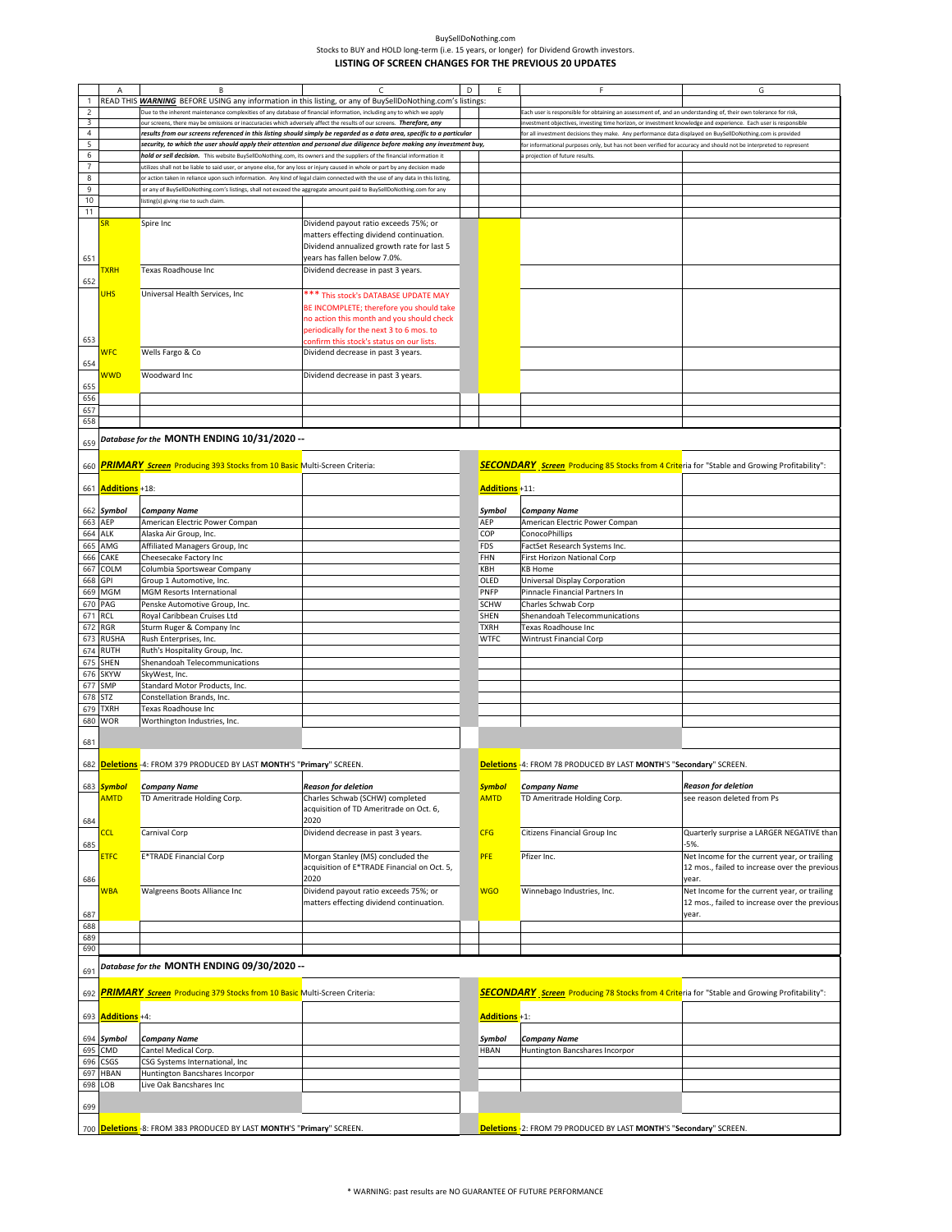|                | А                         | B                                                                                                                              | C                                                                                                                     | D | Ε                     | F                                                                                                                 | G                                             |
|----------------|---------------------------|--------------------------------------------------------------------------------------------------------------------------------|-----------------------------------------------------------------------------------------------------------------------|---|-----------------------|-------------------------------------------------------------------------------------------------------------------|-----------------------------------------------|
| $\mathbf{1}$   |                           | READ THIS <b>WARNING</b> BEFORE USING any information in this listing, or any of BuySellDoNothing.com's listings:              |                                                                                                                       |   |                       |                                                                                                                   |                                               |
| $\overline{c}$ |                           | Due to the inherent maintenance complexities of any database of financial information, including any to which we apply         |                                                                                                                       |   |                       | Each user is responsible for obtaining an assessment of, and an understanding of, their own tolerance for risk,   |                                               |
| 3              |                           | our screens, there may be omissions or inaccuracies which adversely affect the results of our screens. Therefore, any          |                                                                                                                       |   |                       | nvestment objectives, investing time horizon, or investment knowledge and experience. Each user is responsible    |                                               |
| $\overline{4}$ |                           | results from our screens referenced in this listing should simply be regarded as a data area, specific to a particular         |                                                                                                                       |   |                       | for all investment decisions they make. Any performance data displayed on BuySellDoNothing.com is provided        |                                               |
| 5              |                           |                                                                                                                                | security, to which the user should apply their attention and personal due diligence before making any investment buy, |   |                       | or informational purposes only, but has not been verified for accuracy and should not be interpreted to represent |                                               |
| 6              |                           | hold or sell decision. This website BuySellDoNothing.com, its owners and the suppliers of the financial information it         |                                                                                                                       |   |                       | a projection of future results.                                                                                   |                                               |
| $\overline{7}$ |                           | utilizes shall not be liable to said user, or anyone else, for any loss or injury caused in whole or part by any decision made |                                                                                                                       |   |                       |                                                                                                                   |                                               |
| 8              |                           | or action taken in reliance upon such information. Any kind of legal claim connected with the use of any data in this listing, |                                                                                                                       |   |                       |                                                                                                                   |                                               |
| 9              |                           | or any of BuySellDoNothing.com's listings, shall not exceed the aggregate amount paid to BuySellDoNothing.com for any          |                                                                                                                       |   |                       |                                                                                                                   |                                               |
| $10$           |                           | listing(s) giving rise to such claim                                                                                           |                                                                                                                       |   |                       |                                                                                                                   |                                               |
| 11             |                           |                                                                                                                                |                                                                                                                       |   |                       |                                                                                                                   |                                               |
|                | SR                        |                                                                                                                                |                                                                                                                       |   |                       |                                                                                                                   |                                               |
|                |                           | Spire Inc                                                                                                                      | Dividend payout ratio exceeds 75%; or                                                                                 |   |                       |                                                                                                                   |                                               |
|                |                           |                                                                                                                                | matters effecting dividend continuation.                                                                              |   |                       |                                                                                                                   |                                               |
|                |                           |                                                                                                                                | Dividend annualized growth rate for last 5                                                                            |   |                       |                                                                                                                   |                                               |
| 651            |                           |                                                                                                                                | years has fallen below 7.0%.                                                                                          |   |                       |                                                                                                                   |                                               |
|                | <u> TXRH</u>              | Texas Roadhouse Inc                                                                                                            | Dividend decrease in past 3 years.                                                                                    |   |                       |                                                                                                                   |                                               |
| 652            |                           |                                                                                                                                |                                                                                                                       |   |                       |                                                                                                                   |                                               |
|                | <b>UHS</b>                | Universal Health Services, Inc                                                                                                 | *** This stock's DATABASE UPDATE MAY                                                                                  |   |                       |                                                                                                                   |                                               |
|                |                           |                                                                                                                                | BE INCOMPLETE; therefore you should take                                                                              |   |                       |                                                                                                                   |                                               |
|                |                           |                                                                                                                                | no action this month and you should check                                                                             |   |                       |                                                                                                                   |                                               |
|                |                           |                                                                                                                                | periodically for the next 3 to 6 mos. to                                                                              |   |                       |                                                                                                                   |                                               |
| 653            |                           |                                                                                                                                | confirm this stock's status on our lists                                                                              |   |                       |                                                                                                                   |                                               |
|                | <b>WFC</b>                | Wells Fargo & Co                                                                                                               | Dividend decrease in past 3 years.                                                                                    |   |                       |                                                                                                                   |                                               |
| 654            |                           |                                                                                                                                |                                                                                                                       |   |                       |                                                                                                                   |                                               |
|                | <b>WWD</b>                | Woodward Inc                                                                                                                   | Dividend decrease in past 3 years.                                                                                    |   |                       |                                                                                                                   |                                               |
| 655            |                           |                                                                                                                                |                                                                                                                       |   |                       |                                                                                                                   |                                               |
| 656            |                           |                                                                                                                                |                                                                                                                       |   |                       |                                                                                                                   |                                               |
| 657            |                           |                                                                                                                                |                                                                                                                       |   |                       |                                                                                                                   |                                               |
| 658            |                           |                                                                                                                                |                                                                                                                       |   |                       |                                                                                                                   |                                               |
|                |                           |                                                                                                                                |                                                                                                                       |   |                       |                                                                                                                   |                                               |
|                |                           | Database for the MONTH ENDING 10/31/2020 --                                                                                    |                                                                                                                       |   |                       |                                                                                                                   |                                               |
| 659            |                           |                                                                                                                                |                                                                                                                       |   |                       |                                                                                                                   |                                               |
| 660            |                           | <b>PRIMARY</b> Screen Producing 393 Stocks from 10 Basic Multi-Screen Criteria:                                                |                                                                                                                       |   |                       | <b>SECONDARY</b> Screen Producing 85 Stocks from 4 Criteria for "Stable and Growing Profitability":               |                                               |
|                |                           |                                                                                                                                |                                                                                                                       |   |                       |                                                                                                                   |                                               |
|                | 661 <b>Additions</b> +18: |                                                                                                                                |                                                                                                                       |   | <b>Additions +11:</b> |                                                                                                                   |                                               |
|                |                           |                                                                                                                                |                                                                                                                       |   |                       |                                                                                                                   |                                               |
|                | 662 Symbol                | <b>Company Name</b>                                                                                                            |                                                                                                                       |   | Symbol                | <b>Company Name</b>                                                                                               |                                               |
| 663            | AEP                       | American Electric Power Compan                                                                                                 |                                                                                                                       |   | AEP                   | American Electric Power Compan                                                                                    |                                               |
| 664            | <b>ALK</b>                | Alaska Air Group, Inc.                                                                                                         |                                                                                                                       |   | COP                   | ConocoPhillips                                                                                                    |                                               |
| 665            | AMG                       | Affiliated Managers Group, Inc                                                                                                 |                                                                                                                       |   | <b>FDS</b>            | FactSet Research Systems Inc.                                                                                     |                                               |
| 666            | CAKE                      | Cheesecake Factory Inc                                                                                                         |                                                                                                                       |   | FHN                   | First Horizon National Corp                                                                                       |                                               |
|                |                           |                                                                                                                                |                                                                                                                       |   |                       |                                                                                                                   |                                               |
| 667            | COLM                      | Columbia Sportswear Company                                                                                                    |                                                                                                                       |   | KBH                   | <b>KB Home</b>                                                                                                    |                                               |
| 668            | GPI                       | Group 1 Automotive, Inc.                                                                                                       |                                                                                                                       |   | OLED                  | Universal Display Corporation                                                                                     |                                               |
| 669            | MGM                       | <b>MGM Resorts International</b>                                                                                               |                                                                                                                       |   | <b>PNFP</b>           | Pinnacle Financial Partners In                                                                                    |                                               |
| 670            | PAG                       | Penske Automotive Group, Inc.                                                                                                  |                                                                                                                       |   | <b>SCHW</b>           | Charles Schwab Corp                                                                                               |                                               |
| 671            | RCL                       | Royal Caribbean Cruises Ltd                                                                                                    |                                                                                                                       |   | SHEN                  | Shenandoah Telecommunications                                                                                     |                                               |
| 672            | <b>RGR</b>                | Sturm Ruger & Company Inc                                                                                                      |                                                                                                                       |   | <b>TXRH</b>           | Texas Roadhouse Inc                                                                                               |                                               |
| 673            | <b>RUSHA</b>              | Rush Enterprises, Inc.                                                                                                         |                                                                                                                       |   | <b>WTFC</b>           | <b>Wintrust Financial Corp</b>                                                                                    |                                               |
| 674            | <b>RUTH</b>               | Ruth's Hospitality Group, Inc.                                                                                                 |                                                                                                                       |   |                       |                                                                                                                   |                                               |
| 675            | SHEN                      | Shenandoah Telecommunications                                                                                                  |                                                                                                                       |   |                       |                                                                                                                   |                                               |
| 676            | <b>SKYW</b>               | SkyWest, Inc.                                                                                                                  |                                                                                                                       |   |                       |                                                                                                                   |                                               |
| 677            | SMP                       | Standard Motor Products, Inc.                                                                                                  |                                                                                                                       |   |                       |                                                                                                                   |                                               |
| 678            | <b>STZ</b>                | Constellation Brands, Inc.                                                                                                     |                                                                                                                       |   |                       |                                                                                                                   |                                               |
| 679            | <b>TXRH</b>               | Texas Roadhouse Inc                                                                                                            |                                                                                                                       |   |                       |                                                                                                                   |                                               |
| 680            | <b>WOR</b>                | Worthington Industries, Inc.                                                                                                   |                                                                                                                       |   |                       |                                                                                                                   |                                               |
|                |                           |                                                                                                                                |                                                                                                                       |   |                       |                                                                                                                   |                                               |
| 681            |                           |                                                                                                                                |                                                                                                                       |   |                       |                                                                                                                   |                                               |
|                |                           |                                                                                                                                |                                                                                                                       |   |                       |                                                                                                                   |                                               |
|                |                           | 682 Deletions -4: FROM 379 PRODUCED BY LAST MONTH'S "Primary" SCREEN.                                                          |                                                                                                                       |   |                       | Deletions -4: FROM 78 PRODUCED BY LAST MONTH'S "Secondary" SCREEN.                                                |                                               |
|                |                           |                                                                                                                                |                                                                                                                       |   |                       |                                                                                                                   |                                               |
|                | 683 <b>Symbol</b>         | <b>Company Name</b>                                                                                                            | <b>Reason for deletion</b>                                                                                            |   | <b>Symbol</b>         | <b>Company Name</b>                                                                                               | <b>Reason for deletion</b>                    |
|                | <b>AMTD</b>               | TD Ameritrade Holding Corp.                                                                                                    | Charles Schwab (SCHW) completed                                                                                       |   | <b>AMTD</b>           | TD Ameritrade Holding Corp.                                                                                       | see reason deleted from Ps                    |
|                |                           |                                                                                                                                | acquisition of TD Ameritrade on Oct. 6,                                                                               |   |                       |                                                                                                                   |                                               |
| 684            |                           |                                                                                                                                | 2020                                                                                                                  |   |                       |                                                                                                                   |                                               |
|                | <u>CCL</u>                | Carnival Corp                                                                                                                  | Dividend decrease in past 3 years.                                                                                    |   | <b>CFG</b>            | Citizens Financial Group Inc                                                                                      | Quarterly surprise a LARGER NEGATIVE than     |
| 685            |                           |                                                                                                                                |                                                                                                                       |   |                       |                                                                                                                   | $-5%$                                         |
|                |                           | <b>E*TRADE Financial Corp</b>                                                                                                  | Morgan Stanley (MS) concluded the                                                                                     |   | PFE                   | Pfizer Inc.                                                                                                       | Net Income for the current year, or trailing  |
|                | <b>ETFC</b>               |                                                                                                                                | acquisition of E*TRADE Financial on Oct. 5,                                                                           |   |                       |                                                                                                                   | 12 mos., failed to increase over the previous |
|                |                           |                                                                                                                                | 2020                                                                                                                  |   |                       |                                                                                                                   |                                               |
| 686            |                           |                                                                                                                                |                                                                                                                       |   |                       |                                                                                                                   | year.                                         |
|                | <b>WBA</b>                | Walgreens Boots Alliance Inc                                                                                                   | Dividend payout ratio exceeds 75%; or                                                                                 |   | <b>WGO</b>            | Winnebago Industries, Inc.                                                                                        | Net Income for the current year, or trailing  |
|                |                           |                                                                                                                                | matters effecting dividend continuation.                                                                              |   |                       |                                                                                                                   | 12 mos., failed to increase over the previous |
| 687            |                           |                                                                                                                                |                                                                                                                       |   |                       |                                                                                                                   | year.                                         |
| 688            |                           |                                                                                                                                |                                                                                                                       |   |                       |                                                                                                                   |                                               |
| 689            |                           |                                                                                                                                |                                                                                                                       |   |                       |                                                                                                                   |                                               |
| 690            |                           |                                                                                                                                |                                                                                                                       |   |                       |                                                                                                                   |                                               |
|                |                           | -- Database for the MONTH ENDING 09/30/2020                                                                                    |                                                                                                                       |   |                       |                                                                                                                   |                                               |
| 691            |                           |                                                                                                                                |                                                                                                                       |   |                       |                                                                                                                   |                                               |
|                |                           | PRIMARY Screen Producing 379 Stocks from 10 Basic Multi-Screen Criteria:                                                       |                                                                                                                       |   |                       | SECONDARY Screen Producing 78 Stocks from 4 Criteria for "Stable and Growing Profitability":                      |                                               |
| 692            |                           |                                                                                                                                |                                                                                                                       |   |                       |                                                                                                                   |                                               |
| 693            | <b>Additions</b> +4:      |                                                                                                                                |                                                                                                                       |   | Additions +1:         |                                                                                                                   |                                               |
|                |                           |                                                                                                                                |                                                                                                                       |   |                       |                                                                                                                   |                                               |
| 694            | Symbol                    | <b>Company Name</b>                                                                                                            |                                                                                                                       |   | Symbol                | <b>Company Name</b>                                                                                               |                                               |
|                |                           |                                                                                                                                |                                                                                                                       |   |                       |                                                                                                                   |                                               |
| 695            | CMD                       | Cantel Medical Corp.                                                                                                           |                                                                                                                       |   | <b>HBAN</b>           | Huntington Bancshares Incorpor                                                                                    |                                               |
| 696            | CSGS                      | CSG Systems International, Inc                                                                                                 |                                                                                                                       |   |                       |                                                                                                                   |                                               |
| 697            | <b>HBAN</b>               | Huntington Bancshares Incorpor                                                                                                 |                                                                                                                       |   |                       |                                                                                                                   |                                               |
| 698            | OB                        | Live Oak Bancshares Inc                                                                                                        |                                                                                                                       |   |                       |                                                                                                                   |                                               |
|                |                           |                                                                                                                                |                                                                                                                       |   |                       |                                                                                                                   |                                               |
| 699            |                           |                                                                                                                                |                                                                                                                       |   |                       |                                                                                                                   |                                               |
|                |                           |                                                                                                                                |                                                                                                                       |   |                       |                                                                                                                   |                                               |
|                |                           | 700 Deletions -8: FROM 383 PRODUCED BY LAST MONTH'S "Primary" SCREEN.                                                          |                                                                                                                       |   |                       | <b>Deletions</b> -2: FROM 79 PRODUCED BY LAST MONTH'S "Secondary" SCREEN.                                         |                                               |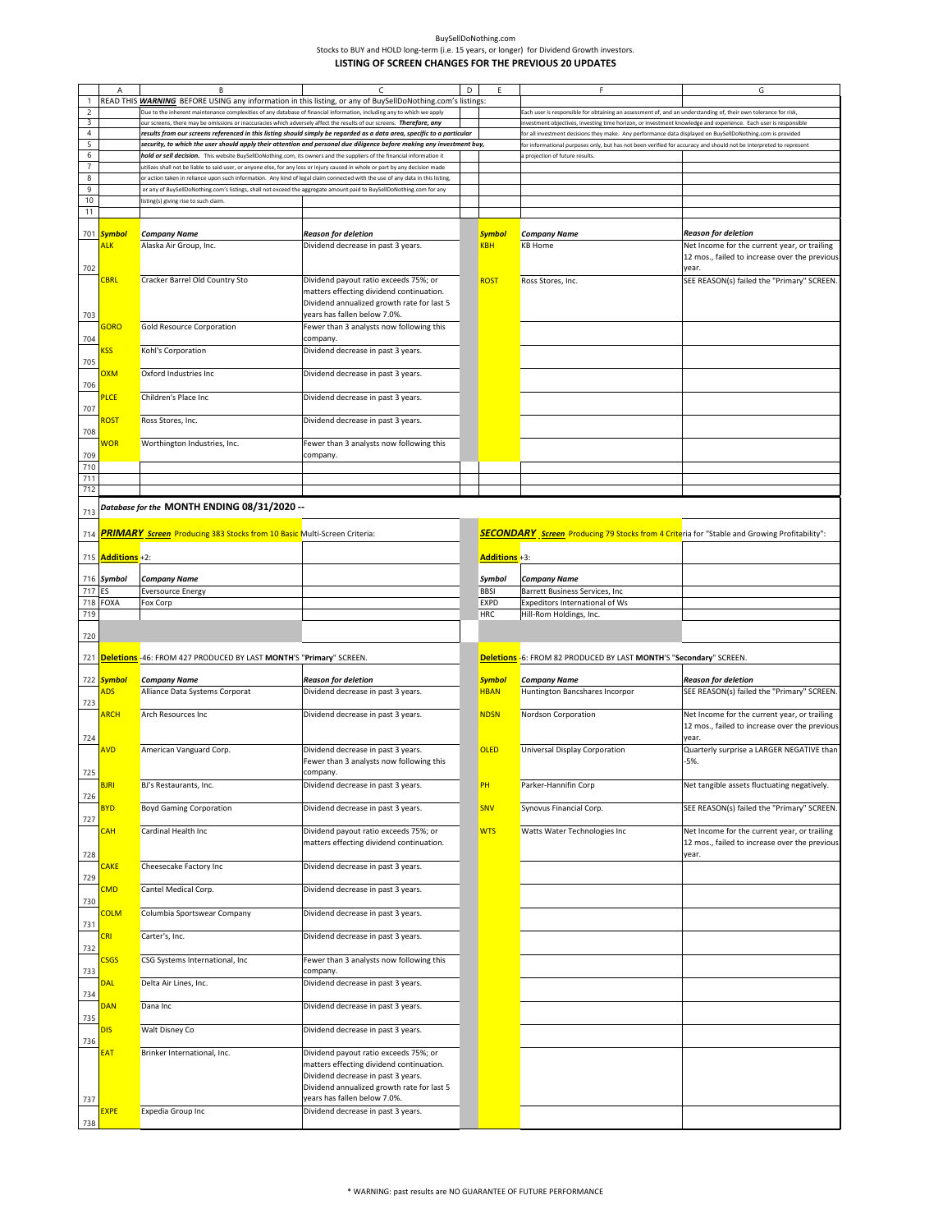|                     | Α                                     | B                                                                                                                                                                                                                                                                | C                                                                                                                               | D | F                            | F                                                                                                                  | G                                                                                                                           |
|---------------------|---------------------------------------|------------------------------------------------------------------------------------------------------------------------------------------------------------------------------------------------------------------------------------------------------------------|---------------------------------------------------------------------------------------------------------------------------------|---|------------------------------|--------------------------------------------------------------------------------------------------------------------|-----------------------------------------------------------------------------------------------------------------------------|
| $\mathbf{1}$        |                                       | READ THIS <b>WARNING</b> BEFORE USING any information in this listing, or any of BuySellDoNothing.com's listings:                                                                                                                                                |                                                                                                                                 |   |                              |                                                                                                                    |                                                                                                                             |
| $\mathsf{2}$        |                                       | Due to the inherent maintenance complexities of any database of financial information, including any to which we apply                                                                                                                                           |                                                                                                                                 |   |                              | Each user is responsible for obtaining an assessment of, and an understanding of, their own tolerance for risk,    |                                                                                                                             |
| 3                   |                                       | our screens, there may be omissions or inaccuracies which adversely affect the results of our screens. Therefore, any                                                                                                                                            |                                                                                                                                 |   |                              | investment objectives, investing time horizon, or investment knowledge and experience. Each user is responsible    |                                                                                                                             |
| $\overline{4}$      |                                       |                                                                                                                                                                                                                                                                  | results from our screens referenced in this listing should simply be regarded as a data area, specific to a particular          |   |                              | for all investment decisions they make. Any performance data displayed on BuySellDoNothing.com is provided         |                                                                                                                             |
| 5                   |                                       |                                                                                                                                                                                                                                                                  | security, to which the user should apply their attention and personal due diligence before making any investment buy,           |   |                              | for informational purposes only, but has not been verified for accuracy and should not be interpreted to represent |                                                                                                                             |
| 6                   |                                       | hold or sell decision. This website BuySellDoNothing.com, its owners and the suppliers of the financial information it                                                                                                                                           |                                                                                                                                 |   |                              | a projection of future results.                                                                                    |                                                                                                                             |
| $\overline{7}$<br>8 |                                       | utilizes shall not be liable to said user, or anyone else, for any loss or injury caused in whole or part by any decision made<br>or action taken in reliance upon such information. Any kind of legal claim connected with the use of any data in this listing, |                                                                                                                                 |   |                              |                                                                                                                    |                                                                                                                             |
| 9                   |                                       | or any of BuySellDoNothing.com's listings, shall not exceed the aggregate amount paid to BuySellDoNothing.com for any                                                                                                                                            |                                                                                                                                 |   |                              |                                                                                                                    |                                                                                                                             |
| 10                  |                                       | isting(s) giving rise to such claim.                                                                                                                                                                                                                             |                                                                                                                                 |   |                              |                                                                                                                    |                                                                                                                             |
| 11                  |                                       |                                                                                                                                                                                                                                                                  |                                                                                                                                 |   |                              |                                                                                                                    |                                                                                                                             |
|                     | 701 Symbol<br><b>ALK</b>              | <b>Company Name</b><br>Alaska Air Group, Inc.                                                                                                                                                                                                                    | <b>Reason for deletion</b><br>Dividend decrease in past 3 years.                                                                |   | <b>Symbol</b><br><b>KBH</b>  | <b>Company Name</b><br><b>KB Home</b>                                                                              | <b>Reason for deletion</b><br>Net Income for the current year, or trailing<br>12 mos., failed to increase over the previous |
| 702                 | <b>CBRL</b>                           | Cracker Barrel Old Country Sto                                                                                                                                                                                                                                   | Dividend payout ratio exceeds 75%; or<br>matters effecting dividend continuation.<br>Dividend annualized growth rate for last 5 |   | <b>ROST</b>                  | Ross Stores, Inc.                                                                                                  | year.<br>SEE REASON(s) failed the "Primary" SCREEN.                                                                         |
| 703                 | <b>GORO</b>                           | <b>Gold Resource Corporation</b>                                                                                                                                                                                                                                 | years has fallen below 7.0%.<br>Fewer than 3 analysts now following this                                                        |   |                              |                                                                                                                    |                                                                                                                             |
| 704                 | <b>SS</b>                             | Kohl's Corporation                                                                                                                                                                                                                                               | company.<br>Dividend decrease in past 3 years.                                                                                  |   |                              |                                                                                                                    |                                                                                                                             |
| 705                 | <b>OXM</b>                            | Oxford Industries Inc                                                                                                                                                                                                                                            | Dividend decrease in past 3 years.                                                                                              |   |                              |                                                                                                                    |                                                                                                                             |
| 706                 |                                       |                                                                                                                                                                                                                                                                  |                                                                                                                                 |   |                              |                                                                                                                    |                                                                                                                             |
| 707                 | PLCE                                  | Children's Place Inc                                                                                                                                                                                                                                             | Dividend decrease in past 3 years.                                                                                              |   |                              |                                                                                                                    |                                                                                                                             |
| 708                 | ROST                                  | Ross Stores, Inc.                                                                                                                                                                                                                                                | Dividend decrease in past 3 years.                                                                                              |   |                              |                                                                                                                    |                                                                                                                             |
| 709                 | <b>NOR</b>                            | Worthington Industries, Inc.                                                                                                                                                                                                                                     | Fewer than 3 analysts now following this<br>company.                                                                            |   |                              |                                                                                                                    |                                                                                                                             |
| 710<br>711          |                                       |                                                                                                                                                                                                                                                                  |                                                                                                                                 |   |                              |                                                                                                                    |                                                                                                                             |
| 712                 |                                       |                                                                                                                                                                                                                                                                  |                                                                                                                                 |   |                              |                                                                                                                    |                                                                                                                             |
| 713                 |                                       | -- Database for the MONTH ENDING 08/31/2020                                                                                                                                                                                                                      |                                                                                                                                 |   |                              |                                                                                                                    |                                                                                                                             |
| 714                 |                                       | <b>PRIMARY</b> Screen Producing 383 Stocks from 10 Basic Multi-Screen Criteria:                                                                                                                                                                                  |                                                                                                                                 |   |                              | <b>SECONDARY</b> Screen Producing 79 Stocks from 4 Criteria for "Stable and Growing Profitability":                |                                                                                                                             |
|                     | 715 <b>Additions</b> +2:              |                                                                                                                                                                                                                                                                  |                                                                                                                                 |   | Additions +3:                |                                                                                                                    |                                                                                                                             |
|                     | 716 Symbol                            | Company Name                                                                                                                                                                                                                                                     |                                                                                                                                 |   | Symbol                       | <b>Company Name</b>                                                                                                |                                                                                                                             |
| 717                 | <b>ES</b><br>718 FOXA                 | <b>Eversource Energy</b><br>Fox Corp                                                                                                                                                                                                                             |                                                                                                                                 |   | <b>BBSI</b><br><b>EXPD</b>   | Barrett Business Services, Inc<br>Expeditors International of Ws                                                   |                                                                                                                             |
| 719                 |                                       |                                                                                                                                                                                                                                                                  |                                                                                                                                 |   | <b>HRC</b>                   | Hill-Rom Holdings, Inc.                                                                                            |                                                                                                                             |
|                     |                                       |                                                                                                                                                                                                                                                                  |                                                                                                                                 |   |                              |                                                                                                                    |                                                                                                                             |
|                     |                                       |                                                                                                                                                                                                                                                                  |                                                                                                                                 |   |                              |                                                                                                                    |                                                                                                                             |
| 720                 |                                       |                                                                                                                                                                                                                                                                  |                                                                                                                                 |   |                              |                                                                                                                    |                                                                                                                             |
|                     |                                       | 721 <b>Deletions</b> -46: FROM 427 PRODUCED BY LAST MONTH'S "Primary" SCREEN.                                                                                                                                                                                    |                                                                                                                                 |   |                              | Deletions -6: FROM 82 PRODUCED BY LAST MONTH'S "Secondary" SCREEN.                                                 |                                                                                                                             |
|                     |                                       |                                                                                                                                                                                                                                                                  |                                                                                                                                 |   |                              |                                                                                                                    |                                                                                                                             |
|                     | 722 <mark>Symbol</mark><br><b>ADS</b> | <b>Company Name</b>                                                                                                                                                                                                                                              | Reason for deletion                                                                                                             |   | <b>Symbol</b><br><b>HBAN</b> | <b>Company Name</b>                                                                                                | <b>Reason for deletion</b>                                                                                                  |
| 723                 |                                       | Alliance Data Systems Corporat                                                                                                                                                                                                                                   | Dividend decrease in past 3 years.                                                                                              |   |                              | Huntington Bancshares Incorpor                                                                                     | SEE REASON(s) failed the "Primary" SCREEN.                                                                                  |
|                     | <b>ARCH</b>                           | Arch Resources Inc                                                                                                                                                                                                                                               | Dividend decrease in past 3 years.                                                                                              |   | <b>NDSN</b>                  | Nordson Corporation                                                                                                | Net Income for the current year, or trailing<br>12 mos., failed to increase over the previous<br>year.                      |
| 724                 | AVD                                   | American Vanguard Corp.                                                                                                                                                                                                                                          | Dividend decrease in past 3 years.                                                                                              |   | <b>OLED</b>                  | <b>Universal Display Corporation</b>                                                                               | Quarterly surprise a LARGER NEGATIVE than                                                                                   |
| 725                 |                                       |                                                                                                                                                                                                                                                                  | Fewer than 3 analysts now following this<br>company.                                                                            |   |                              |                                                                                                                    | $-5%$ .                                                                                                                     |
| 726                 | <b>BJRI</b>                           | BJ's Restaurants, Inc.                                                                                                                                                                                                                                           | Dividend decrease in past 3 years.                                                                                              |   | PH                           | Parker-Hannifin Corp                                                                                               | Net tangible assets fluctuating negatively.                                                                                 |
| 727                 | <b>BYD</b>                            | <b>Boyd Gaming Corporation</b>                                                                                                                                                                                                                                   | Dividend decrease in past 3 years.                                                                                              |   | SNV                          | Synovus Financial Corp.                                                                                            | SEE REASON(s) failed the "Primary" SCREEN.                                                                                  |
|                     | <b>CAH</b>                            | Cardinal Health Inc                                                                                                                                                                                                                                              | Dividend payout ratio exceeds 75%; or<br>matters effecting dividend continuation.                                               |   | <b>WTS</b>                   | Watts Water Technologies Inc                                                                                       | Net Income for the current year, or trailing<br>12 mos., failed to increase over the previous<br>year.                      |
| 728                 | <b>CAKE</b>                           | Cheesecake Factory Inc                                                                                                                                                                                                                                           | Dividend decrease in past 3 years.                                                                                              |   |                              |                                                                                                                    |                                                                                                                             |
| 729                 | <b>CMD</b>                            | Cantel Medical Corp.                                                                                                                                                                                                                                             | Dividend decrease in past 3 years.                                                                                              |   |                              |                                                                                                                    |                                                                                                                             |
| 730                 | <b>COLM</b>                           | Columbia Sportswear Company                                                                                                                                                                                                                                      | Dividend decrease in past 3 years.                                                                                              |   |                              |                                                                                                                    |                                                                                                                             |
| 731                 | <b>CRI</b>                            | Carter's, Inc.                                                                                                                                                                                                                                                   | Dividend decrease in past 3 years.                                                                                              |   |                              |                                                                                                                    |                                                                                                                             |
| 732                 | <b>CSGS</b>                           | CSG Systems International, Inc                                                                                                                                                                                                                                   | Fewer than 3 analysts now following this<br>company.                                                                            |   |                              |                                                                                                                    |                                                                                                                             |
| 733<br>734          | DAL                                   | Delta Air Lines, Inc.                                                                                                                                                                                                                                            | Dividend decrease in past 3 years.                                                                                              |   |                              |                                                                                                                    |                                                                                                                             |
| 735                 | DAN                                   | Dana Inc                                                                                                                                                                                                                                                         | Dividend decrease in past 3 years.                                                                                              |   |                              |                                                                                                                    |                                                                                                                             |
| 736                 | <b>DIS</b>                            | Walt Disney Co                                                                                                                                                                                                                                                   | Dividend decrease in past 3 years.                                                                                              |   |                              |                                                                                                                    |                                                                                                                             |
|                     | <b>EAT</b>                            | Brinker International, Inc.                                                                                                                                                                                                                                      | Dividend payout ratio exceeds 75%; or                                                                                           |   |                              |                                                                                                                    |                                                                                                                             |
|                     |                                       |                                                                                                                                                                                                                                                                  | matters effecting dividend continuation.<br>Dividend decrease in past 3 years.<br>Dividend annualized growth rate for last 5    |   |                              |                                                                                                                    |                                                                                                                             |
| 737                 | <b>EXPE</b>                           | Expedia Group Inc                                                                                                                                                                                                                                                | years has fallen below 7.0%.<br>Dividend decrease in past 3 years.                                                              |   |                              |                                                                                                                    |                                                                                                                             |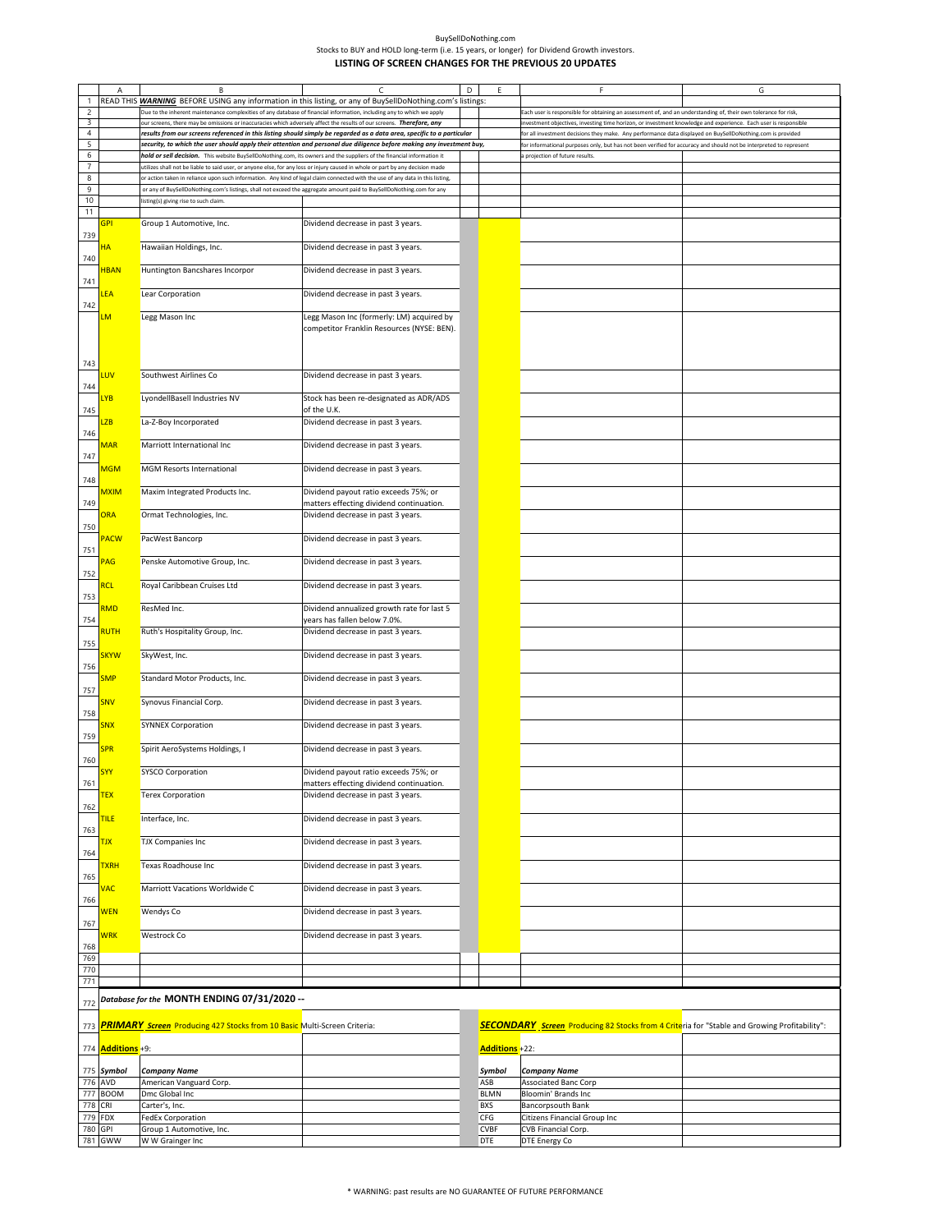|                | Α                    | B                                                                                                                              |                                                                                                                        | D | Ε              | F                                                                                                                  | G |
|----------------|----------------------|--------------------------------------------------------------------------------------------------------------------------------|------------------------------------------------------------------------------------------------------------------------|---|----------------|--------------------------------------------------------------------------------------------------------------------|---|
| 1              |                      | READ THIS WARNING BEFORE USING any information in this listing, or any of BuySellDoNothing.com's listings:                     |                                                                                                                        |   |                |                                                                                                                    |   |
| $\mathsf{2}$   |                      | Due to the inherent maintenance complexities of any database of financial information, including any to which we apply         |                                                                                                                        |   |                | Each user is responsible for obtaining an assessment of, and an understanding of, their own tolerance for risk,    |   |
| 3              |                      | ur screens, there may be omissions or inaccuracies which adversely affect the results of our screens. Therefore, any           |                                                                                                                        |   |                | nvestment objectives, investing time horizon, or investment knowledge and experience. Each user is responsible     |   |
| $\overline{4}$ |                      |                                                                                                                                | results from our screens referenced in this listing should simply be regarded as a data area, specific to a particular |   |                | for all investment decisions they make. Any performance data displayed on BuySellDoNothing.com is provided         |   |
| 5              |                      |                                                                                                                                | security, to which the user should apply their attention and personal due diligence before making any investment buy,  |   |                | for informational purposes only, but has not been verified for accuracy and should not be interpreted to represent |   |
| $\sqrt{6}$     |                      | hold or sell decision. This website BuySellDoNothing.com, its owners and the suppliers of the financial information it         |                                                                                                                        |   |                | projection of future results.                                                                                      |   |
| $\overline{7}$ |                      | ttilizes shall not be liable to said user, or anyone else, for any loss or injury caused in whole or part by any decision made |                                                                                                                        |   |                |                                                                                                                    |   |
| $\bf 8$        |                      | or action taken in reliance upon such information. Any kind of legal claim connected with the use of any data in this listing, |                                                                                                                        |   |                |                                                                                                                    |   |
| 9              |                      | or any of BuySellDoNothing.com's listings, shall not exceed the aggregate amount paid to BuySellDoNothing.com for any          |                                                                                                                        |   |                |                                                                                                                    |   |
| $10$           |                      | listing(s) giving rise to such claim.                                                                                          |                                                                                                                        |   |                |                                                                                                                    |   |
| 11             |                      |                                                                                                                                |                                                                                                                        |   |                |                                                                                                                    |   |
|                | GPI                  | Group 1 Automotive, Inc.                                                                                                       | Dividend decrease in past 3 years.                                                                                     |   |                |                                                                                                                    |   |
| 739            |                      |                                                                                                                                |                                                                                                                        |   |                |                                                                                                                    |   |
|                | ΗΑ                   | Hawaiian Holdings, Inc.                                                                                                        | Dividend decrease in past 3 years.                                                                                     |   |                |                                                                                                                    |   |
| 740            |                      |                                                                                                                                |                                                                                                                        |   |                |                                                                                                                    |   |
|                | <b>HBAN</b>          | Huntington Bancshares Incorpor                                                                                                 | Dividend decrease in past 3 years.                                                                                     |   |                |                                                                                                                    |   |
| 741            |                      |                                                                                                                                |                                                                                                                        |   |                |                                                                                                                    |   |
|                | LEA                  | Lear Corporation                                                                                                               | Dividend decrease in past 3 years.                                                                                     |   |                |                                                                                                                    |   |
|                |                      |                                                                                                                                |                                                                                                                        |   |                |                                                                                                                    |   |
| 742            |                      |                                                                                                                                |                                                                                                                        |   |                |                                                                                                                    |   |
|                | LМ                   | Legg Mason Inc                                                                                                                 | Legg Mason Inc (formerly: LM) acquired by                                                                              |   |                |                                                                                                                    |   |
|                |                      |                                                                                                                                | competitor Franklin Resources (NYSE: BEN).                                                                             |   |                |                                                                                                                    |   |
|                |                      |                                                                                                                                |                                                                                                                        |   |                |                                                                                                                    |   |
|                |                      |                                                                                                                                |                                                                                                                        |   |                |                                                                                                                    |   |
| 743            |                      |                                                                                                                                |                                                                                                                        |   |                |                                                                                                                    |   |
|                | <b>UV</b>            | Southwest Airlines Co                                                                                                          | Dividend decrease in past 3 years.                                                                                     |   |                |                                                                                                                    |   |
| 744            |                      |                                                                                                                                |                                                                                                                        |   |                |                                                                                                                    |   |
|                | <b>YB</b>            | LyondellBasell Industries NV                                                                                                   | Stock has been re-designated as ADR/ADS                                                                                |   |                |                                                                                                                    |   |
| 745            |                      |                                                                                                                                | of the U.K.                                                                                                            |   |                |                                                                                                                    |   |
|                | LZB                  | La-Z-Boy Incorporated                                                                                                          | Dividend decrease in past 3 years.                                                                                     |   |                |                                                                                                                    |   |
| 746            |                      |                                                                                                                                |                                                                                                                        |   |                |                                                                                                                    |   |
|                | <b>MAR</b>           | Marriott International Inc                                                                                                     | Dividend decrease in past 3 years.                                                                                     |   |                |                                                                                                                    |   |
| 747            |                      |                                                                                                                                |                                                                                                                        |   |                |                                                                                                                    |   |
|                | <b>MGM</b>           | <b>MGM Resorts International</b>                                                                                               | Dividend decrease in past 3 years.                                                                                     |   |                |                                                                                                                    |   |
| 748            |                      |                                                                                                                                |                                                                                                                        |   |                |                                                                                                                    |   |
|                | <u>MXIM</u>          | Maxim Integrated Products Inc.                                                                                                 | Dividend payout ratio exceeds 75%; or                                                                                  |   |                |                                                                                                                    |   |
| 749            |                      |                                                                                                                                | matters effecting dividend continuation.                                                                               |   |                |                                                                                                                    |   |
|                | <b>ORA</b>           | Ormat Technologies, Inc.                                                                                                       | Dividend decrease in past 3 years.                                                                                     |   |                |                                                                                                                    |   |
| 750            |                      |                                                                                                                                |                                                                                                                        |   |                |                                                                                                                    |   |
|                | PACW                 | PacWest Bancorp                                                                                                                | Dividend decrease in past 3 years.                                                                                     |   |                |                                                                                                                    |   |
| 751            |                      |                                                                                                                                |                                                                                                                        |   |                |                                                                                                                    |   |
|                | PAG                  | Penske Automotive Group, Inc.                                                                                                  | Dividend decrease in past 3 years.                                                                                     |   |                |                                                                                                                    |   |
| 752            |                      |                                                                                                                                |                                                                                                                        |   |                |                                                                                                                    |   |
|                | <b>RCL</b>           | Royal Caribbean Cruises Ltd                                                                                                    | Dividend decrease in past 3 years.                                                                                     |   |                |                                                                                                                    |   |
|                |                      |                                                                                                                                |                                                                                                                        |   |                |                                                                                                                    |   |
| 753            | RMD                  | ResMed Inc.                                                                                                                    | Dividend annualized growth rate for last 5                                                                             |   |                |                                                                                                                    |   |
|                |                      |                                                                                                                                |                                                                                                                        |   |                |                                                                                                                    |   |
| 754            |                      |                                                                                                                                | years has fallen below 7.0%.                                                                                           |   |                |                                                                                                                    |   |
|                | <b>RUTH</b>          | Ruth's Hospitality Group, Inc.                                                                                                 | Dividend decrease in past 3 years.                                                                                     |   |                |                                                                                                                    |   |
| 755            |                      |                                                                                                                                |                                                                                                                        |   |                |                                                                                                                    |   |
|                | <b>SKYW</b>          | SkyWest, Inc.                                                                                                                  | Dividend decrease in past 3 years.                                                                                     |   |                |                                                                                                                    |   |
| 756            |                      |                                                                                                                                |                                                                                                                        |   |                |                                                                                                                    |   |
|                | <b>SMP</b>           | Standard Motor Products, Inc.                                                                                                  | Dividend decrease in past 3 years.                                                                                     |   |                |                                                                                                                    |   |
| 757            |                      |                                                                                                                                |                                                                                                                        |   |                |                                                                                                                    |   |
|                | SNV                  | Synovus Financial Corp.                                                                                                        | Dividend decrease in past 3 years.                                                                                     |   |                |                                                                                                                    |   |
| 758            |                      |                                                                                                                                |                                                                                                                        |   |                |                                                                                                                    |   |
|                | <b>SNX</b>           | <b>SYNNEX Corporation</b>                                                                                                      | Dividend decrease in past 3 years.                                                                                     |   |                |                                                                                                                    |   |
| 759            |                      |                                                                                                                                |                                                                                                                        |   |                |                                                                                                                    |   |
|                | <b>SPR</b>           | Spirit AeroSystems Holdings, I                                                                                                 | Dividend decrease in past 3 years.                                                                                     |   |                |                                                                                                                    |   |
| 760            |                      |                                                                                                                                |                                                                                                                        |   |                |                                                                                                                    |   |
|                | SYY                  | SYSCO Corporation                                                                                                              | Dividend payout ratio exceeds 75%; or                                                                                  |   |                |                                                                                                                    |   |
| 761            |                      |                                                                                                                                | matters effecting dividend continuation.                                                                               |   |                |                                                                                                                    |   |
|                | <b>TEX</b>           | <b>Terex Corporation</b>                                                                                                       | Dividend decrease in past 3 years.                                                                                     |   |                |                                                                                                                    |   |
| 762            |                      |                                                                                                                                |                                                                                                                        |   |                |                                                                                                                    |   |
|                | <b>TILE</b>          | Interface, Inc.                                                                                                                | Dividend decrease in past 3 years.                                                                                     |   |                |                                                                                                                    |   |
| 763            |                      |                                                                                                                                |                                                                                                                        |   |                |                                                                                                                    |   |
|                | <b>TJX</b>           | TJX Companies Inc                                                                                                              | Dividend decrease in past 3 years.                                                                                     |   |                |                                                                                                                    |   |
| 764            |                      |                                                                                                                                |                                                                                                                        |   |                |                                                                                                                    |   |
|                | <b>TXRH</b>          | Texas Roadhouse Inc                                                                                                            | Dividend decrease in past 3 years.                                                                                     |   |                |                                                                                                                    |   |
| 765            |                      |                                                                                                                                |                                                                                                                        |   |                |                                                                                                                    |   |
|                | <b>VAC</b>           | Marriott Vacations Worldwide C                                                                                                 | Dividend decrease in past 3 years.                                                                                     |   |                |                                                                                                                    |   |
| 766            |                      |                                                                                                                                |                                                                                                                        |   |                |                                                                                                                    |   |
|                | <b>WEN</b>           | Wendys Co                                                                                                                      | Dividend decrease in past 3 years.                                                                                     |   |                |                                                                                                                    |   |
| 767            |                      |                                                                                                                                |                                                                                                                        |   |                |                                                                                                                    |   |
|                | WRK                  | Westrock Co                                                                                                                    | Dividend decrease in past 3 years.                                                                                     |   |                |                                                                                                                    |   |
| 768            |                      |                                                                                                                                |                                                                                                                        |   |                |                                                                                                                    |   |
| 769            |                      |                                                                                                                                |                                                                                                                        |   |                |                                                                                                                    |   |
| 770            |                      |                                                                                                                                |                                                                                                                        |   |                |                                                                                                                    |   |
| 771            |                      |                                                                                                                                |                                                                                                                        |   |                |                                                                                                                    |   |
|                |                      |                                                                                                                                |                                                                                                                        |   |                |                                                                                                                    |   |
| 772            |                      | Database for the MONTH ENDING 07/31/2020 --                                                                                    |                                                                                                                        |   |                |                                                                                                                    |   |
|                |                      |                                                                                                                                |                                                                                                                        |   |                |                                                                                                                    |   |
| 773            |                      | PRIMARY Screen Producing 427 Stocks from 10 Basic Multi-Screen Criteria:                                                       |                                                                                                                        |   |                | <b>SECONDARY</b> Screen Producing 82 Stocks from 4 Criteria for "Stable and Growing Profitability":                |   |
|                |                      |                                                                                                                                |                                                                                                                        |   |                |                                                                                                                    |   |
| 774            | <b>Additions</b> +9: |                                                                                                                                |                                                                                                                        |   | Additions +22: |                                                                                                                    |   |
|                |                      |                                                                                                                                |                                                                                                                        |   |                |                                                                                                                    |   |
| 775            | Symbol               | <b>Company Name</b>                                                                                                            |                                                                                                                        |   | Symbol         | <b>Company Name</b>                                                                                                |   |
| 776            | AVD                  | American Vanguard Corp.                                                                                                        |                                                                                                                        |   | ASB            | Associated Banc Corp                                                                                               |   |
| 777            | <b>BOOM</b>          | Dmc Global Inc                                                                                                                 |                                                                                                                        |   | <b>BLMN</b>    | Bloomin' Brands Inc                                                                                                |   |
| 778            | CRI                  | Carter's, Inc.                                                                                                                 |                                                                                                                        |   | <b>BXS</b>     | Bancorpsouth Bank                                                                                                  |   |
| 779            | <b>FDX</b>           | FedEx Corporation                                                                                                              |                                                                                                                        |   | CFG            | Citizens Financial Group Inc                                                                                       |   |
| 780            | <b>GPI</b>           | Group 1 Automotive, Inc.                                                                                                       |                                                                                                                        |   | <b>CVBF</b>    | CVB Financial Corp.                                                                                                |   |
|                | 781 GWW              | W W Grainger Inc                                                                                                               |                                                                                                                        |   | DTE            | DTE Energy Co                                                                                                      |   |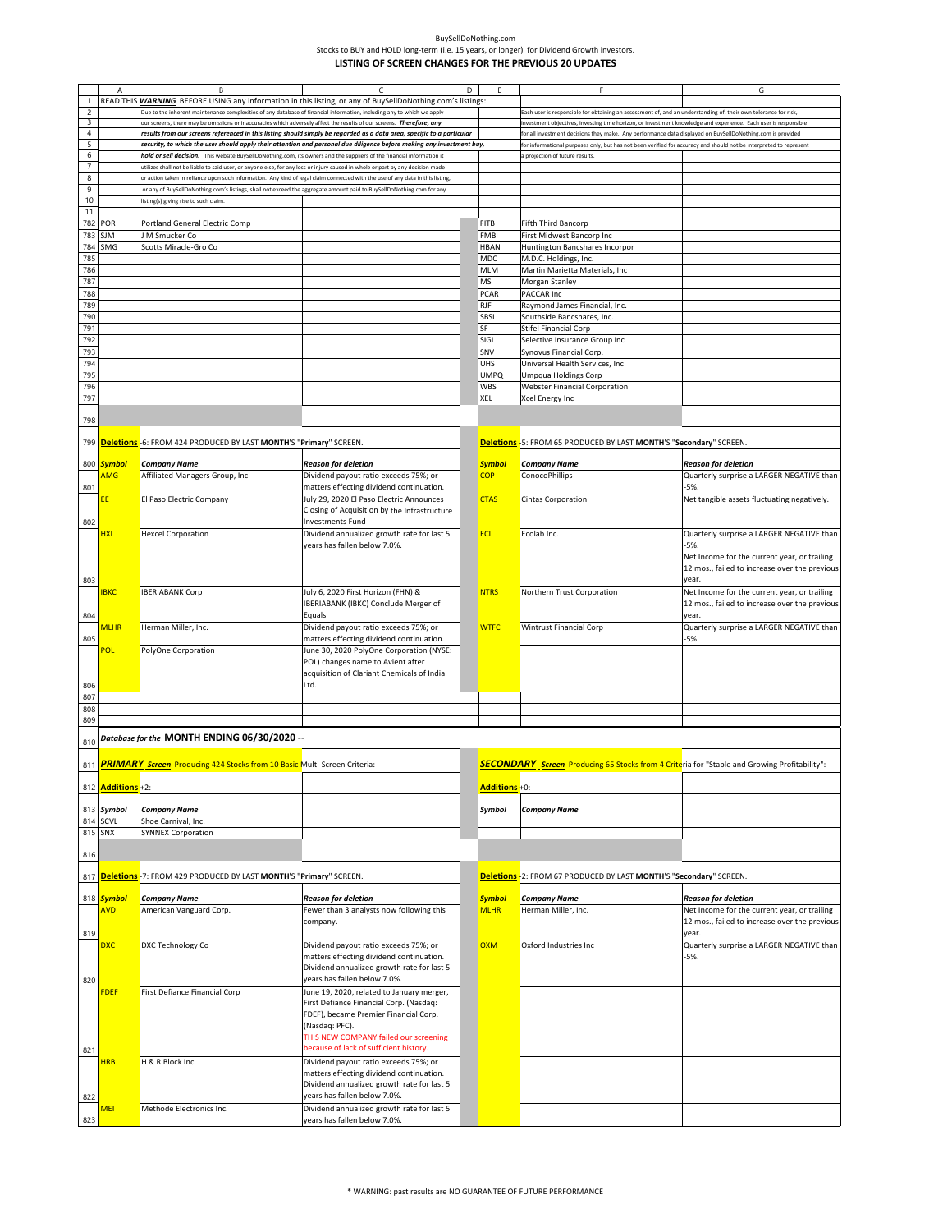|                |                          | B                                                                                                                              |                                                                                                                        | D |               |                                                                                                                   | G                                             |
|----------------|--------------------------|--------------------------------------------------------------------------------------------------------------------------------|------------------------------------------------------------------------------------------------------------------------|---|---------------|-------------------------------------------------------------------------------------------------------------------|-----------------------------------------------|
| $\mathbf{1}$   |                          |                                                                                                                                | READ THIS <b>WARNING</b> BEFORE USING any information in this listing, or any of BuySellDoNothing.com's listings:      |   |               |                                                                                                                   |                                               |
| $\sqrt{2}$     |                          | Due to the inherent maintenance complexities of any database of financial information, including any to which we apply         |                                                                                                                        |   |               | Each user is responsible for obtaining an assessment of, and an understanding of, their own tolerance for risk,   |                                               |
| 3              |                          | ur screens, there may be omissions or inaccuracies which adversely affect the results of our screens. Therefore, any           |                                                                                                                        |   |               | ivestment objectives, investing time horizon, or investment knowledge and experience. Each user is responsible    |                                               |
| $\overline{4}$ |                          |                                                                                                                                | results from our screens referenced in this listing should simply be regarded as a data area, specific to a particular |   |               | or all investment decisions they make. Any performance data displayed on BuySellDoNothing.com is provided         |                                               |
| 5              |                          |                                                                                                                                | security, to which the user should apply their attention and personal due diligence before making any investment buy,  |   |               | or informational purposes only, but has not been verified for accuracy and should not be interpreted to represent |                                               |
| 6              |                          | hold or sell decision. This website BuySellDoNothing.com, its owners and the suppliers of the financial information it         |                                                                                                                        |   |               | projection of future results.                                                                                     |                                               |
| $\overline{7}$ |                          | utilizes shall not be liable to said user, or anyone else, for any loss or injury caused in whole or part by any decision made |                                                                                                                        |   |               |                                                                                                                   |                                               |
| 8              |                          |                                                                                                                                |                                                                                                                        |   |               |                                                                                                                   |                                               |
|                |                          | or action taken in reliance upon such information. Any kind of legal claim connected with the use of any data in this listing, |                                                                                                                        |   |               |                                                                                                                   |                                               |
| $\overline{9}$ |                          | or any of BuySellDoNothing.com's listings, shall not exceed the aggregate amount paid to BuySellDoNothing.com for any          |                                                                                                                        |   |               |                                                                                                                   |                                               |
| 10             |                          | listing(s) giving rise to such claim.                                                                                          |                                                                                                                        |   |               |                                                                                                                   |                                               |
| 11             |                          |                                                                                                                                |                                                                                                                        |   |               |                                                                                                                   |                                               |
| 782            | POR                      | Portland General Electric Comp                                                                                                 |                                                                                                                        |   | <b>FITB</b>   | Fifth Third Bancorp                                                                                               |                                               |
| 783            | <b>SJM</b>               | J M Smucker Co                                                                                                                 |                                                                                                                        |   | <b>FMBI</b>   | First Midwest Bancorp Inc                                                                                         |                                               |
| 784            | SMG                      | Scotts Miracle-Gro Co                                                                                                          |                                                                                                                        |   | <b>HBAN</b>   | Huntington Bancshares Incorpor                                                                                    |                                               |
| 785            |                          |                                                                                                                                |                                                                                                                        |   | MDC           | M.D.C. Holdings, Inc.                                                                                             |                                               |
| 786            |                          |                                                                                                                                |                                                                                                                        |   |               |                                                                                                                   |                                               |
|                |                          |                                                                                                                                |                                                                                                                        |   | <b>MLM</b>    | Martin Marietta Materials, Inc                                                                                    |                                               |
| 787            |                          |                                                                                                                                |                                                                                                                        |   | MS            | Morgan Stanley                                                                                                    |                                               |
| 788            |                          |                                                                                                                                |                                                                                                                        |   | PCAR          | PACCAR Inc                                                                                                        |                                               |
| 789            |                          |                                                                                                                                |                                                                                                                        |   | <b>RJF</b>    | Raymond James Financial, Inc.                                                                                     |                                               |
| 790            |                          |                                                                                                                                |                                                                                                                        |   | SBSI          | Southside Bancshares, Inc.                                                                                        |                                               |
| 791            |                          |                                                                                                                                |                                                                                                                        |   | SF            | Stifel Financial Corp                                                                                             |                                               |
| 792            |                          |                                                                                                                                |                                                                                                                        |   | SIGI          | Selective Insurance Group Inc                                                                                     |                                               |
| 793            |                          |                                                                                                                                |                                                                                                                        |   | SNV           | Synovus Financial Corp.                                                                                           |                                               |
| 794            |                          |                                                                                                                                |                                                                                                                        |   | <b>UHS</b>    | Universal Health Services, Inc                                                                                    |                                               |
| 795            |                          |                                                                                                                                |                                                                                                                        |   | <b>UMPQ</b>   |                                                                                                                   |                                               |
|                |                          |                                                                                                                                |                                                                                                                        |   |               | Umpqua Holdings Corp                                                                                              |                                               |
| 796            |                          |                                                                                                                                |                                                                                                                        |   | WBS           | <b>Webster Financial Corporation</b>                                                                              |                                               |
| 797            |                          |                                                                                                                                |                                                                                                                        |   | XEL           | Xcel Energy Inc                                                                                                   |                                               |
|                |                          |                                                                                                                                |                                                                                                                        |   |               |                                                                                                                   |                                               |
| 798            |                          |                                                                                                                                |                                                                                                                        |   |               |                                                                                                                   |                                               |
|                |                          |                                                                                                                                |                                                                                                                        |   |               |                                                                                                                   |                                               |
|                |                          | 799 <b>Deletions</b> -6: FROM 424 PRODUCED BY LAST MONTH'S "Primary" SCREEN.                                                   |                                                                                                                        |   |               | Deletions -5: FROM 65 PRODUCED BY LAST MONTH'S "Secondary" SCREEN.                                                |                                               |
|                |                          |                                                                                                                                |                                                                                                                        |   |               |                                                                                                                   |                                               |
|                | 800 Symbol               | <b>Company Name</b>                                                                                                            | Reason for deletion                                                                                                    |   | <b>Symbol</b> | <b>Company Name</b>                                                                                               | <b>Reason for deletion</b>                    |
|                | AMG                      | Affiliated Managers Group, Inc                                                                                                 | Dividend payout ratio exceeds 75%; or                                                                                  |   | <b>COP</b>    | ConocoPhillips                                                                                                    | Quarterly surprise a LARGER NEGATIVE than     |
| 801            |                          |                                                                                                                                | matters effecting dividend continuation.                                                                               |   |               |                                                                                                                   | -5%.                                          |
|                |                          |                                                                                                                                | July 29, 2020 El Paso Electric Announces                                                                               |   | <b>CTAS</b>   |                                                                                                                   |                                               |
|                | ΕF                       | El Paso Electric Company                                                                                                       |                                                                                                                        |   |               | Cintas Corporation                                                                                                | Net tangible assets fluctuating negatively.   |
|                |                          |                                                                                                                                | Closing of Acquisition by the Infrastructure                                                                           |   |               |                                                                                                                   |                                               |
| 802            |                          |                                                                                                                                | <b>Investments Fund</b>                                                                                                |   |               |                                                                                                                   |                                               |
|                | <b>HXL</b>               | <b>Hexcel Corporation</b>                                                                                                      | Dividend annualized growth rate for last 5                                                                             |   | <b>ECL</b>    | Ecolab Inc.                                                                                                       | Quarterly surprise a LARGER NEGATIVE than     |
|                |                          |                                                                                                                                | years has fallen below 7.0%.                                                                                           |   |               |                                                                                                                   | -5%.                                          |
|                |                          |                                                                                                                                |                                                                                                                        |   |               |                                                                                                                   | Net Income for the current year, or trailing  |
|                |                          |                                                                                                                                |                                                                                                                        |   |               |                                                                                                                   | 12 mos., failed to increase over the previous |
| 803            |                          |                                                                                                                                |                                                                                                                        |   |               |                                                                                                                   | vear.                                         |
|                | <u>IBKC</u>              | <b>IBERIABANK Corp</b>                                                                                                         | July 6, 2020 First Horizon (FHN) &                                                                                     |   | <b>NTRS</b>   | Northern Trust Corporation                                                                                        | Net Income for the current year, or trailing  |
|                |                          |                                                                                                                                |                                                                                                                        |   |               |                                                                                                                   |                                               |
|                |                          |                                                                                                                                | IBERIABANK (IBKC) Conclude Merger of                                                                                   |   |               |                                                                                                                   | 12 mos., failed to increase over the previous |
| 804            |                          |                                                                                                                                | Equals                                                                                                                 |   |               |                                                                                                                   | year.                                         |
|                | <mark>mlhr</mark>        | Herman Miller, Inc.                                                                                                            | Dividend payout ratio exceeds 75%; or                                                                                  |   | <b>WTFC</b>   | <b>Wintrust Financial Corp</b>                                                                                    | Quarterly surprise a LARGER NEGATIVE than     |
| 805            |                          |                                                                                                                                | matters effecting dividend continuation.                                                                               |   |               |                                                                                                                   | -5%.                                          |
|                | POL                      | PolyOne Corporation                                                                                                            | June 30, 2020 PolyOne Corporation (NYSE:                                                                               |   |               |                                                                                                                   |                                               |
|                |                          |                                                                                                                                | POL) changes name to Avient after                                                                                      |   |               |                                                                                                                   |                                               |
|                |                          |                                                                                                                                | acquisition of Clariant Chemicals of India                                                                             |   |               |                                                                                                                   |                                               |
|                |                          |                                                                                                                                | Ltd.                                                                                                                   |   |               |                                                                                                                   |                                               |
| 806            |                          |                                                                                                                                |                                                                                                                        |   |               |                                                                                                                   |                                               |
| 807            |                          |                                                                                                                                |                                                                                                                        |   |               |                                                                                                                   |                                               |
| 808            |                          |                                                                                                                                |                                                                                                                        |   |               |                                                                                                                   |                                               |
| 809            |                          |                                                                                                                                |                                                                                                                        |   |               |                                                                                                                   |                                               |
|                |                          | Database for the MONTH ENDING 06/30/2020 --                                                                                    |                                                                                                                        |   |               |                                                                                                                   |                                               |
| 810            |                          |                                                                                                                                |                                                                                                                        |   |               |                                                                                                                   |                                               |
|                |                          |                                                                                                                                |                                                                                                                        |   |               |                                                                                                                   |                                               |
|                |                          | 811 <b>PRIMARY Screen</b> Producing 424 Stocks from 10 Basic Multi-Screen Criteria:                                            |                                                                                                                        |   |               | <b>SECONDARY</b> Screen Producing 65 Stocks from 4 Criteria for "Stable and Growing Profitability":               |                                               |
|                |                          |                                                                                                                                |                                                                                                                        |   |               |                                                                                                                   |                                               |
|                | 812 <b>Additions</b> +2: |                                                                                                                                |                                                                                                                        |   | Additions +0: |                                                                                                                   |                                               |
|                |                          |                                                                                                                                |                                                                                                                        |   |               |                                                                                                                   |                                               |
|                | 813 Symbol               | <b>Company Name</b>                                                                                                            |                                                                                                                        |   | Symbol        | Company Name                                                                                                      |                                               |
|                | 814 SCVL                 | Shoe Carnival, Inc.                                                                                                            |                                                                                                                        |   |               |                                                                                                                   |                                               |
| 815 SNX        |                          | <b>SYNNEX Corporation</b>                                                                                                      |                                                                                                                        |   |               |                                                                                                                   |                                               |
|                |                          |                                                                                                                                |                                                                                                                        |   |               |                                                                                                                   |                                               |
| 816            |                          |                                                                                                                                |                                                                                                                        |   |               |                                                                                                                   |                                               |
|                |                          |                                                                                                                                |                                                                                                                        |   |               |                                                                                                                   |                                               |
| 817            |                          | <mark>Deletion<u>s</u> -</mark> 7: FROM 429 PRODUCED BY LAST <b>MONTH'S "Primary"</b> SCREEN.                                  |                                                                                                                        |   |               | Deletions -2: FROM 67 PRODUCED BY LAST MONTH'S "Secondary" SCREEN.                                                |                                               |
|                |                          |                                                                                                                                |                                                                                                                        |   |               |                                                                                                                   |                                               |
|                | 818 Symbol               | <b>Company Name</b>                                                                                                            | Reason for deletion                                                                                                    |   | <b>Symbol</b> | <b>Company Name</b>                                                                                               | <b>Reason for deletion</b>                    |
|                |                          |                                                                                                                                |                                                                                                                        |   |               |                                                                                                                   |                                               |
|                | <b>AVD</b>               | American Vanguard Corp.                                                                                                        | Fewer than 3 analysts now following this                                                                               |   | <b>MLHR</b>   | Herman Miller, Inc.                                                                                               | Net Income for the current year, or trailing  |
|                |                          |                                                                                                                                | company.                                                                                                               |   |               |                                                                                                                   | 12 mos., failed to increase over the previous |
| 819            |                          |                                                                                                                                |                                                                                                                        |   |               |                                                                                                                   | year.                                         |
|                | <b>DXC</b>               | DXC Technology Co                                                                                                              | Dividend payout ratio exceeds 75%; or                                                                                  |   | <b>OXM</b>    | Oxford Industries Inc                                                                                             | Quarterly surprise a LARGER NEGATIVE than     |
|                |                          |                                                                                                                                | matters effecting dividend continuation.                                                                               |   |               |                                                                                                                   | $-5%$                                         |
|                |                          |                                                                                                                                | Dividend annualized growth rate for last 5                                                                             |   |               |                                                                                                                   |                                               |
| 820            |                          |                                                                                                                                | years has fallen below 7.0%.                                                                                           |   |               |                                                                                                                   |                                               |
|                | FDEF                     | First Defiance Financial Corp                                                                                                  | June 19, 2020, related to January merger,                                                                              |   |               |                                                                                                                   |                                               |
|                |                          |                                                                                                                                | First Defiance Financial Corp. (Nasdaq:                                                                                |   |               |                                                                                                                   |                                               |
|                |                          |                                                                                                                                | FDEF), became Premier Financial Corp.                                                                                  |   |               |                                                                                                                   |                                               |
|                |                          |                                                                                                                                | (Nasdaq: PFC).                                                                                                         |   |               |                                                                                                                   |                                               |
|                |                          |                                                                                                                                | THIS NEW COMPANY failed our screening                                                                                  |   |               |                                                                                                                   |                                               |
|                |                          |                                                                                                                                | because of lack of sufficient history.                                                                                 |   |               |                                                                                                                   |                                               |
| 821            |                          |                                                                                                                                |                                                                                                                        |   |               |                                                                                                                   |                                               |
|                | <b>HRB</b>               | H & R Block Inc                                                                                                                | Dividend payout ratio exceeds 75%; or                                                                                  |   |               |                                                                                                                   |                                               |
|                |                          |                                                                                                                                | matters effecting dividend continuation.                                                                               |   |               |                                                                                                                   |                                               |
|                |                          |                                                                                                                                | Dividend annualized growth rate for last 5                                                                             |   |               |                                                                                                                   |                                               |
| 822            |                          |                                                                                                                                | years has fallen below 7.0%.                                                                                           |   |               |                                                                                                                   |                                               |
|                | MEI                      | Methode Electronics Inc.                                                                                                       | Dividend annualized growth rate for last 5                                                                             |   |               |                                                                                                                   |                                               |
| 823            |                          |                                                                                                                                | years has fallen below 7.0%.                                                                                           |   |               |                                                                                                                   |                                               |